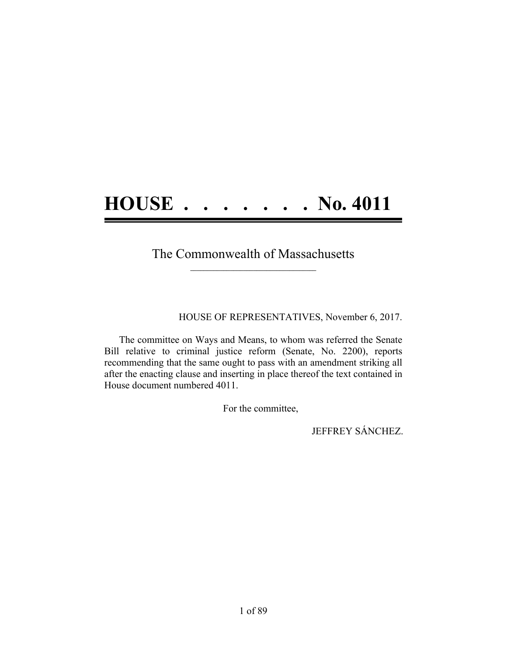## **HOUSE . . . . . . . No. 4011**

#### The Commonwealth of Massachusetts **\_\_\_\_\_\_\_\_\_\_\_\_\_\_\_\_\_\_\_\_\_\_\_\_\_\_\_\_\_\_\_\_\_\_\_\_\_\_**

HOUSE OF REPRESENTATIVES, November 6, 2017.

The committee on Ways and Means, to whom was referred the Senate Bill relative to criminal justice reform (Senate, No. 2200), reports recommending that the same ought to pass with an amendment striking all after the enacting clause and inserting in place thereof the text contained in House document numbered 4011.

For the committee,

JEFFREY SÁNCHEZ.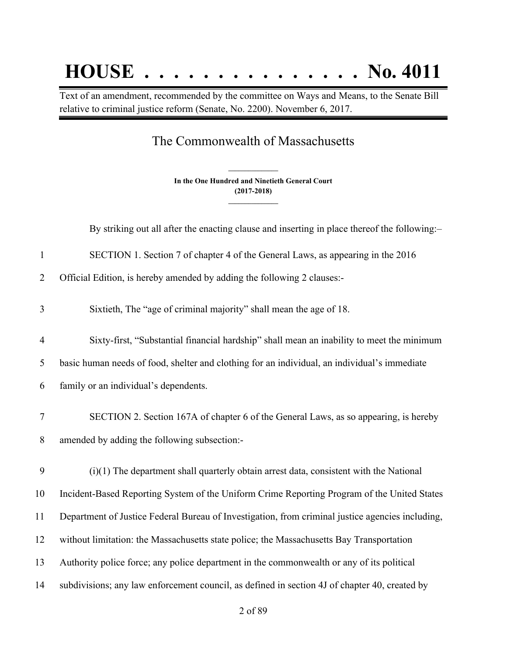# **HOUSE . . . . . . . . . . . . . . . No. 4011**

Text of an amendment, recommended by the committee on Ways and Means, to the Senate Bill relative to criminal justice reform (Senate, No. 2200). November 6, 2017.

### The Commonwealth of Massachusetts

**In the One Hundred and Ninetieth General Court (2017-2018) \_\_\_\_\_\_\_\_\_\_\_\_\_\_\_**

**\_\_\_\_\_\_\_\_\_\_\_\_\_\_\_**

By striking out all after the enacting clause and inserting in place thereof the following:–

SECTION 1. Section 7 of chapter 4 of the General Laws, as appearing in the 2016

Official Edition, is hereby amended by adding the following 2 clauses:-

Sixtieth, The "age of criminal majority" shall mean the age of 18.

 Sixty-first, "Substantial financial hardship" shall mean an inability to meet the minimum basic human needs of food, shelter and clothing for an individual, an individual's immediate

family or an individual's dependents.

 SECTION 2. Section 167A of chapter 6 of the General Laws, as so appearing, is hereby amended by adding the following subsection:-

 (i)(1) The department shall quarterly obtain arrest data, consistent with the National Incident-Based Reporting System of the Uniform Crime Reporting Program of the United States Department of Justice Federal Bureau of Investigation, from criminal justice agencies including, without limitation: the Massachusetts state police; the Massachusetts Bay Transportation Authority police force; any police department in the commonwealth or any of its political subdivisions; any law enforcement council, as defined in section 4J of chapter 40, created by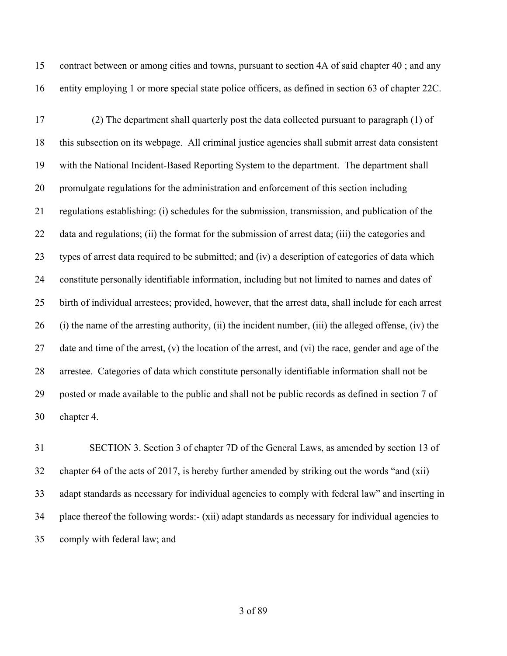contract between or among cities and towns, pursuant to section 4A of said chapter 40 ; and any entity employing 1 or more special state police officers, as defined in section 63 of chapter 22C.

 (2) The department shall quarterly post the data collected pursuant to paragraph (1) of this subsection on its webpage. All criminal justice agencies shall submit arrest data consistent with the National Incident-Based Reporting System to the department. The department shall promulgate regulations for the administration and enforcement of this section including regulations establishing: (i) schedules for the submission, transmission, and publication of the data and regulations; (ii) the format for the submission of arrest data; (iii) the categories and types of arrest data required to be submitted; and (iv) a description of categories of data which constitute personally identifiable information, including but not limited to names and dates of birth of individual arrestees; provided, however, that the arrest data, shall include for each arrest (i) the name of the arresting authority, (ii) the incident number, (iii) the alleged offense, (iv) the date and time of the arrest, (v) the location of the arrest, and (vi) the race, gender and age of the arrestee. Categories of data which constitute personally identifiable information shall not be posted or made available to the public and shall not be public records as defined in section 7 of chapter 4.

 SECTION 3. Section 3 of chapter 7D of the General Laws, as amended by section 13 of chapter 64 of the acts of 2017, is hereby further amended by striking out the words "and (xii) adapt standards as necessary for individual agencies to comply with federal law" and inserting in place thereof the following words:- (xii) adapt standards as necessary for individual agencies to comply with federal law; and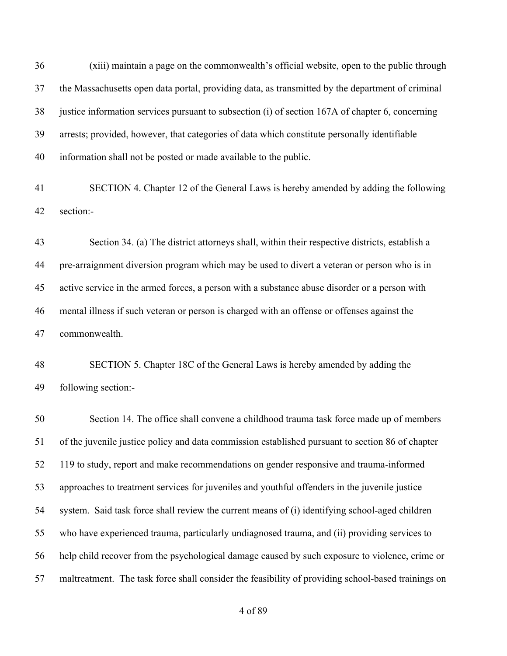(xiii) maintain a page on the commonwealth's official website, open to the public through the Massachusetts open data portal, providing data, as transmitted by the department of criminal justice information services pursuant to subsection (i) of section 167A of chapter 6, concerning arrests; provided, however, that categories of data which constitute personally identifiable information shall not be posted or made available to the public. SECTION 4. Chapter 12 of the General Laws is hereby amended by adding the following section:- Section 34. (a) The district attorneys shall, within their respective districts, establish a pre-arraignment diversion program which may be used to divert a veteran or person who is in active service in the armed forces, a person with a substance abuse disorder or a person with mental illness if such veteran or person is charged with an offense or offenses against the commonwealth. SECTION 5. Chapter 18C of the General Laws is hereby amended by adding the following section:- Section 14. The office shall convene a childhood trauma task force made up of members of the juvenile justice policy and data commission established pursuant to section 86 of chapter

 119 to study, report and make recommendations on gender responsive and trauma-informed approaches to treatment services for juveniles and youthful offenders in the juvenile justice system. Said task force shall review the current means of (i) identifying school-aged children who have experienced trauma, particularly undiagnosed trauma, and (ii) providing services to help child recover from the psychological damage caused by such exposure to violence, crime or maltreatment. The task force shall consider the feasibility of providing school-based trainings on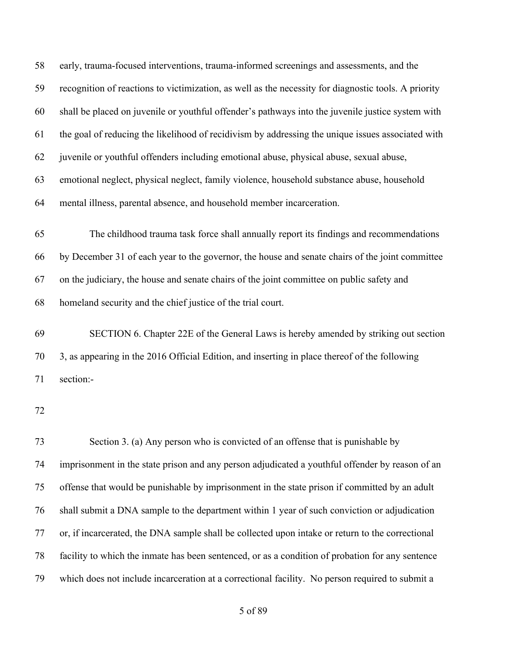early, trauma-focused interventions, trauma-informed screenings and assessments, and the recognition of reactions to victimization, as well as the necessity for diagnostic tools. A priority shall be placed on juvenile or youthful offender's pathways into the juvenile justice system with the goal of reducing the likelihood of recidivism by addressing the unique issues associated with juvenile or youthful offenders including emotional abuse, physical abuse, sexual abuse, emotional neglect, physical neglect, family violence, household substance abuse, household mental illness, parental absence, and household member incarceration. The childhood trauma task force shall annually report its findings and recommendations by December 31 of each year to the governor, the house and senate chairs of the joint committee on the judiciary, the house and senate chairs of the joint committee on public safety and homeland security and the chief justice of the trial court. SECTION 6. Chapter 22E of the General Laws is hereby amended by striking out section 3, as appearing in the 2016 Official Edition, and inserting in place thereof of the following section:- Section 3. (a) Any person who is convicted of an offense that is punishable by imprisonment in the state prison and any person adjudicated a youthful offender by reason of an offense that would be punishable by imprisonment in the state prison if committed by an adult shall submit a DNA sample to the department within 1 year of such conviction or adjudication or, if incarcerated, the DNA sample shall be collected upon intake or return to the correctional facility to which the inmate has been sentenced, or as a condition of probation for any sentence which does not include incarceration at a correctional facility. No person required to submit a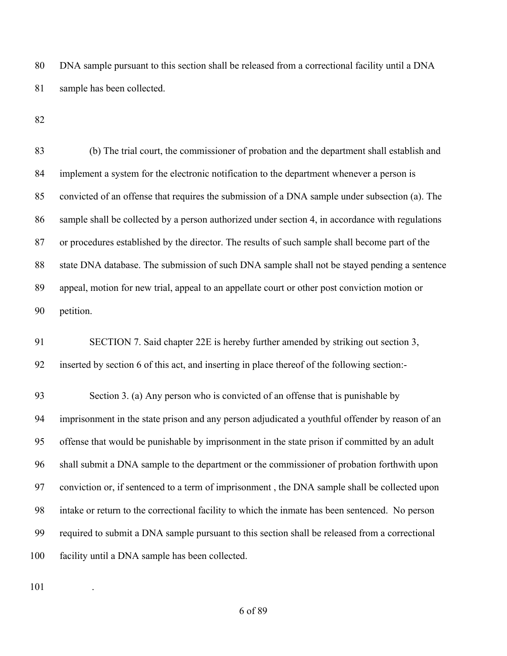DNA sample pursuant to this section shall be released from a correctional facility until a DNA sample has been collected.

| 83     | (b) The trial court, the commissioner of probation and the department shall establish and        |
|--------|--------------------------------------------------------------------------------------------------|
| 84     | implement a system for the electronic notification to the department whenever a person is        |
| 85     | convicted of an offense that requires the submission of a DNA sample under subsection (a). The   |
| 86     | sample shall be collected by a person authorized under section 4, in accordance with regulations |
| 87     | or procedures established by the director. The results of such sample shall become part of the   |
| $88\,$ | state DNA database. The submission of such DNA sample shall not be stayed pending a sentence     |
| 89     | appeal, motion for new trial, appeal to an appellate court or other post conviction motion or    |
| 90     | petition.                                                                                        |
| 91     | SECTION 7. Said chapter 22E is hereby further amended by striking out section 3,                 |
| 92     | inserted by section 6 of this act, and inserting in place thereof of the following section:-     |
| 93     | Section 3. (a) Any person who is convicted of an offense that is punishable by                   |
| 94     | imprisonment in the state prison and any person adjudicated a youthful offender by reason of an  |
| 95     | offense that would be punishable by imprisonment in the state prison if committed by an adult    |
| 96     | shall submit a DNA sample to the department or the commissioner of probation forthwith upon      |
| 97     | conviction or, if sentenced to a term of imprisonment, the DNA sample shall be collected upon    |
| 98     | intake or return to the correctional facility to which the inmate has been sentenced. No person  |
| 99     | required to submit a DNA sample pursuant to this section shall be released from a correctional   |
| 100    | facility until a DNA sample has been collected.                                                  |
|        |                                                                                                  |

.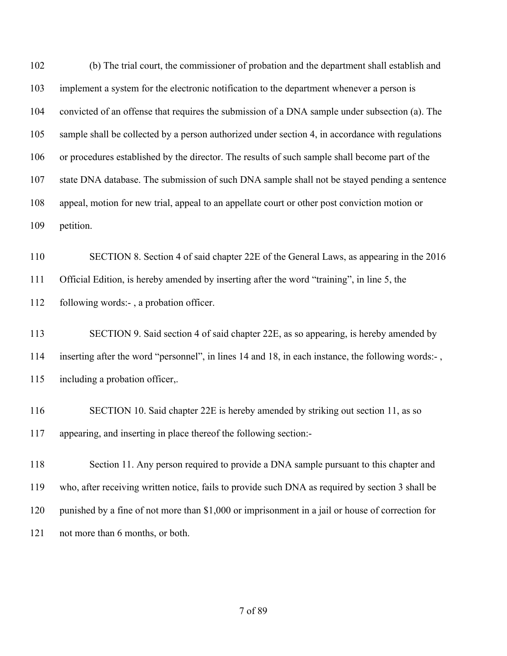(b) The trial court, the commissioner of probation and the department shall establish and implement a system for the electronic notification to the department whenever a person is convicted of an offense that requires the submission of a DNA sample under subsection (a). The sample shall be collected by a person authorized under section 4, in accordance with regulations or procedures established by the director. The results of such sample shall become part of the state DNA database. The submission of such DNA sample shall not be stayed pending a sentence appeal, motion for new trial, appeal to an appellate court or other post conviction motion or petition.

 SECTION 8. Section 4 of said chapter 22E of the General Laws, as appearing in the 2016 Official Edition, is hereby amended by inserting after the word "training", in line 5, the following words:- , a probation officer.

 SECTION 9. Said section 4 of said chapter 22E, as so appearing, is hereby amended by inserting after the word "personnel", in lines 14 and 18, in each instance, the following words:- , including a probation officer,.

 SECTION 10. Said chapter 22E is hereby amended by striking out section 11, as so appearing, and inserting in place thereof the following section:-

118 Section 11. Any person required to provide a DNA sample pursuant to this chapter and who, after receiving written notice, fails to provide such DNA as required by section 3 shall be punished by a fine of not more than \$1,000 or imprisonment in a jail or house of correction for 121 not more than 6 months, or both.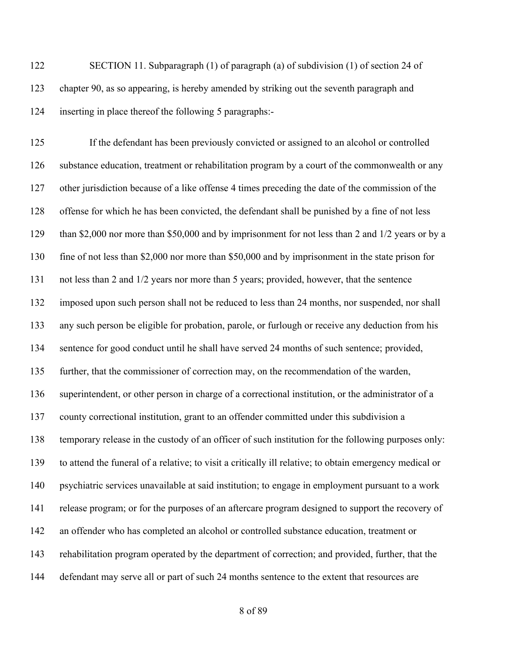SECTION 11. Subparagraph (1) of paragraph (a) of subdivision (1) of section 24 of chapter 90, as so appearing, is hereby amended by striking out the seventh paragraph and inserting in place thereof the following 5 paragraphs:-

 If the defendant has been previously convicted or assigned to an alcohol or controlled substance education, treatment or rehabilitation program by a court of the commonwealth or any other jurisdiction because of a like offense 4 times preceding the date of the commission of the offense for which he has been convicted, the defendant shall be punished by a fine of not less than \$2,000 nor more than \$50,000 and by imprisonment for not less than 2 and 1/2 years or by a fine of not less than \$2,000 nor more than \$50,000 and by imprisonment in the state prison for not less than 2 and 1/2 years nor more than 5 years; provided, however, that the sentence imposed upon such person shall not be reduced to less than 24 months, nor suspended, nor shall any such person be eligible for probation, parole, or furlough or receive any deduction from his sentence for good conduct until he shall have served 24 months of such sentence; provided, further, that the commissioner of correction may, on the recommendation of the warden, superintendent, or other person in charge of a correctional institution, or the administrator of a county correctional institution, grant to an offender committed under this subdivision a temporary release in the custody of an officer of such institution for the following purposes only: to attend the funeral of a relative; to visit a critically ill relative; to obtain emergency medical or psychiatric services unavailable at said institution; to engage in employment pursuant to a work release program; or for the purposes of an aftercare program designed to support the recovery of an offender who has completed an alcohol or controlled substance education, treatment or rehabilitation program operated by the department of correction; and provided, further, that the defendant may serve all or part of such 24 months sentence to the extent that resources are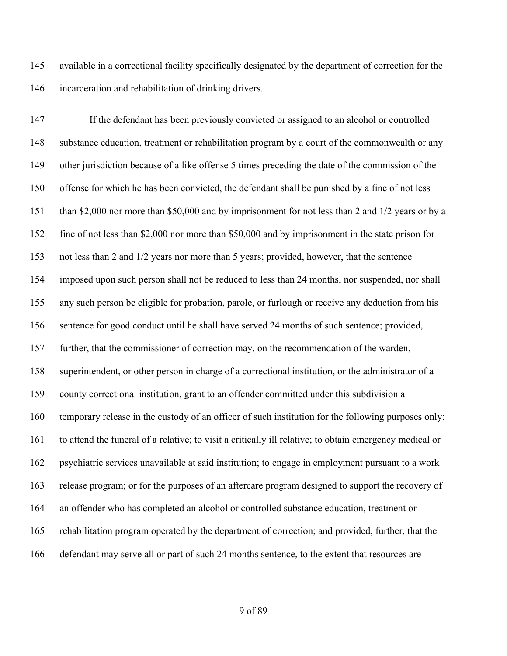available in a correctional facility specifically designated by the department of correction for the incarceration and rehabilitation of drinking drivers.

 If the defendant has been previously convicted or assigned to an alcohol or controlled substance education, treatment or rehabilitation program by a court of the commonwealth or any other jurisdiction because of a like offense 5 times preceding the date of the commission of the offense for which he has been convicted, the defendant shall be punished by a fine of not less than \$2,000 nor more than \$50,000 and by imprisonment for not less than 2 and 1/2 years or by a fine of not less than \$2,000 nor more than \$50,000 and by imprisonment in the state prison for not less than 2 and 1/2 years nor more than 5 years; provided, however, that the sentence imposed upon such person shall not be reduced to less than 24 months, nor suspended, nor shall any such person be eligible for probation, parole, or furlough or receive any deduction from his sentence for good conduct until he shall have served 24 months of such sentence; provided, further, that the commissioner of correction may, on the recommendation of the warden, superintendent, or other person in charge of a correctional institution, or the administrator of a county correctional institution, grant to an offender committed under this subdivision a temporary release in the custody of an officer of such institution for the following purposes only: to attend the funeral of a relative; to visit a critically ill relative; to obtain emergency medical or psychiatric services unavailable at said institution; to engage in employment pursuant to a work release program; or for the purposes of an aftercare program designed to support the recovery of an offender who has completed an alcohol or controlled substance education, treatment or rehabilitation program operated by the department of correction; and provided, further, that the defendant may serve all or part of such 24 months sentence, to the extent that resources are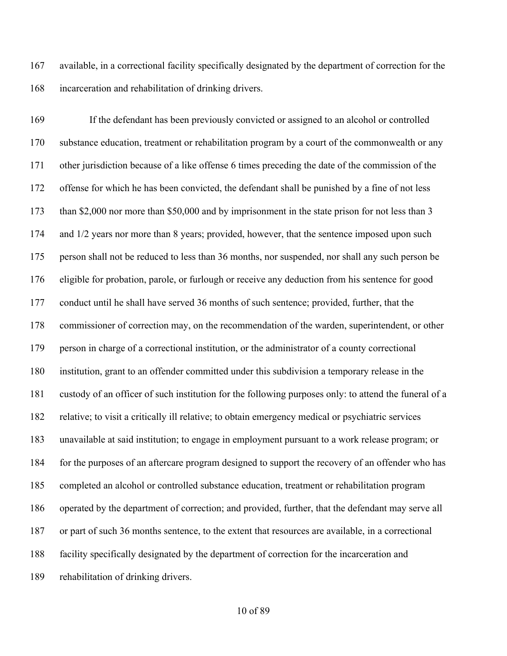available, in a correctional facility specifically designated by the department of correction for the incarceration and rehabilitation of drinking drivers.

 If the defendant has been previously convicted or assigned to an alcohol or controlled substance education, treatment or rehabilitation program by a court of the commonwealth or any other jurisdiction because of a like offense 6 times preceding the date of the commission of the offense for which he has been convicted, the defendant shall be punished by a fine of not less than \$2,000 nor more than \$50,000 and by imprisonment in the state prison for not less than 3 and 1/2 years nor more than 8 years; provided, however, that the sentence imposed upon such person shall not be reduced to less than 36 months, nor suspended, nor shall any such person be eligible for probation, parole, or furlough or receive any deduction from his sentence for good conduct until he shall have served 36 months of such sentence; provided, further, that the commissioner of correction may, on the recommendation of the warden, superintendent, or other person in charge of a correctional institution, or the administrator of a county correctional institution, grant to an offender committed under this subdivision a temporary release in the custody of an officer of such institution for the following purposes only: to attend the funeral of a relative; to visit a critically ill relative; to obtain emergency medical or psychiatric services unavailable at said institution; to engage in employment pursuant to a work release program; or for the purposes of an aftercare program designed to support the recovery of an offender who has completed an alcohol or controlled substance education, treatment or rehabilitation program operated by the department of correction; and provided, further, that the defendant may serve all or part of such 36 months sentence, to the extent that resources are available, in a correctional facility specifically designated by the department of correction for the incarceration and rehabilitation of drinking drivers.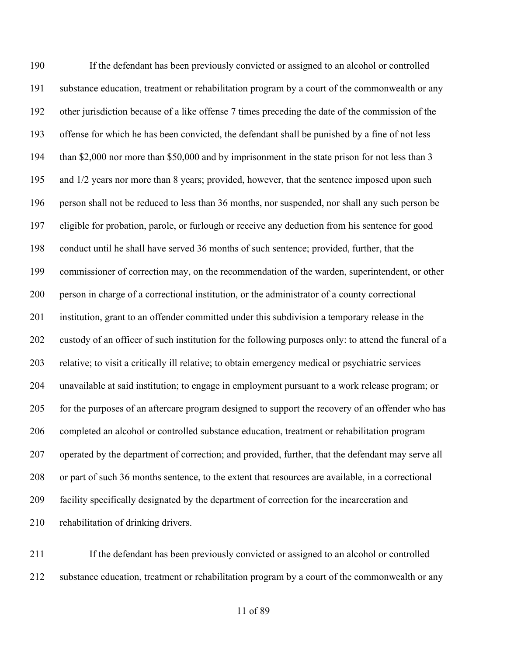If the defendant has been previously convicted or assigned to an alcohol or controlled substance education, treatment or rehabilitation program by a court of the commonwealth or any other jurisdiction because of a like offense 7 times preceding the date of the commission of the offense for which he has been convicted, the defendant shall be punished by a fine of not less 194 than \$2,000 nor more than \$50,000 and by imprisonment in the state prison for not less than 3 195 and 1/2 years nor more than 8 years; provided, however, that the sentence imposed upon such person shall not be reduced to less than 36 months, nor suspended, nor shall any such person be eligible for probation, parole, or furlough or receive any deduction from his sentence for good conduct until he shall have served 36 months of such sentence; provided, further, that the commissioner of correction may, on the recommendation of the warden, superintendent, or other person in charge of a correctional institution, or the administrator of a county correctional institution, grant to an offender committed under this subdivision a temporary release in the custody of an officer of such institution for the following purposes only: to attend the funeral of a relative; to visit a critically ill relative; to obtain emergency medical or psychiatric services unavailable at said institution; to engage in employment pursuant to a work release program; or for the purposes of an aftercare program designed to support the recovery of an offender who has completed an alcohol or controlled substance education, treatment or rehabilitation program operated by the department of correction; and provided, further, that the defendant may serve all or part of such 36 months sentence, to the extent that resources are available, in a correctional facility specifically designated by the department of correction for the incarceration and rehabilitation of drinking drivers.

 If the defendant has been previously convicted or assigned to an alcohol or controlled substance education, treatment or rehabilitation program by a court of the commonwealth or any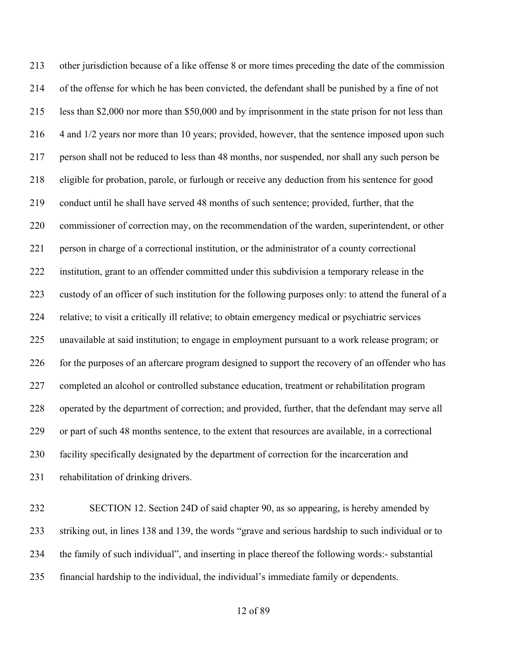other jurisdiction because of a like offense 8 or more times preceding the date of the commission of the offense for which he has been convicted, the defendant shall be punished by a fine of not less than \$2,000 nor more than \$50,000 and by imprisonment in the state prison for not less than 216 4 and 1/2 years nor more than 10 years; provided, however, that the sentence imposed upon such person shall not be reduced to less than 48 months, nor suspended, nor shall any such person be eligible for probation, parole, or furlough or receive any deduction from his sentence for good conduct until he shall have served 48 months of such sentence; provided, further, that the commissioner of correction may, on the recommendation of the warden, superintendent, or other person in charge of a correctional institution, or the administrator of a county correctional institution, grant to an offender committed under this subdivision a temporary release in the custody of an officer of such institution for the following purposes only: to attend the funeral of a relative; to visit a critically ill relative; to obtain emergency medical or psychiatric services unavailable at said institution; to engage in employment pursuant to a work release program; or 226 for the purposes of an aftercare program designed to support the recovery of an offender who has completed an alcohol or controlled substance education, treatment or rehabilitation program operated by the department of correction; and provided, further, that the defendant may serve all or part of such 48 months sentence, to the extent that resources are available, in a correctional facility specifically designated by the department of correction for the incarceration and rehabilitation of drinking drivers.

 SECTION 12. Section 24D of said chapter 90, as so appearing, is hereby amended by striking out, in lines 138 and 139, the words "grave and serious hardship to such individual or to the family of such individual", and inserting in place thereof the following words:- substantial financial hardship to the individual, the individual's immediate family or dependents.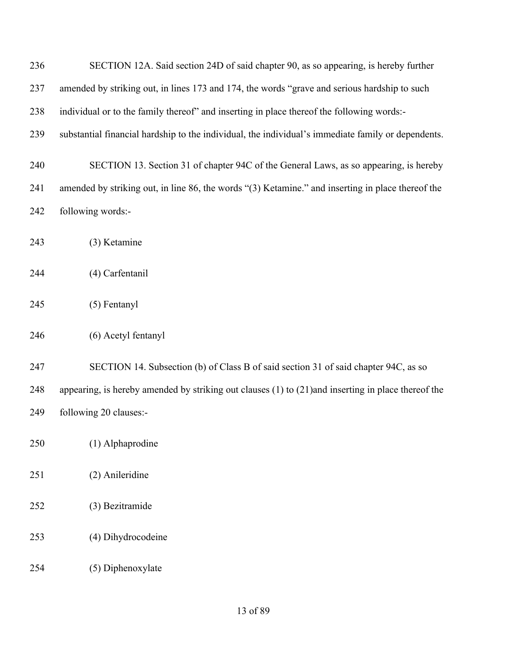| 236 | SECTION 12A. Said section 24D of said chapter 90, as so appearing, is hereby further                    |
|-----|---------------------------------------------------------------------------------------------------------|
| 237 | amended by striking out, in lines 173 and 174, the words "grave and serious hardship to such            |
| 238 | individual or to the family thereof" and inserting in place thereof the following words:-               |
| 239 | substantial financial hardship to the individual, the individual's immediate family or dependents.      |
| 240 | SECTION 13. Section 31 of chapter 94C of the General Laws, as so appearing, is hereby                   |
| 241 | amended by striking out, in line 86, the words "(3) Ketamine." and inserting in place thereof the       |
| 242 | following words:-                                                                                       |
| 243 | (3) Ketamine                                                                                            |
| 244 | (4) Carfentanil                                                                                         |
| 245 | $(5)$ Fentanyl                                                                                          |
| 246 | (6) Acetyl fentanyl                                                                                     |
| 247 | SECTION 14. Subsection (b) of Class B of said section 31 of said chapter 94C, as so                     |
| 248 | appearing, is hereby amended by striking out clauses $(1)$ to $(21)$ and inserting in place thereof the |
| 249 | following 20 clauses:-                                                                                  |
| 250 | (1) Alphaprodine                                                                                        |
| 251 | (2) Anileridine                                                                                         |
| 252 | (3) Bezitramide                                                                                         |
| 253 | (4) Dihydrocodeine                                                                                      |
| 254 | (5) Diphenoxylate                                                                                       |
|     |                                                                                                         |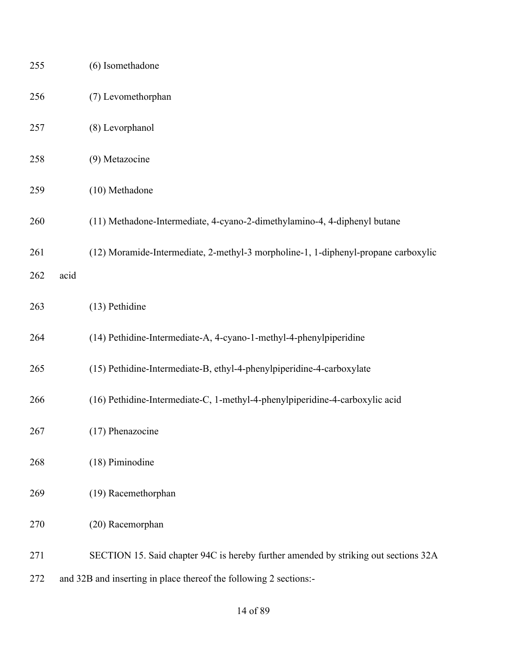| 255 |      | (6) Isomethadone                                                                    |
|-----|------|-------------------------------------------------------------------------------------|
| 256 |      | (7) Levomethorphan                                                                  |
| 257 |      | (8) Levorphanol                                                                     |
| 258 |      | (9) Metazocine                                                                      |
| 259 |      | (10) Methadone                                                                      |
| 260 |      | (11) Methadone-Intermediate, 4-cyano-2-dimethylamino-4, 4-diphenyl butane           |
| 261 |      | (12) Moramide-Intermediate, 2-methyl-3 morpholine-1, 1-diphenyl-propane carboxylic  |
| 262 | acid |                                                                                     |
| 263 |      | (13) Pethidine                                                                      |
| 264 |      | (14) Pethidine-Intermediate-A, 4-cyano-1-methyl-4-phenylpiperidine                  |
| 265 |      | (15) Pethidine-Intermediate-B, ethyl-4-phenylpiperidine-4-carboxylate               |
| 266 |      | (16) Pethidine-Intermediate-C, 1-methyl-4-phenylpiperidine-4-carboxylic acid        |
| 267 |      | (17) Phenazocine                                                                    |
| 268 |      | (18) Piminodine                                                                     |
| 269 |      | (19) Racemethorphan                                                                 |
| 270 |      | (20) Racemorphan                                                                    |
| 271 |      | SECTION 15. Said chapter 94C is hereby further amended by striking out sections 32A |
| 272 |      | and 32B and inserting in place thereof the following 2 sections:-                   |

### of 89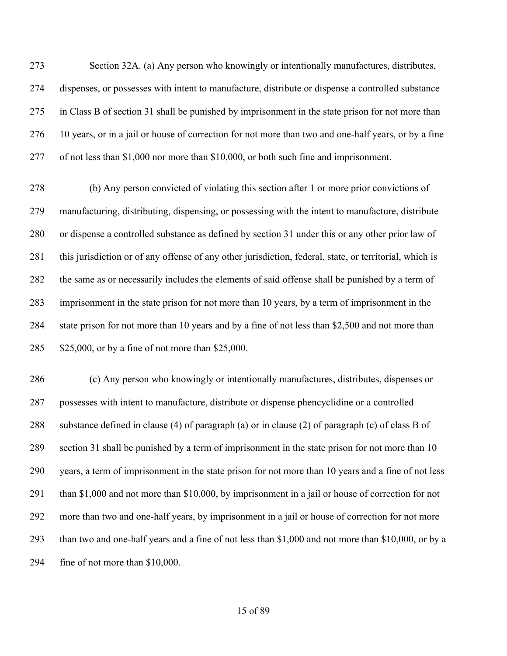Section 32A. (a) Any person who knowingly or intentionally manufactures, distributes, dispenses, or possesses with intent to manufacture, distribute or dispense a controlled substance in Class B of section 31 shall be punished by imprisonment in the state prison for not more than 10 years, or in a jail or house of correction for not more than two and one-half years, or by a fine of not less than \$1,000 nor more than \$10,000, or both such fine and imprisonment.

 (b) Any person convicted of violating this section after 1 or more prior convictions of manufacturing, distributing, dispensing, or possessing with the intent to manufacture, distribute or dispense a controlled substance as defined by section 31 under this or any other prior law of this jurisdiction or of any offense of any other jurisdiction, federal, state, or territorial, which is the same as or necessarily includes the elements of said offense shall be punished by a term of imprisonment in the state prison for not more than 10 years, by a term of imprisonment in the state prison for not more than 10 years and by a fine of not less than \$2,500 and not more than \$25,000, or by a fine of not more than \$25,000.

 (c) Any person who knowingly or intentionally manufactures, distributes, dispenses or possesses with intent to manufacture, distribute or dispense phencyclidine or a controlled substance defined in clause (4) of paragraph (a) or in clause (2) of paragraph (c) of class B of section 31 shall be punished by a term of imprisonment in the state prison for not more than 10 years, a term of imprisonment in the state prison for not more than 10 years and a fine of not less than \$1,000 and not more than \$10,000, by imprisonment in a jail or house of correction for not more than two and one-half years, by imprisonment in a jail or house of correction for not more than two and one-half years and a fine of not less than \$1,000 and not more than \$10,000, or by a fine of not more than \$10,000.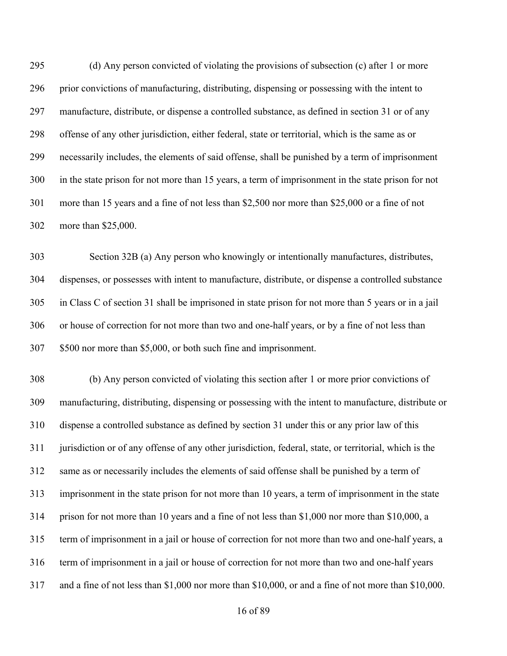(d) Any person convicted of violating the provisions of subsection (c) after 1 or more prior convictions of manufacturing, distributing, dispensing or possessing with the intent to manufacture, distribute, or dispense a controlled substance, as defined in section 31 or of any offense of any other jurisdiction, either federal, state or territorial, which is the same as or necessarily includes, the elements of said offense, shall be punished by a term of imprisonment in the state prison for not more than 15 years, a term of imprisonment in the state prison for not more than 15 years and a fine of not less than \$2,500 nor more than \$25,000 or a fine of not more than \$25,000.

 Section 32B (a) Any person who knowingly or intentionally manufactures, distributes, dispenses, or possesses with intent to manufacture, distribute, or dispense a controlled substance in Class C of section 31 shall be imprisoned in state prison for not more than 5 years or in a jail or house of correction for not more than two and one-half years, or by a fine of not less than \$500 nor more than \$5,000, or both such fine and imprisonment.

 (b) Any person convicted of violating this section after 1 or more prior convictions of manufacturing, distributing, dispensing or possessing with the intent to manufacture, distribute or dispense a controlled substance as defined by section 31 under this or any prior law of this jurisdiction or of any offense of any other jurisdiction, federal, state, or territorial, which is the same as or necessarily includes the elements of said offense shall be punished by a term of imprisonment in the state prison for not more than 10 years, a term of imprisonment in the state prison for not more than 10 years and a fine of not less than \$1,000 nor more than \$10,000, a term of imprisonment in a jail or house of correction for not more than two and one-half years, a term of imprisonment in a jail or house of correction for not more than two and one-half years and a fine of not less than \$1,000 nor more than \$10,000, or and a fine of not more than \$10,000.

of 89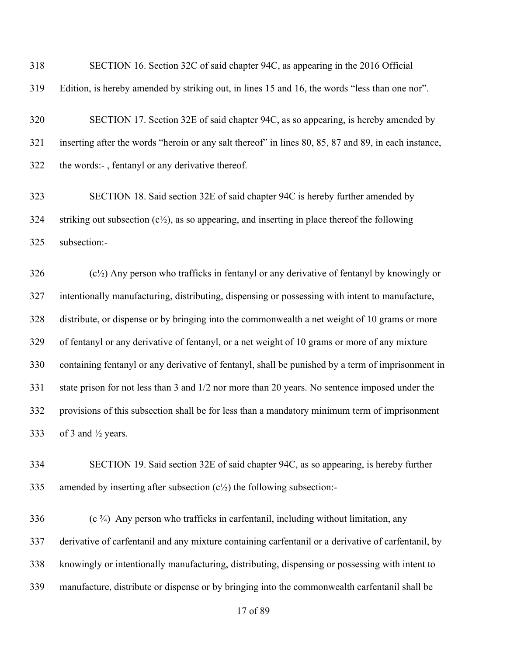| 318 | SECTION 16. Section 32C of said chapter 94C, as appearing in the 2016 Official |  |  |  |
|-----|--------------------------------------------------------------------------------|--|--|--|
|     |                                                                                |  |  |  |

Edition, is hereby amended by striking out, in lines 15 and 16, the words "less than one nor".

 SECTION 17. Section 32E of said chapter 94C, as so appearing, is hereby amended by inserting after the words "heroin or any salt thereof" in lines 80, 85, 87 and 89, in each instance, the words:- , fentanyl or any derivative thereof.

 SECTION 18. Said section 32E of said chapter 94C is hereby further amended by 324 striking out subsection  $(c^{1/2})$ , as so appearing, and inserting in place thereof the following subsection:-

 (c<sup>1</sup>/<sub>2</sub>) Any person who trafficks in fentanyl or any derivative of fentanyl by knowingly or intentionally manufacturing, distributing, dispensing or possessing with intent to manufacture, distribute, or dispense or by bringing into the commonwealth a net weight of 10 grams or more of fentanyl or any derivative of fentanyl, or a net weight of 10 grams or more of any mixture containing fentanyl or any derivative of fentanyl, shall be punished by a term of imprisonment in state prison for not less than 3 and 1/2 nor more than 20 years. No sentence imposed under the provisions of this subsection shall be for less than a mandatory minimum term of imprisonment 333 of 3 and  $\frac{1}{2}$  years.

 SECTION 19. Said section 32E of said chapter 94C, as so appearing, is hereby further 335 amended by inserting after subsection  $(c\frac{1}{2})$  the following subsection:-

 (c  $\frac{3}{4}$ ) Any person who trafficks in carfentanil, including without limitation, any derivative of carfentanil and any mixture containing carfentanil or a derivative of carfentanil, by knowingly or intentionally manufacturing, distributing, dispensing or possessing with intent to manufacture, distribute or dispense or by bringing into the commonwealth carfentanil shall be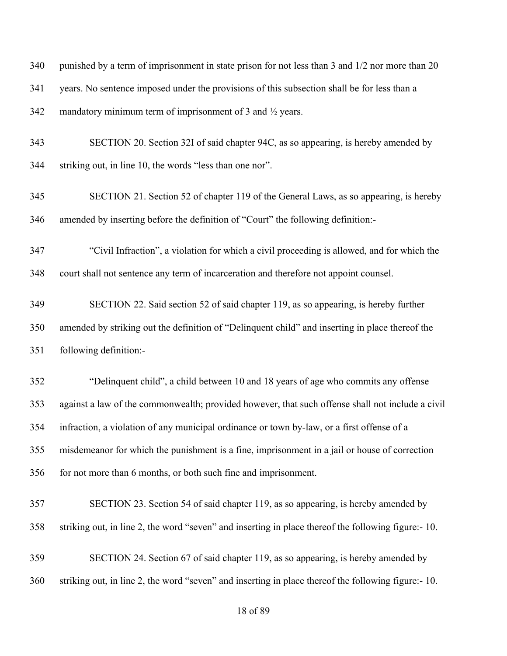340 punished by a term of imprisonment in state prison for not less than 3 and 1/2 nor more than 20 years. No sentence imposed under the provisions of this subsection shall be for less than a 342 mandatory minimum term of imprisonment of 3 and  $\frac{1}{2}$  years. SECTION 20. Section 32I of said chapter 94C, as so appearing, is hereby amended by striking out, in line 10, the words "less than one nor". SECTION 21. Section 52 of chapter 119 of the General Laws, as so appearing, is hereby amended by inserting before the definition of "Court" the following definition:- "Civil Infraction", a violation for which a civil proceeding is allowed, and for which the court shall not sentence any term of incarceration and therefore not appoint counsel. SECTION 22. Said section 52 of said chapter 119, as so appearing, is hereby further amended by striking out the definition of "Delinquent child" and inserting in place thereof the following definition:- "Delinquent child", a child between 10 and 18 years of age who commits any offense against a law of the commonwealth; provided however, that such offense shall not include a civil infraction, a violation of any municipal ordinance or town by-law, or a first offense of a misdemeanor for which the punishment is a fine, imprisonment in a jail or house of correction for not more than 6 months, or both such fine and imprisonment. SECTION 23. Section 54 of said chapter 119, as so appearing, is hereby amended by striking out, in line 2, the word "seven" and inserting in place thereof the following figure:- 10. SECTION 24. Section 67 of said chapter 119, as so appearing, is hereby amended by striking out, in line 2, the word "seven" and inserting in place thereof the following figure:- 10.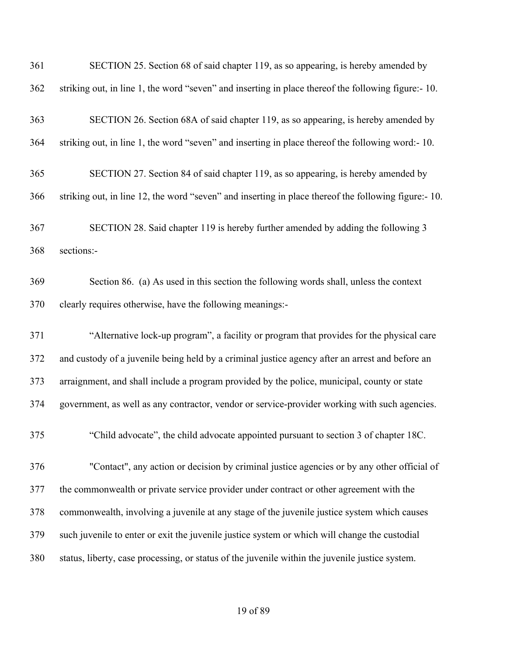| 361 | SECTION 25. Section 68 of said chapter 119, as so appearing, is hereby amended by                    |
|-----|------------------------------------------------------------------------------------------------------|
| 362 | striking out, in line 1, the word "seven" and inserting in place thereof the following figure:-10.   |
| 363 | SECTION 26. Section 68A of said chapter 119, as so appearing, is hereby amended by                   |
| 364 | striking out, in line 1, the word "seven" and inserting in place thereof the following word:-10.     |
| 365 | SECTION 27. Section 84 of said chapter 119, as so appearing, is hereby amended by                    |
| 366 | striking out, in line 12, the word "seven" and inserting in place thereof the following figure:- 10. |
| 367 | SECTION 28. Said chapter 119 is hereby further amended by adding the following 3                     |
| 368 | sections:-                                                                                           |
| 369 | Section 86. (a) As used in this section the following words shall, unless the context                |
| 370 | clearly requires otherwise, have the following meanings:-                                            |
| 371 | "Alternative lock-up program", a facility or program that provides for the physical care             |
| 372 | and custody of a juvenile being held by a criminal justice agency after an arrest and before an      |
| 373 | arraignment, and shall include a program provided by the police, municipal, county or state          |
| 374 | government, as well as any contractor, vendor or service-provider working with such agencies.        |
| 375 | "Child advocate", the child advocate appointed pursuant to section 3 of chapter 18C.                 |
| 376 | "Contact", any action or decision by criminal justice agencies or by any other official of           |
| 377 | the commonwealth or private service provider under contract or other agreement with the              |
| 378 | commonwealth, involving a juvenile at any stage of the juvenile justice system which causes          |
| 379 | such juvenile to enter or exit the juvenile justice system or which will change the custodial        |
| 380 | status, liberty, case processing, or status of the juvenile within the juvenile justice system.      |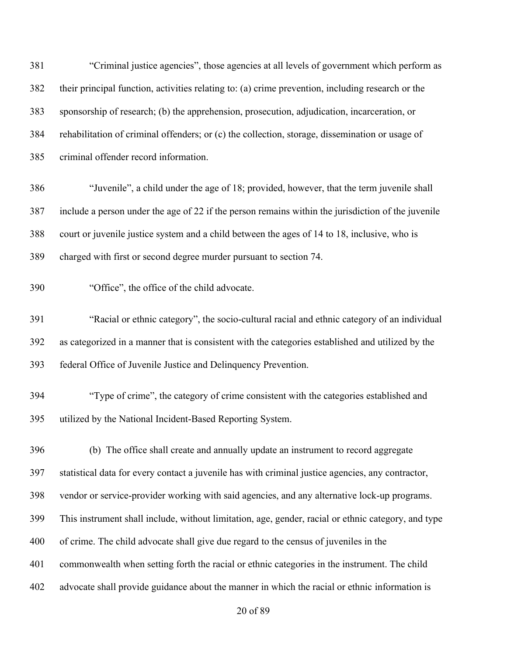"Criminal justice agencies", those agencies at all levels of government which perform as their principal function, activities relating to: (a) crime prevention, including research or the sponsorship of research; (b) the apprehension, prosecution, adjudication, incarceration, or rehabilitation of criminal offenders; or (c) the collection, storage, dissemination or usage of criminal offender record information. "Juvenile", a child under the age of 18; provided, however, that the term juvenile shall include a person under the age of 22 if the person remains within the jurisdiction of the juvenile court or juvenile justice system and a child between the ages of 14 to 18, inclusive, who is charged with first or second degree murder pursuant to section 74. "Office", the office of the child advocate. "Racial or ethnic category", the socio-cultural racial and ethnic category of an individual as categorized in a manner that is consistent with the categories established and utilized by the federal Office of Juvenile Justice and Delinquency Prevention. "Type of crime", the category of crime consistent with the categories established and utilized by the National Incident-Based Reporting System. (b) The office shall create and annually update an instrument to record aggregate statistical data for every contact a juvenile has with criminal justice agencies, any contractor, vendor or service-provider working with said agencies, and any alternative lock-up programs. This instrument shall include, without limitation, age, gender, racial or ethnic category, and type of crime. The child advocate shall give due regard to the census of juveniles in the commonwealth when setting forth the racial or ethnic categories in the instrument. The child advocate shall provide guidance about the manner in which the racial or ethnic information is

of 89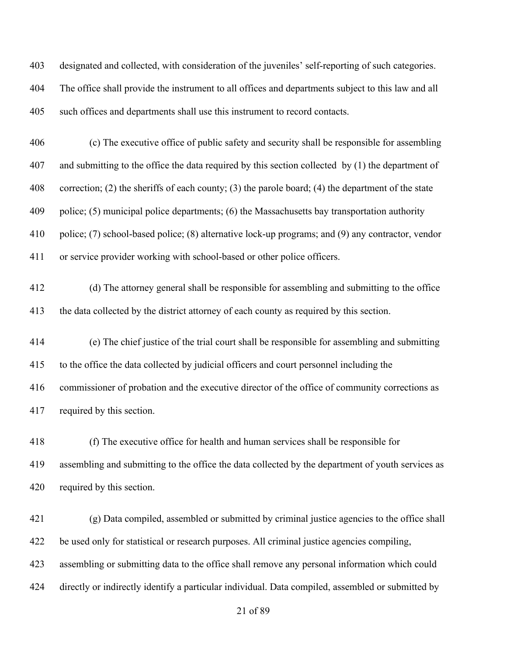designated and collected, with consideration of the juveniles' self-reporting of such categories. The office shall provide the instrument to all offices and departments subject to this law and all such offices and departments shall use this instrument to record contacts.

 (c) The executive office of public safety and security shall be responsible for assembling and submitting to the office the data required by this section collected by (1) the department of correction; (2) the sheriffs of each county; (3) the parole board; (4) the department of the state police; (5) municipal police departments; (6) the Massachusetts bay transportation authority police; (7) school-based police; (8) alternative lock-up programs; and (9) any contractor, vendor or service provider working with school-based or other police officers.

 (d) The attorney general shall be responsible for assembling and submitting to the office the data collected by the district attorney of each county as required by this section.

 (e) The chief justice of the trial court shall be responsible for assembling and submitting to the office the data collected by judicial officers and court personnel including the commissioner of probation and the executive director of the office of community corrections as required by this section.

 (f) The executive office for health and human services shall be responsible for assembling and submitting to the office the data collected by the department of youth services as required by this section.

 (g) Data compiled, assembled or submitted by criminal justice agencies to the office shall be used only for statistical or research purposes. All criminal justice agencies compiling, assembling or submitting data to the office shall remove any personal information which could directly or indirectly identify a particular individual. Data compiled, assembled or submitted by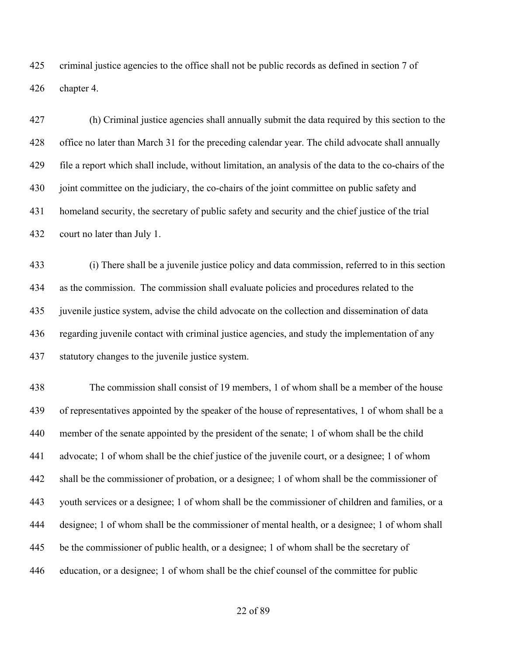criminal justice agencies to the office shall not be public records as defined in section 7 of chapter 4.

 (h) Criminal justice agencies shall annually submit the data required by this section to the office no later than March 31 for the preceding calendar year. The child advocate shall annually file a report which shall include, without limitation, an analysis of the data to the co-chairs of the joint committee on the judiciary, the co-chairs of the joint committee on public safety and homeland security, the secretary of public safety and security and the chief justice of the trial court no later than July 1.

 (i) There shall be a juvenile justice policy and data commission, referred to in this section as the commission. The commission shall evaluate policies and procedures related to the juvenile justice system, advise the child advocate on the collection and dissemination of data regarding juvenile contact with criminal justice agencies, and study the implementation of any statutory changes to the juvenile justice system.

 The commission shall consist of 19 members, 1 of whom shall be a member of the house of representatives appointed by the speaker of the house of representatives, 1 of whom shall be a member of the senate appointed by the president of the senate; 1 of whom shall be the child advocate; 1 of whom shall be the chief justice of the juvenile court, or a designee; 1 of whom shall be the commissioner of probation, or a designee; 1 of whom shall be the commissioner of youth services or a designee; 1 of whom shall be the commissioner of children and families, or a designee; 1 of whom shall be the commissioner of mental health, or a designee; 1 of whom shall be the commissioner of public health, or a designee; 1 of whom shall be the secretary of education, or a designee; 1 of whom shall be the chief counsel of the committee for public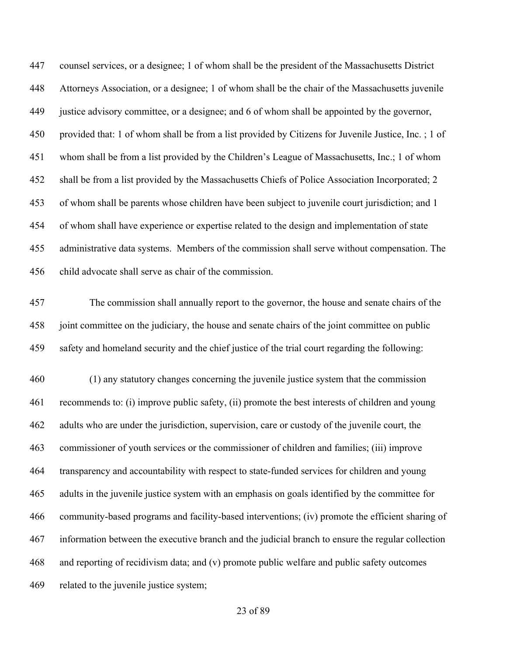counsel services, or a designee; 1 of whom shall be the president of the Massachusetts District Attorneys Association, or a designee; 1 of whom shall be the chair of the Massachusetts juvenile justice advisory committee, or a designee; and 6 of whom shall be appointed by the governor, provided that: 1 of whom shall be from a list provided by Citizens for Juvenile Justice, Inc. ; 1 of whom shall be from a list provided by the Children's League of Massachusetts, Inc.; 1 of whom shall be from a list provided by the Massachusetts Chiefs of Police Association Incorporated; 2 of whom shall be parents whose children have been subject to juvenile court jurisdiction; and 1 of whom shall have experience or expertise related to the design and implementation of state administrative data systems. Members of the commission shall serve without compensation. The child advocate shall serve as chair of the commission.

 The commission shall annually report to the governor, the house and senate chairs of the joint committee on the judiciary, the house and senate chairs of the joint committee on public safety and homeland security and the chief justice of the trial court regarding the following:

 (1) any statutory changes concerning the juvenile justice system that the commission recommends to: (i) improve public safety, (ii) promote the best interests of children and young adults who are under the jurisdiction, supervision, care or custody of the juvenile court, the commissioner of youth services or the commissioner of children and families; (iii) improve transparency and accountability with respect to state-funded services for children and young adults in the juvenile justice system with an emphasis on goals identified by the committee for community-based programs and facility-based interventions; (iv) promote the efficient sharing of information between the executive branch and the judicial branch to ensure the regular collection and reporting of recidivism data; and (v) promote public welfare and public safety outcomes related to the juvenile justice system;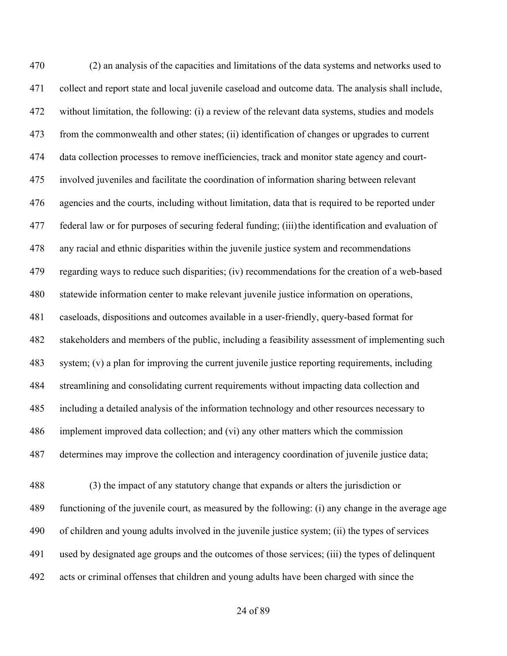(2) an analysis of the capacities and limitations of the data systems and networks used to collect and report state and local juvenile caseload and outcome data. The analysis shall include, without limitation, the following: (i) a review of the relevant data systems, studies and models from the commonwealth and other states; (ii) identification of changes or upgrades to current data collection processes to remove inefficiencies, track and monitor state agency and court- involved juveniles and facilitate the coordination of information sharing between relevant agencies and the courts, including without limitation, data that is required to be reported under federal law or for purposes of securing federal funding; (iii)the identification and evaluation of any racial and ethnic disparities within the juvenile justice system and recommendations regarding ways to reduce such disparities; (iv) recommendations for the creation of a web-based statewide information center to make relevant juvenile justice information on operations, caseloads, dispositions and outcomes available in a user-friendly, query-based format for stakeholders and members of the public, including a feasibility assessment of implementing such system; (v) a plan for improving the current juvenile justice reporting requirements, including streamlining and consolidating current requirements without impacting data collection and including a detailed analysis of the information technology and other resources necessary to implement improved data collection; and (vi) any other matters which the commission determines may improve the collection and interagency coordination of juvenile justice data;

 (3) the impact of any statutory change that expands or alters the jurisdiction or functioning of the juvenile court, as measured by the following: (i) any change in the average age of children and young adults involved in the juvenile justice system; (ii) the types of services used by designated age groups and the outcomes of those services; (iii) the types of delinquent acts or criminal offenses that children and young adults have been charged with since the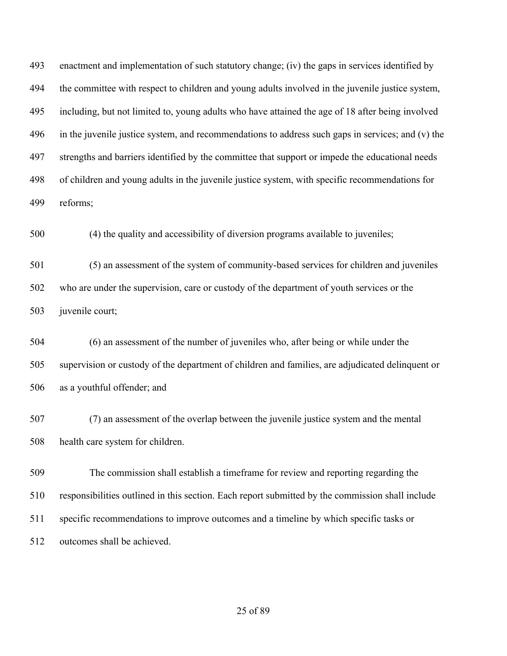enactment and implementation of such statutory change; (iv) the gaps in services identified by the committee with respect to children and young adults involved in the juvenile justice system, including, but not limited to, young adults who have attained the age of 18 after being involved in the juvenile justice system, and recommendations to address such gaps in services; and (v) the strengths and barriers identified by the committee that support or impede the educational needs of children and young adults in the juvenile justice system, with specific recommendations for reforms;

(4) the quality and accessibility of diversion programs available to juveniles;

 (5) an assessment of the system of community-based services for children and juveniles who are under the supervision, care or custody of the department of youth services or the juvenile court;

 (6) an assessment of the number of juveniles who, after being or while under the supervision or custody of the department of children and families, are adjudicated delinquent or as a youthful offender; and

 (7) an assessment of the overlap between the juvenile justice system and the mental health care system for children.

 The commission shall establish a timeframe for review and reporting regarding the responsibilities outlined in this section. Each report submitted by the commission shall include specific recommendations to improve outcomes and a timeline by which specific tasks or outcomes shall be achieved.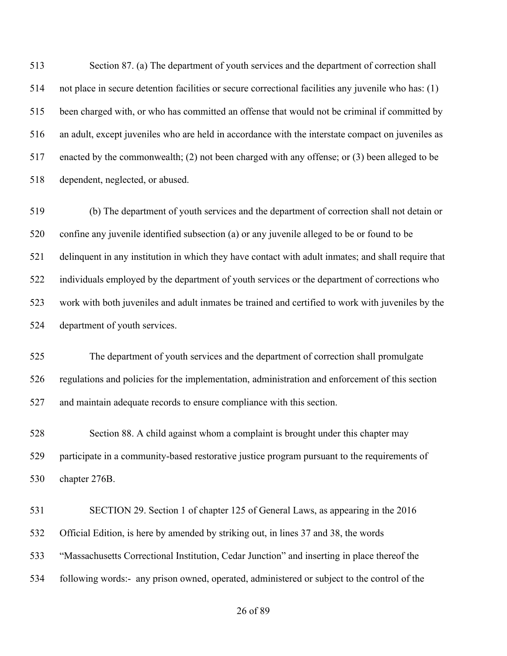Section 87. (a) The department of youth services and the department of correction shall not place in secure detention facilities or secure correctional facilities any juvenile who has: (1) been charged with, or who has committed an offense that would not be criminal if committed by an adult, except juveniles who are held in accordance with the interstate compact on juveniles as enacted by the commonwealth; (2) not been charged with any offense; or (3) been alleged to be dependent, neglected, or abused.

 (b) The department of youth services and the department of correction shall not detain or confine any juvenile identified subsection (a) or any juvenile alleged to be or found to be delinquent in any institution in which they have contact with adult inmates; and shall require that individuals employed by the department of youth services or the department of corrections who work with both juveniles and adult inmates be trained and certified to work with juveniles by the department of youth services.

 The department of youth services and the department of correction shall promulgate regulations and policies for the implementation, administration and enforcement of this section and maintain adequate records to ensure compliance with this section.

 Section 88. A child against whom a complaint is brought under this chapter may participate in a community-based restorative justice program pursuant to the requirements of chapter 276B.

 SECTION 29. Section 1 of chapter 125 of General Laws, as appearing in the 2016 Official Edition, is here by amended by striking out, in lines 37 and 38, the words "Massachusetts Correctional Institution, Cedar Junction" and inserting in place thereof the following words:- any prison owned, operated, administered or subject to the control of the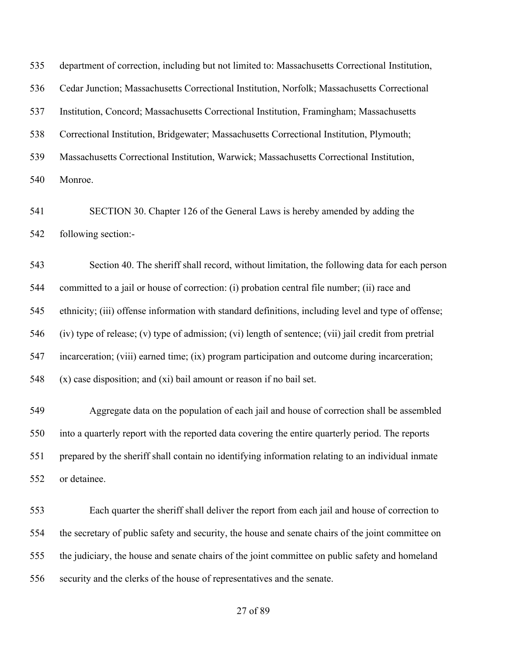department of correction, including but not limited to: Massachusetts Correctional Institution, Cedar Junction; Massachusetts Correctional Institution, Norfolk; Massachusetts Correctional Institution, Concord; Massachusetts Correctional Institution, Framingham; Massachusetts Correctional Institution, Bridgewater; Massachusetts Correctional Institution, Plymouth; Massachusetts Correctional Institution, Warwick; Massachusetts Correctional Institution, Monroe.

 SECTION 30. Chapter 126 of the General Laws is hereby amended by adding the following section:-

 Section 40. The sheriff shall record, without limitation, the following data for each person committed to a jail or house of correction: (i) probation central file number; (ii) race and ethnicity; (iii) offense information with standard definitions, including level and type of offense; (iv) type of release; (v) type of admission; (vi) length of sentence; (vii) jail credit from pretrial incarceration; (viii) earned time; (ix) program participation and outcome during incarceration; (x) case disposition; and (xi) bail amount or reason if no bail set.

 Aggregate data on the population of each jail and house of correction shall be assembled into a quarterly report with the reported data covering the entire quarterly period. The reports prepared by the sheriff shall contain no identifying information relating to an individual inmate or detainee.

 Each quarter the sheriff shall deliver the report from each jail and house of correction to the secretary of public safety and security, the house and senate chairs of the joint committee on the judiciary, the house and senate chairs of the joint committee on public safety and homeland security and the clerks of the house of representatives and the senate.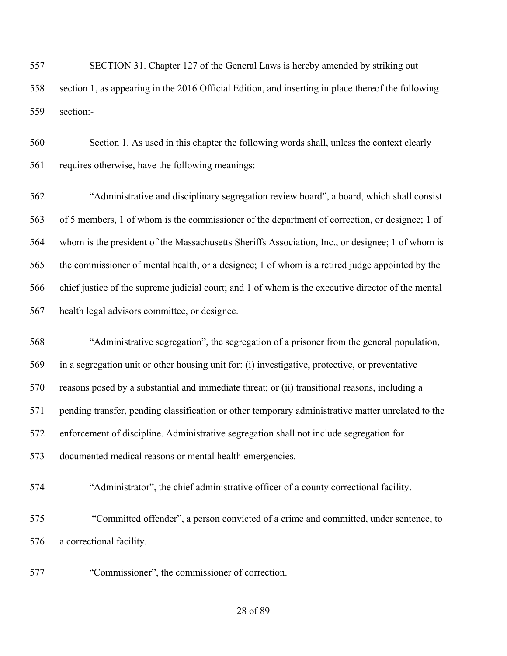SECTION 31. Chapter 127 of the General Laws is hereby amended by striking out section 1, as appearing in the 2016 Official Edition, and inserting in place thereof the following section:-

 Section 1. As used in this chapter the following words shall, unless the context clearly requires otherwise, have the following meanings:

 "Administrative and disciplinary segregation review board", a board, which shall consist of 5 members, 1 of whom is the commissioner of the department of correction, or designee; 1 of whom is the president of the Massachusetts Sheriffs Association, Inc., or designee; 1 of whom is the commissioner of mental health, or a designee; 1 of whom is a retired judge appointed by the chief justice of the supreme judicial court; and 1 of whom is the executive director of the mental health legal advisors committee, or designee.

 "Administrative segregation", the segregation of a prisoner from the general population, in a segregation unit or other housing unit for: (i) investigative, protective, or preventative reasons posed by a substantial and immediate threat; or (ii) transitional reasons, including a pending transfer, pending classification or other temporary administrative matter unrelated to the enforcement of discipline. Administrative segregation shall not include segregation for documented medical reasons or mental health emergencies.

"Administrator", the chief administrative officer of a county correctional facility.

 "Committed offender", a person convicted of a crime and committed, under sentence, to a correctional facility.

"Commissioner", the commissioner of correction.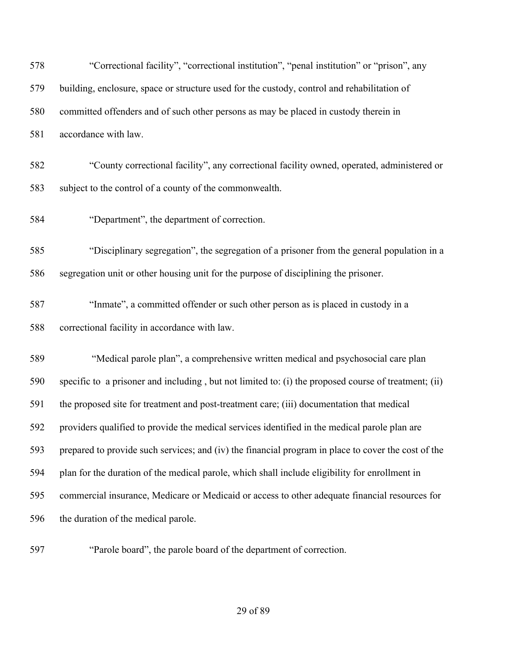| 578 | "Correctional facility", "correctional institution", "penal institution" or "prison", any            |
|-----|------------------------------------------------------------------------------------------------------|
| 579 | building, enclosure, space or structure used for the custody, control and rehabilitation of          |
| 580 | committed offenders and of such other persons as may be placed in custody therein in                 |
| 581 | accordance with law.                                                                                 |
| 582 | "County correctional facility", any correctional facility owned, operated, administered or           |
| 583 | subject to the control of a county of the commonwealth.                                              |
| 584 | "Department", the department of correction.                                                          |
| 585 | "Disciplinary segregation", the segregation of a prisoner from the general population in a           |
| 586 | segregation unit or other housing unit for the purpose of disciplining the prisoner.                 |
| 587 | "Inmate", a committed offender or such other person as is placed in custody in a                     |
| 588 | correctional facility in accordance with law.                                                        |
| 589 | "Medical parole plan", a comprehensive written medical and psychosocial care plan                    |
| 590 | specific to a prisoner and including, but not limited to: (i) the proposed course of treatment; (ii) |
| 591 | the proposed site for treatment and post-treatment care; (iii) documentation that medical            |
| 592 | providers qualified to provide the medical services identified in the medical parole plan are        |
| 593 | prepared to provide such services; and (iv) the financial program in place to cover the cost of the  |
| 594 | plan for the duration of the medical parole, which shall include eligibility for enrollment in       |
| 595 | commercial insurance, Medicare or Medicaid or access to other adequate financial resources for       |
| 596 | the duration of the medical parole.                                                                  |
|     |                                                                                                      |

"Parole board", the parole board of the department of correction.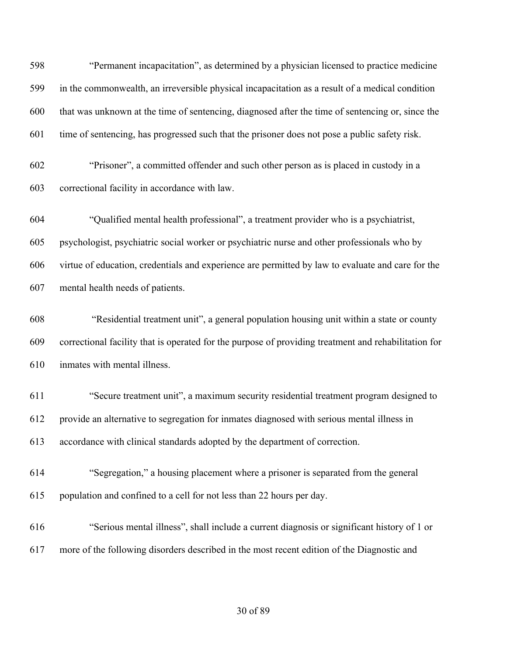"Permanent incapacitation", as determined by a physician licensed to practice medicine in the commonwealth, an irreversible physical incapacitation as a result of a medical condition that was unknown at the time of sentencing, diagnosed after the time of sentencing or, since the time of sentencing, has progressed such that the prisoner does not pose a public safety risk. "Prisoner", a committed offender and such other person as is placed in custody in a

correctional facility in accordance with law.

 "Qualified mental health professional", a treatment provider who is a psychiatrist, psychologist, psychiatric social worker or psychiatric nurse and other professionals who by virtue of education, credentials and experience are permitted by law to evaluate and care for the mental health needs of patients.

 "Residential treatment unit", a general population housing unit within a state or county correctional facility that is operated for the purpose of providing treatment and rehabilitation for inmates with mental illness.

 "Secure treatment unit", a maximum security residential treatment program designed to provide an alternative to segregation for inmates diagnosed with serious mental illness in accordance with clinical standards adopted by the department of correction.

- "Segregation," a housing placement where a prisoner is separated from the general population and confined to a cell for not less than 22 hours per day.
- "Serious mental illness", shall include a current diagnosis or significant history of 1 or more of the following disorders described in the most recent edition of the Diagnostic and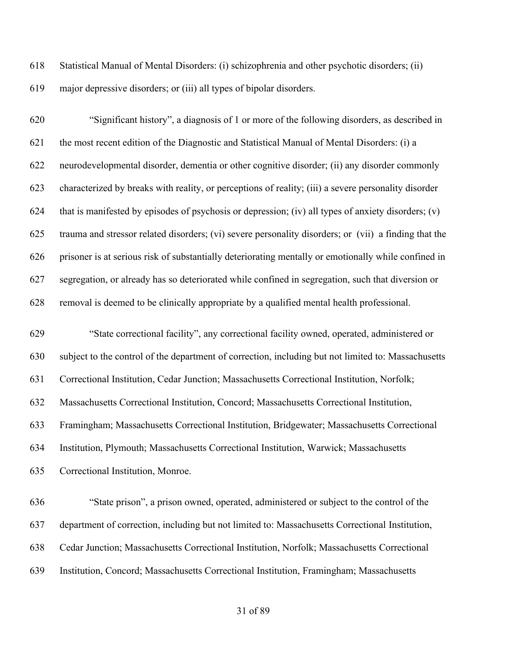Statistical Manual of Mental Disorders: (i) schizophrenia and other psychotic disorders; (ii) major depressive disorders; or (iii) all types of bipolar disorders.

 "Significant history", a diagnosis of 1 or more of the following disorders, as described in the most recent edition of the Diagnostic and Statistical Manual of Mental Disorders: (i) a neurodevelopmental disorder, dementia or other cognitive disorder; (ii) any disorder commonly characterized by breaks with reality, or perceptions of reality; (iii) a severe personality disorder 624 that is manifested by episodes of psychosis or depression; (iv) all types of anxiety disorders; (v) trauma and stressor related disorders; (vi) severe personality disorders; or (vii) a finding that the prisoner is at serious risk of substantially deteriorating mentally or emotionally while confined in segregation, or already has so deteriorated while confined in segregation, such that diversion or removal is deemed to be clinically appropriate by a qualified mental health professional.

 "State correctional facility", any correctional facility owned, operated, administered or subject to the control of the department of correction, including but not limited to: Massachusetts Correctional Institution, Cedar Junction; Massachusetts Correctional Institution, Norfolk; Massachusetts Correctional Institution, Concord; Massachusetts Correctional Institution, Framingham; Massachusetts Correctional Institution, Bridgewater; Massachusetts Correctional Institution, Plymouth; Massachusetts Correctional Institution, Warwick; Massachusetts Correctional Institution, Monroe.

 "State prison", a prison owned, operated, administered or subject to the control of the department of correction, including but not limited to: Massachusetts Correctional Institution, Cedar Junction; Massachusetts Correctional Institution, Norfolk; Massachusetts Correctional Institution, Concord; Massachusetts Correctional Institution, Framingham; Massachusetts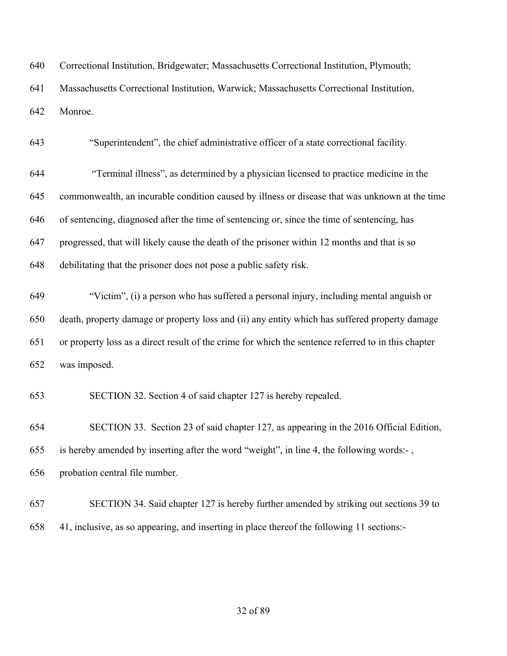| 640 | Correctional Institution, Bridgewater; Massachusetts Correctional Institution, Plymouth;            |
|-----|-----------------------------------------------------------------------------------------------------|
| 641 | Massachusetts Correctional Institution, Warwick; Massachusetts Correctional Institution,            |
| 642 | Monroe.                                                                                             |
| 643 | "Superintendent", the chief administrative officer of a state correctional facility.                |
| 644 | "Terminal illness", as determined by a physician licensed to practice medicine in the               |
| 645 | commonwealth, an incurable condition caused by illness or disease that was unknown at the time      |
| 646 | of sentencing, diagnosed after the time of sentencing or, since the time of sentencing, has         |
| 647 | progressed, that will likely cause the death of the prisoner within 12 months and that is so        |
| 648 | debilitating that the prisoner does not pose a public safety risk.                                  |
| 649 | "Victim", (i) a person who has suffered a personal injury, including mental anguish or              |
| 650 | death, property damage or property loss and (ii) any entity which has suffered property damage      |
| 651 | or property loss as a direct result of the crime for which the sentence referred to in this chapter |
| 652 | was imposed.                                                                                        |
| 653 | SECTION 32. Section 4 of said chapter 127 is hereby repealed.                                       |
| 654 | SECTION 33. Section 23 of said chapter 127, as appearing in the 2016 Official Edition,              |
| 655 | is hereby amended by inserting after the word "weight", in line 4, the following words:-,           |
| 656 | probation central file number.                                                                      |
| 657 | SECTION 34. Said chapter 127 is hereby further amended by striking out sections 39 to               |
| 658 | 41, inclusive, as so appearing, and inserting in place thereof the following 11 sections:-          |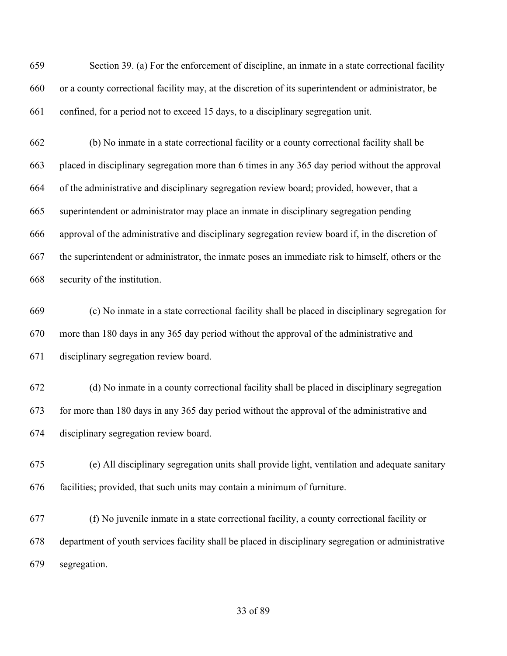Section 39. (a) For the enforcement of discipline, an inmate in a state correctional facility or a county correctional facility may, at the discretion of its superintendent or administrator, be confined, for a period not to exceed 15 days, to a disciplinary segregation unit.

 (b) No inmate in a state correctional facility or a county correctional facility shall be placed in disciplinary segregation more than 6 times in any 365 day period without the approval of the administrative and disciplinary segregation review board; provided, however, that a superintendent or administrator may place an inmate in disciplinary segregation pending approval of the administrative and disciplinary segregation review board if, in the discretion of the superintendent or administrator, the inmate poses an immediate risk to himself, others or the security of the institution.

 (c) No inmate in a state correctional facility shall be placed in disciplinary segregation for more than 180 days in any 365 day period without the approval of the administrative and disciplinary segregation review board.

 (d) No inmate in a county correctional facility shall be placed in disciplinary segregation for more than 180 days in any 365 day period without the approval of the administrative and disciplinary segregation review board.

 (e) All disciplinary segregation units shall provide light, ventilation and adequate sanitary facilities; provided, that such units may contain a minimum of furniture.

 (f) No juvenile inmate in a state correctional facility, a county correctional facility or department of youth services facility shall be placed in disciplinary segregation or administrative segregation.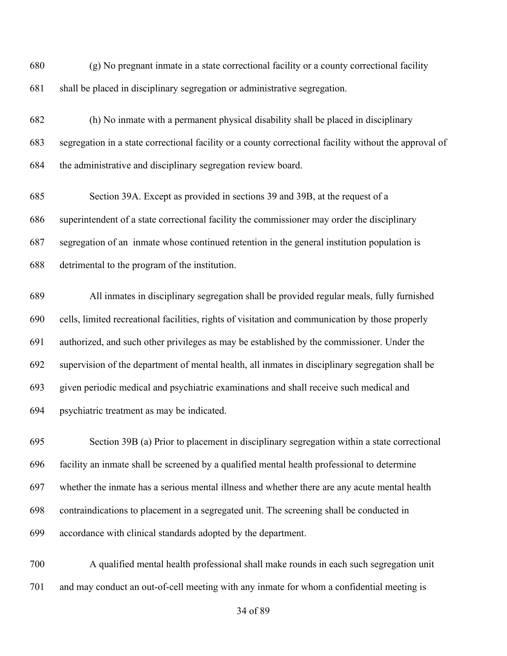(g) No pregnant inmate in a state correctional facility or a county correctional facility shall be placed in disciplinary segregation or administrative segregation.

 (h) No inmate with a permanent physical disability shall be placed in disciplinary segregation in a state correctional facility or a county correctional facility without the approval of the administrative and disciplinary segregation review board.

 Section 39A. Except as provided in sections 39 and 39B, at the request of a superintendent of a state correctional facility the commissioner may order the disciplinary segregation of an inmate whose continued retention in the general institution population is detrimental to the program of the institution.

 All inmates in disciplinary segregation shall be provided regular meals, fully furnished cells, limited recreational facilities, rights of visitation and communication by those properly authorized, and such other privileges as may be established by the commissioner. Under the supervision of the department of mental health, all inmates in disciplinary segregation shall be given periodic medical and psychiatric examinations and shall receive such medical and psychiatric treatment as may be indicated.

 Section 39B (a) Prior to placement in disciplinary segregation within a state correctional facility an inmate shall be screened by a qualified mental health professional to determine whether the inmate has a serious mental illness and whether there are any acute mental health contraindications to placement in a segregated unit. The screening shall be conducted in accordance with clinical standards adopted by the department.

 A qualified mental health professional shall make rounds in each such segregation unit and may conduct an out-of-cell meeting with any inmate for whom a confidential meeting is

of 89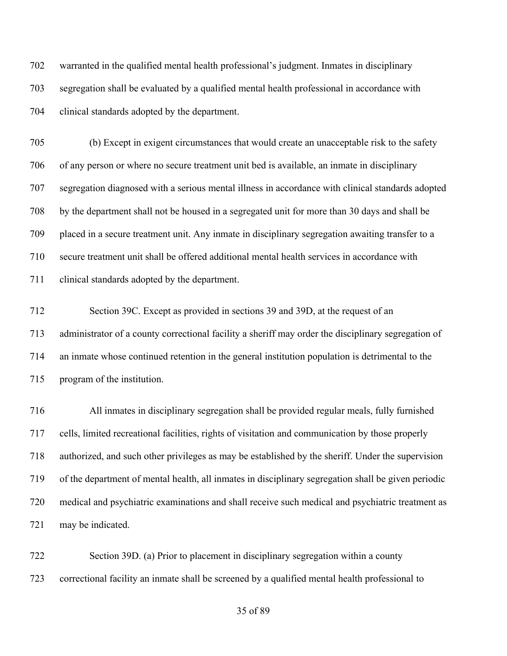warranted in the qualified mental health professional's judgment. Inmates in disciplinary segregation shall be evaluated by a qualified mental health professional in accordance with clinical standards adopted by the department.

 (b) Except in exigent circumstances that would create an unacceptable risk to the safety of any person or where no secure treatment unit bed is available, an inmate in disciplinary segregation diagnosed with a serious mental illness in accordance with clinical standards adopted by the department shall not be housed in a segregated unit for more than 30 days and shall be placed in a secure treatment unit. Any inmate in disciplinary segregation awaiting transfer to a secure treatment unit shall be offered additional mental health services in accordance with clinical standards adopted by the department.

 Section 39C. Except as provided in sections 39 and 39D, at the request of an administrator of a county correctional facility a sheriff may order the disciplinary segregation of an inmate whose continued retention in the general institution population is detrimental to the program of the institution.

 All inmates in disciplinary segregation shall be provided regular meals, fully furnished cells, limited recreational facilities, rights of visitation and communication by those properly authorized, and such other privileges as may be established by the sheriff. Under the supervision of the department of mental health, all inmates in disciplinary segregation shall be given periodic medical and psychiatric examinations and shall receive such medical and psychiatric treatment as may be indicated.

 Section 39D. (a) Prior to placement in disciplinary segregation within a county correctional facility an inmate shall be screened by a qualified mental health professional to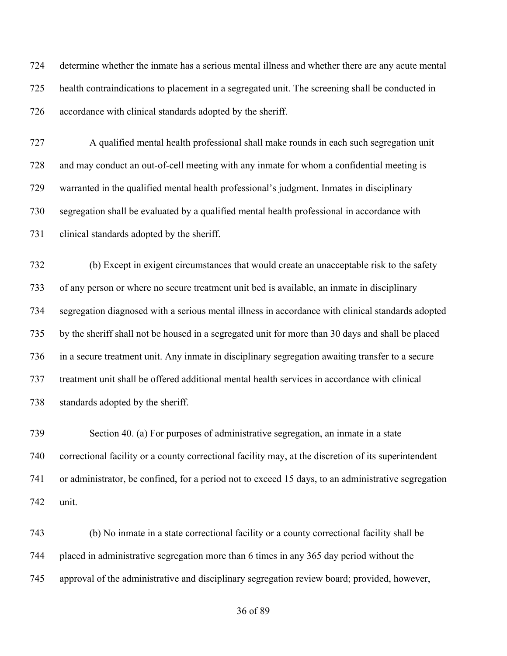determine whether the inmate has a serious mental illness and whether there are any acute mental health contraindications to placement in a segregated unit. The screening shall be conducted in accordance with clinical standards adopted by the sheriff.

 A qualified mental health professional shall make rounds in each such segregation unit and may conduct an out-of-cell meeting with any inmate for whom a confidential meeting is warranted in the qualified mental health professional's judgment. Inmates in disciplinary segregation shall be evaluated by a qualified mental health professional in accordance with clinical standards adopted by the sheriff.

 (b) Except in exigent circumstances that would create an unacceptable risk to the safety of any person or where no secure treatment unit bed is available, an inmate in disciplinary segregation diagnosed with a serious mental illness in accordance with clinical standards adopted by the sheriff shall not be housed in a segregated unit for more than 30 days and shall be placed in a secure treatment unit. Any inmate in disciplinary segregation awaiting transfer to a secure treatment unit shall be offered additional mental health services in accordance with clinical standards adopted by the sheriff.

 Section 40. (a) For purposes of administrative segregation, an inmate in a state correctional facility or a county correctional facility may, at the discretion of its superintendent or administrator, be confined, for a period not to exceed 15 days, to an administrative segregation unit.

 (b) No inmate in a state correctional facility or a county correctional facility shall be placed in administrative segregation more than 6 times in any 365 day period without the approval of the administrative and disciplinary segregation review board; provided, however,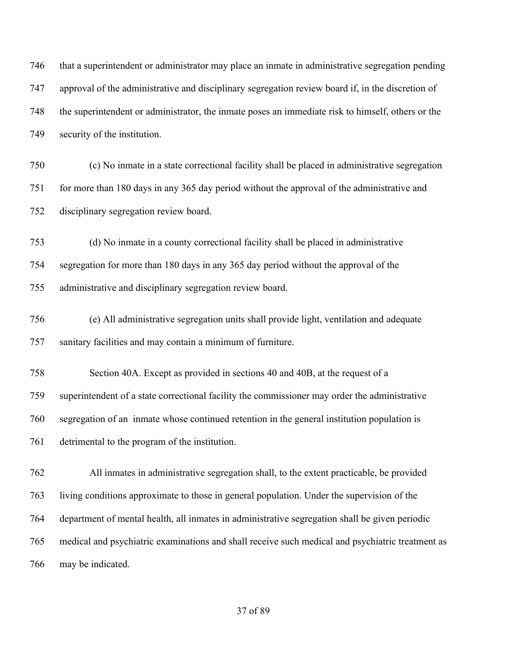| 746 | that a superintendent or administrator may place an inmate in administrative segregation pending  |
|-----|---------------------------------------------------------------------------------------------------|
| 747 | approval of the administrative and disciplinary segregation review board if, in the discretion of |
| 748 | the superintendent or administrator, the inmate poses an immediate risk to himself, others or the |
| 749 | security of the institution.                                                                      |
| 750 | (c) No inmate in a state correctional facility shall be placed in administrative segregation      |
| 751 | for more than 180 days in any 365 day period without the approval of the administrative and       |
| 752 | disciplinary segregation review board.                                                            |
| 753 | (d) No inmate in a county correctional facility shall be placed in administrative                 |
| 754 | segregation for more than 180 days in any 365 day period without the approval of the              |
| 755 | administrative and disciplinary segregation review board.                                         |
| 756 | (e) All administrative segregation units shall provide light, ventilation and adequate            |
| 757 | sanitary facilities and may contain a minimum of furniture.                                       |
| 758 | Section 40A. Except as provided in sections 40 and 40B, at the request of a                       |
| 759 | superintendent of a state correctional facility the commissioner may order the administrative     |
| 760 | segregation of an inmate whose continued retention in the general institution population is       |
| 761 | detrimental to the program of the institution.                                                    |
| 762 | All inmates in administrative segregation shall, to the extent practicable, be provided           |
| 763 | living conditions approximate to those in general population. Under the supervision of the        |
| 764 | department of mental health, all inmates in administrative segregation shall be given periodic    |
| 765 | medical and psychiatric examinations and shall receive such medical and psychiatric treatment as  |
| 766 | may be indicated.                                                                                 |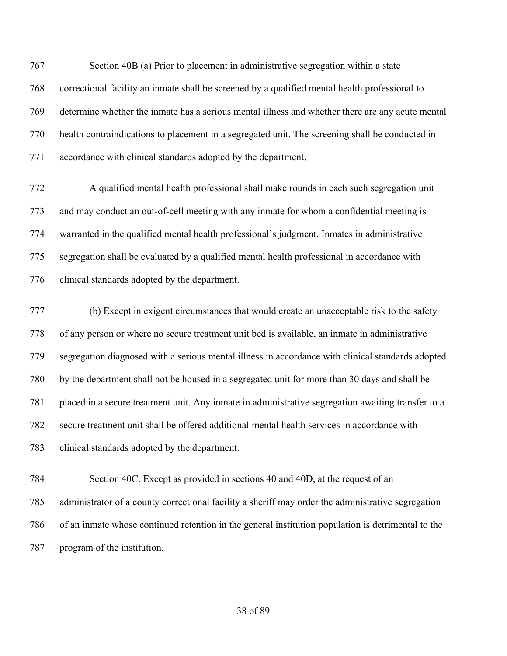Section 40B (a) Prior to placement in administrative segregation within a state correctional facility an inmate shall be screened by a qualified mental health professional to determine whether the inmate has a serious mental illness and whether there are any acute mental health contraindications to placement in a segregated unit. The screening shall be conducted in accordance with clinical standards adopted by the department.

 A qualified mental health professional shall make rounds in each such segregation unit and may conduct an out-of-cell meeting with any inmate for whom a confidential meeting is warranted in the qualified mental health professional's judgment. Inmates in administrative segregation shall be evaluated by a qualified mental health professional in accordance with clinical standards adopted by the department.

 (b) Except in exigent circumstances that would create an unacceptable risk to the safety of any person or where no secure treatment unit bed is available, an inmate in administrative segregation diagnosed with a serious mental illness in accordance with clinical standards adopted by the department shall not be housed in a segregated unit for more than 30 days and shall be placed in a secure treatment unit. Any inmate in administrative segregation awaiting transfer to a secure treatment unit shall be offered additional mental health services in accordance with clinical standards adopted by the department.

 Section 40C. Except as provided in sections 40 and 40D, at the request of an administrator of a county correctional facility a sheriff may order the administrative segregation of an inmate whose continued retention in the general institution population is detrimental to the program of the institution.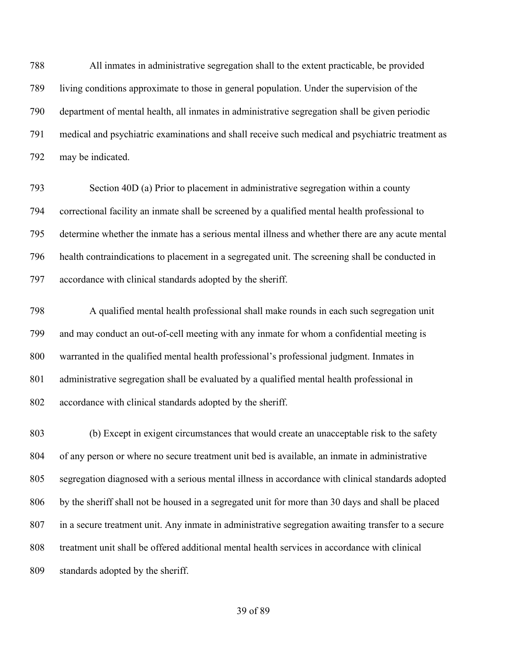All inmates in administrative segregation shall to the extent practicable, be provided living conditions approximate to those in general population. Under the supervision of the department of mental health, all inmates in administrative segregation shall be given periodic medical and psychiatric examinations and shall receive such medical and psychiatric treatment as may be indicated.

 Section 40D (a) Prior to placement in administrative segregation within a county correctional facility an inmate shall be screened by a qualified mental health professional to determine whether the inmate has a serious mental illness and whether there are any acute mental health contraindications to placement in a segregated unit. The screening shall be conducted in accordance with clinical standards adopted by the sheriff.

 A qualified mental health professional shall make rounds in each such segregation unit and may conduct an out-of-cell meeting with any inmate for whom a confidential meeting is warranted in the qualified mental health professional's professional judgment. Inmates in administrative segregation shall be evaluated by a qualified mental health professional in accordance with clinical standards adopted by the sheriff.

 (b) Except in exigent circumstances that would create an unacceptable risk to the safety of any person or where no secure treatment unit bed is available, an inmate in administrative segregation diagnosed with a serious mental illness in accordance with clinical standards adopted by the sheriff shall not be housed in a segregated unit for more than 30 days and shall be placed in a secure treatment unit. Any inmate in administrative segregation awaiting transfer to a secure treatment unit shall be offered additional mental health services in accordance with clinical standards adopted by the sheriff.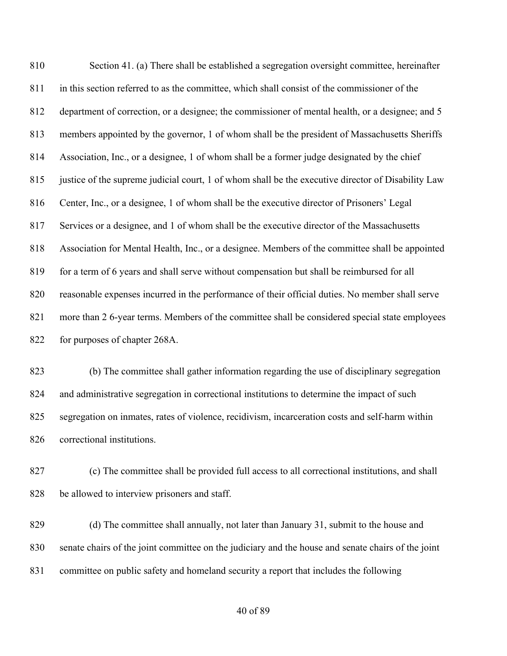Section 41. (a) There shall be established a segregation oversight committee, hereinafter in this section referred to as the committee, which shall consist of the commissioner of the department of correction, or a designee; the commissioner of mental health, or a designee; and 5 members appointed by the governor, 1 of whom shall be the president of Massachusetts Sheriffs Association, Inc., or a designee, 1 of whom shall be a former judge designated by the chief justice of the supreme judicial court, 1 of whom shall be the executive director of Disability Law Center, Inc., or a designee, 1 of whom shall be the executive director of Prisoners' Legal Services or a designee, and 1 of whom shall be the executive director of the Massachusetts Association for Mental Health, Inc., or a designee. Members of the committee shall be appointed 819 for a term of 6 years and shall serve without compensation but shall be reimbursed for all reasonable expenses incurred in the performance of their official duties. No member shall serve more than 2 6-year terms. Members of the committee shall be considered special state employees for purposes of chapter 268A.

 (b) The committee shall gather information regarding the use of disciplinary segregation and administrative segregation in correctional institutions to determine the impact of such segregation on inmates, rates of violence, recidivism, incarceration costs and self-harm within correctional institutions.

 (c) The committee shall be provided full access to all correctional institutions, and shall be allowed to interview prisoners and staff.

 (d) The committee shall annually, not later than January 31, submit to the house and senate chairs of the joint committee on the judiciary and the house and senate chairs of the joint committee on public safety and homeland security a report that includes the following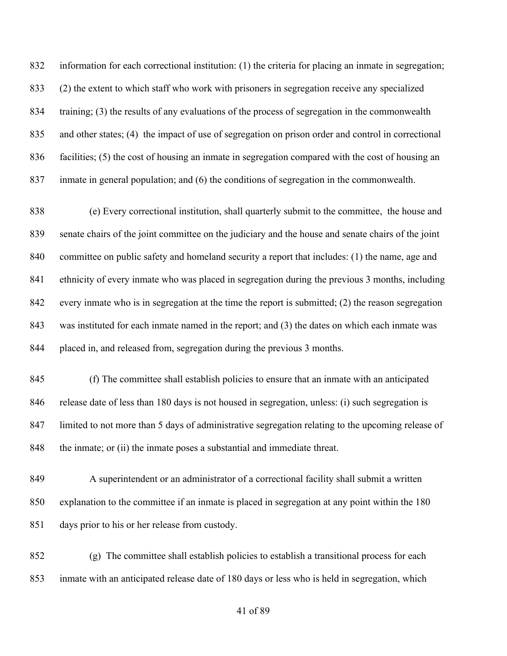information for each correctional institution: (1) the criteria for placing an inmate in segregation; (2) the extent to which staff who work with prisoners in segregation receive any specialized training; (3) the results of any evaluations of the process of segregation in the commonwealth and other states; (4) the impact of use of segregation on prison order and control in correctional facilities; (5) the cost of housing an inmate in segregation compared with the cost of housing an inmate in general population; and (6) the conditions of segregation in the commonwealth.

 (e) Every correctional institution, shall quarterly submit to the committee, the house and senate chairs of the joint committee on the judiciary and the house and senate chairs of the joint committee on public safety and homeland security a report that includes: (1) the name, age and ethnicity of every inmate who was placed in segregation during the previous 3 months, including every inmate who is in segregation at the time the report is submitted; (2) the reason segregation was instituted for each inmate named in the report; and (3) the dates on which each inmate was placed in, and released from, segregation during the previous 3 months.

 (f) The committee shall establish policies to ensure that an inmate with an anticipated release date of less than 180 days is not housed in segregation, unless: (i) such segregation is limited to not more than 5 days of administrative segregation relating to the upcoming release of 848 the inmate; or (ii) the inmate poses a substantial and immediate threat.

 A superintendent or an administrator of a correctional facility shall submit a written explanation to the committee if an inmate is placed in segregation at any point within the 180 days prior to his or her release from custody.

 (g) The committee shall establish policies to establish a transitional process for each inmate with an anticipated release date of 180 days or less who is held in segregation, which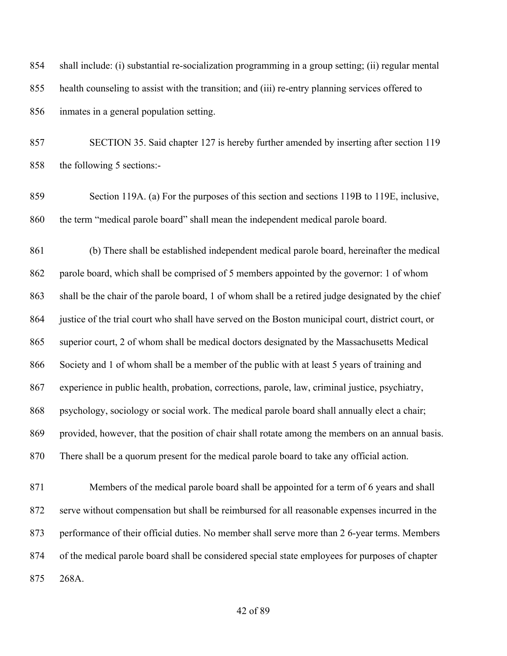shall include: (i) substantial re-socialization programming in a group setting; (ii) regular mental health counseling to assist with the transition; and (iii) re-entry planning services offered to inmates in a general population setting.

 SECTION 35. Said chapter 127 is hereby further amended by inserting after section 119 the following 5 sections:-

 Section 119A. (a) For the purposes of this section and sections 119B to 119E, inclusive, the term "medical parole board" shall mean the independent medical parole board.

 (b) There shall be established independent medical parole board, hereinafter the medical parole board, which shall be comprised of 5 members appointed by the governor: 1 of whom shall be the chair of the parole board, 1 of whom shall be a retired judge designated by the chief justice of the trial court who shall have served on the Boston municipal court, district court, or superior court, 2 of whom shall be medical doctors designated by the Massachusetts Medical Society and 1 of whom shall be a member of the public with at least 5 years of training and experience in public health, probation, corrections, parole, law, criminal justice, psychiatry, psychology, sociology or social work. The medical parole board shall annually elect a chair; provided, however, that the position of chair shall rotate among the members on an annual basis. There shall be a quorum present for the medical parole board to take any official action.

 Members of the medical parole board shall be appointed for a term of 6 years and shall serve without compensation but shall be reimbursed for all reasonable expenses incurred in the performance of their official duties. No member shall serve more than 2 6-year terms. Members of the medical parole board shall be considered special state employees for purposes of chapter 268A.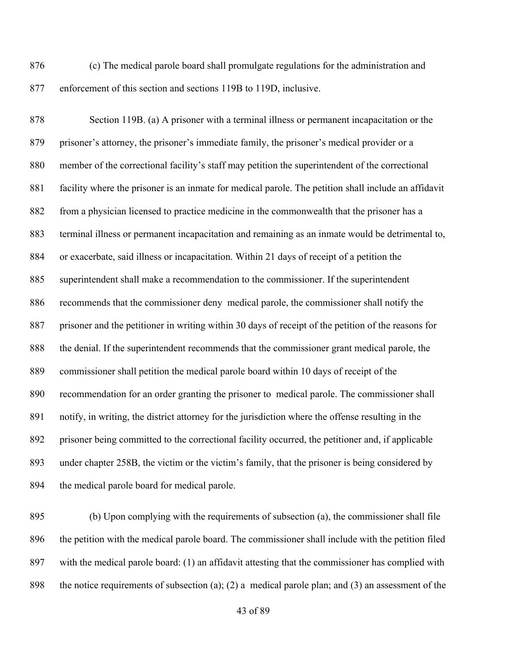(c) The medical parole board shall promulgate regulations for the administration and enforcement of this section and sections 119B to 119D, inclusive.

 Section 119B. (a) A prisoner with a terminal illness or permanent incapacitation or the prisoner's attorney, the prisoner's immediate family, the prisoner's medical provider or a member of the correctional facility's staff may petition the superintendent of the correctional facility where the prisoner is an inmate for medical parole. The petition shall include an affidavit from a physician licensed to practice medicine in the commonwealth that the prisoner has a terminal illness or permanent incapacitation and remaining as an inmate would be detrimental to, or exacerbate, said illness or incapacitation. Within 21 days of receipt of a petition the superintendent shall make a recommendation to the commissioner. If the superintendent recommends that the commissioner deny medical parole, the commissioner shall notify the prisoner and the petitioner in writing within 30 days of receipt of the petition of the reasons for the denial. If the superintendent recommends that the commissioner grant medical parole, the commissioner shall petition the medical parole board within 10 days of receipt of the recommendation for an order granting the prisoner to medical parole. The commissioner shall notify, in writing, the district attorney for the jurisdiction where the offense resulting in the prisoner being committed to the correctional facility occurred, the petitioner and, if applicable under chapter 258B, the victim or the victim's family, that the prisoner is being considered by the medical parole board for medical parole.

 (b) Upon complying with the requirements of subsection (a), the commissioner shall file the petition with the medical parole board. The commissioner shall include with the petition filed with the medical parole board: (1) an affidavit attesting that the commissioner has complied with the notice requirements of subsection (a); (2) a medical parole plan; and (3) an assessment of the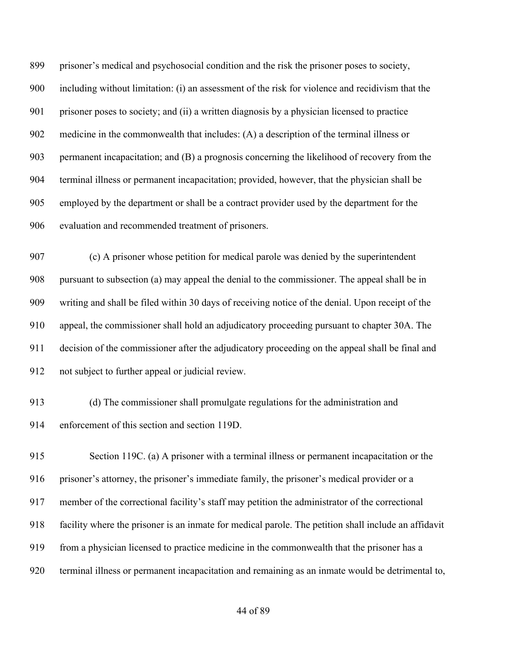prisoner's medical and psychosocial condition and the risk the prisoner poses to society, including without limitation: (i) an assessment of the risk for violence and recidivism that the prisoner poses to society; and (ii) a written diagnosis by a physician licensed to practice medicine in the commonwealth that includes: (A) a description of the terminal illness or permanent incapacitation; and (B) a prognosis concerning the likelihood of recovery from the terminal illness or permanent incapacitation; provided, however, that the physician shall be employed by the department or shall be a contract provider used by the department for the evaluation and recommended treatment of prisoners.

 (c) A prisoner whose petition for medical parole was denied by the superintendent pursuant to subsection (a) may appeal the denial to the commissioner. The appeal shall be in writing and shall be filed within 30 days of receiving notice of the denial. Upon receipt of the appeal, the commissioner shall hold an adjudicatory proceeding pursuant to chapter 30A. The decision of the commissioner after the adjudicatory proceeding on the appeal shall be final and not subject to further appeal or judicial review.

 (d) The commissioner shall promulgate regulations for the administration and enforcement of this section and section 119D.

 Section 119C. (a) A prisoner with a terminal illness or permanent incapacitation or the prisoner's attorney, the prisoner's immediate family, the prisoner's medical provider or a member of the correctional facility's staff may petition the administrator of the correctional facility where the prisoner is an inmate for medical parole. The petition shall include an affidavit from a physician licensed to practice medicine in the commonwealth that the prisoner has a terminal illness or permanent incapacitation and remaining as an inmate would be detrimental to,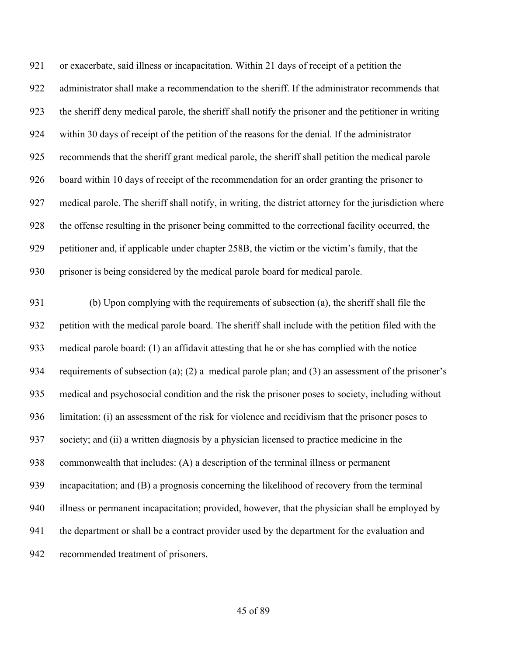or exacerbate, said illness or incapacitation. Within 21 days of receipt of a petition the administrator shall make a recommendation to the sheriff. If the administrator recommends that the sheriff deny medical parole, the sheriff shall notify the prisoner and the petitioner in writing within 30 days of receipt of the petition of the reasons for the denial. If the administrator recommends that the sheriff grant medical parole, the sheriff shall petition the medical parole board within 10 days of receipt of the recommendation for an order granting the prisoner to medical parole. The sheriff shall notify, in writing, the district attorney for the jurisdiction where the offense resulting in the prisoner being committed to the correctional facility occurred, the petitioner and, if applicable under chapter 258B, the victim or the victim's family, that the prisoner is being considered by the medical parole board for medical parole.

 (b) Upon complying with the requirements of subsection (a), the sheriff shall file the petition with the medical parole board. The sheriff shall include with the petition filed with the medical parole board: (1) an affidavit attesting that he or she has complied with the notice requirements of subsection (a); (2) a medical parole plan; and (3) an assessment of the prisoner's medical and psychosocial condition and the risk the prisoner poses to society, including without limitation: (i) an assessment of the risk for violence and recidivism that the prisoner poses to society; and (ii) a written diagnosis by a physician licensed to practice medicine in the commonwealth that includes: (A) a description of the terminal illness or permanent incapacitation; and (B) a prognosis concerning the likelihood of recovery from the terminal illness or permanent incapacitation; provided, however, that the physician shall be employed by the department or shall be a contract provider used by the department for the evaluation and recommended treatment of prisoners.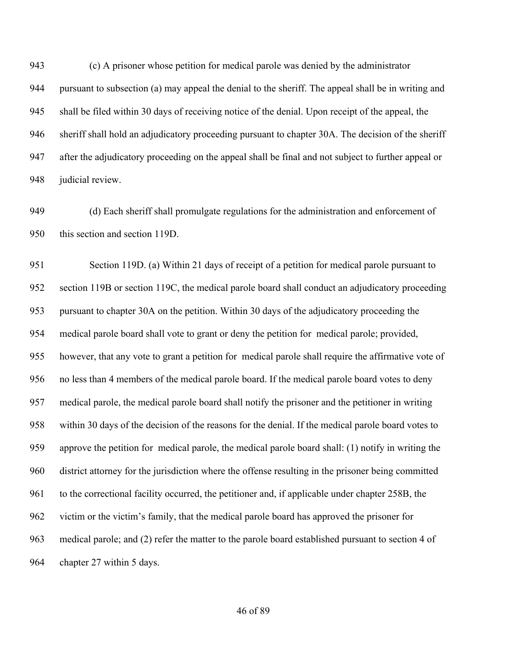(c) A prisoner whose petition for medical parole was denied by the administrator pursuant to subsection (a) may appeal the denial to the sheriff. The appeal shall be in writing and shall be filed within 30 days of receiving notice of the denial. Upon receipt of the appeal, the sheriff shall hold an adjudicatory proceeding pursuant to chapter 30A. The decision of the sheriff after the adjudicatory proceeding on the appeal shall be final and not subject to further appeal or judicial review.

 (d) Each sheriff shall promulgate regulations for the administration and enforcement of this section and section 119D.

 Section 119D. (a) Within 21 days of receipt of a petition for medical parole pursuant to section 119B or section 119C, the medical parole board shall conduct an adjudicatory proceeding pursuant to chapter 30A on the petition. Within 30 days of the adjudicatory proceeding the medical parole board shall vote to grant or deny the petition for medical parole; provided, however, that any vote to grant a petition for medical parole shall require the affirmative vote of no less than 4 members of the medical parole board. If the medical parole board votes to deny medical parole, the medical parole board shall notify the prisoner and the petitioner in writing within 30 days of the decision of the reasons for the denial. If the medical parole board votes to approve the petition for medical parole, the medical parole board shall: (1) notify in writing the district attorney for the jurisdiction where the offense resulting in the prisoner being committed to the correctional facility occurred, the petitioner and, if applicable under chapter 258B, the victim or the victim's family, that the medical parole board has approved the prisoner for medical parole; and (2) refer the matter to the parole board established pursuant to section 4 of chapter 27 within 5 days.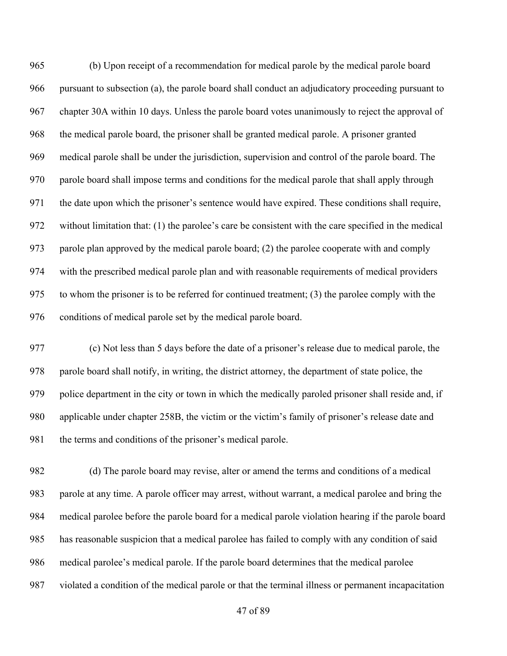(b) Upon receipt of a recommendation for medical parole by the medical parole board pursuant to subsection (a), the parole board shall conduct an adjudicatory proceeding pursuant to chapter 30A within 10 days. Unless the parole board votes unanimously to reject the approval of the medical parole board, the prisoner shall be granted medical parole. A prisoner granted medical parole shall be under the jurisdiction, supervision and control of the parole board. The parole board shall impose terms and conditions for the medical parole that shall apply through the date upon which the prisoner's sentence would have expired. These conditions shall require, without limitation that: (1) the parolee's care be consistent with the care specified in the medical parole plan approved by the medical parole board; (2) the parolee cooperate with and comply with the prescribed medical parole plan and with reasonable requirements of medical providers to whom the prisoner is to be referred for continued treatment; (3) the parolee comply with the conditions of medical parole set by the medical parole board.

 (c) Not less than 5 days before the date of a prisoner's release due to medical parole, the parole board shall notify, in writing, the district attorney, the department of state police, the police department in the city or town in which the medically paroled prisoner shall reside and, if applicable under chapter 258B, the victim or the victim's family of prisoner's release date and 981 the terms and conditions of the prisoner's medical parole.

 (d) The parole board may revise, alter or amend the terms and conditions of a medical parole at any time. A parole officer may arrest, without warrant, a medical parolee and bring the medical parolee before the parole board for a medical parole violation hearing if the parole board has reasonable suspicion that a medical parolee has failed to comply with any condition of said medical parolee's medical parole. If the parole board determines that the medical parolee violated a condition of the medical parole or that the terminal illness or permanent incapacitation

of 89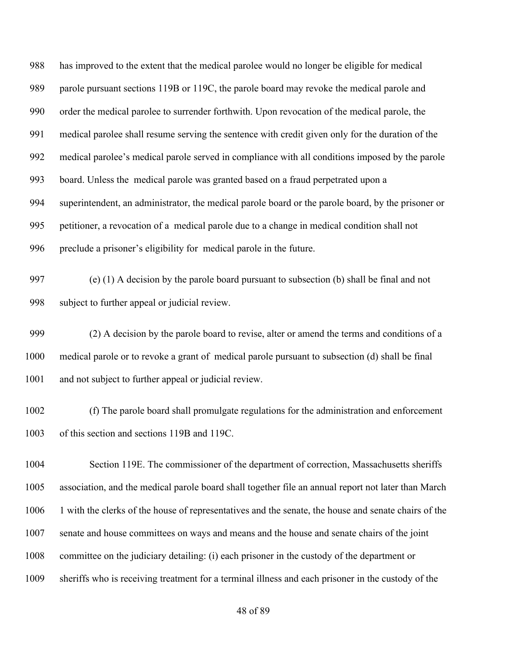has improved to the extent that the medical parolee would no longer be eligible for medical parole pursuant sections 119B or 119C, the parole board may revoke the medical parole and order the medical parolee to surrender forthwith. Upon revocation of the medical parole, the medical parolee shall resume serving the sentence with credit given only for the duration of the medical parolee's medical parole served in compliance with all conditions imposed by the parole board. Unless the medical parole was granted based on a fraud perpetrated upon a superintendent, an administrator, the medical parole board or the parole board, by the prisoner or petitioner, a revocation of a medical parole due to a change in medical condition shall not preclude a prisoner's eligibility for medical parole in the future.

 (e) (1) A decision by the parole board pursuant to subsection (b) shall be final and not subject to further appeal or judicial review.

 (2) A decision by the parole board to revise, alter or amend the terms and conditions of a medical parole or to revoke a grant of medical parole pursuant to subsection (d) shall be final and not subject to further appeal or judicial review.

 (f) The parole board shall promulgate regulations for the administration and enforcement of this section and sections 119B and 119C.

 Section 119E. The commissioner of the department of correction, Massachusetts sheriffs association, and the medical parole board shall together file an annual report not later than March 1 with the clerks of the house of representatives and the senate, the house and senate chairs of the senate and house committees on ways and means and the house and senate chairs of the joint committee on the judiciary detailing: (i) each prisoner in the custody of the department or sheriffs who is receiving treatment for a terminal illness and each prisoner in the custody of the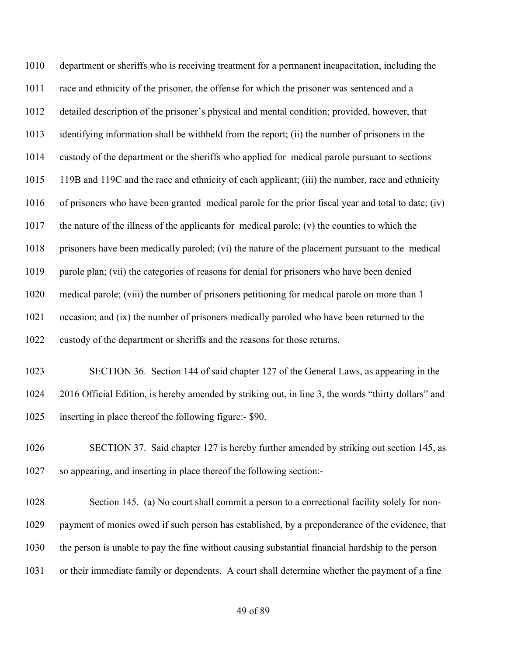department or sheriffs who is receiving treatment for a permanent incapacitation, including the race and ethnicity of the prisoner, the offense for which the prisoner was sentenced and a detailed description of the prisoner's physical and mental condition; provided, however, that identifying information shall be withheld from the report; (ii) the number of prisoners in the custody of the department or the sheriffs who applied for medical parole pursuant to sections 119B and 119C and the race and ethnicity of each applicant; (iii) the number, race and ethnicity of prisoners who have been granted medical parole for the prior fiscal year and total to date; (iv) the nature of the illness of the applicants for medical parole; (v) the counties to which the prisoners have been medically paroled; (vi) the nature of the placement pursuant to the medical 1019 parole plan; (vii) the categories of reasons for denial for prisoners who have been denied medical parole; (viii) the number of prisoners petitioning for medical parole on more than 1 occasion; and (ix) the number of prisoners medically paroled who have been returned to the custody of the department or sheriffs and the reasons for those returns.

 SECTION 36. Section 144 of said chapter 127 of the General Laws, as appearing in the 2016 Official Edition, is hereby amended by striking out, in line 3, the words "thirty dollars" and inserting in place thereof the following figure:- \$90.

 SECTION 37. Said chapter 127 is hereby further amended by striking out section 145, as so appearing, and inserting in place thereof the following section:-

 Section 145. (a) No court shall commit a person to a correctional facility solely for non- payment of monies owed if such person has established, by a preponderance of the evidence, that the person is unable to pay the fine without causing substantial financial hardship to the person or their immediate family or dependents. A court shall determine whether the payment of a fine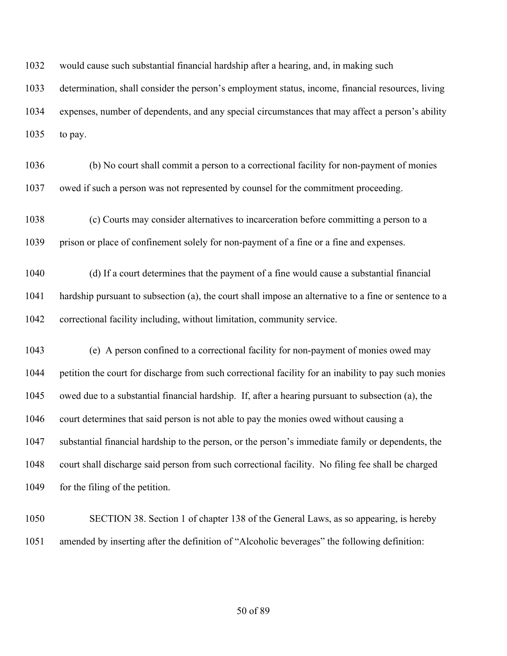would cause such substantial financial hardship after a hearing, and, in making such

 determination, shall consider the person's employment status, income, financial resources, living expenses, number of dependents, and any special circumstances that may affect a person's ability to pay.

- (b) No court shall commit a person to a correctional facility for non-payment of monies owed if such a person was not represented by counsel for the commitment proceeding.
- (c) Courts may consider alternatives to incarceration before committing a person to a prison or place of confinement solely for non-payment of a fine or a fine and expenses.
- (d) If a court determines that the payment of a fine would cause a substantial financial hardship pursuant to subsection (a), the court shall impose an alternative to a fine or sentence to a correctional facility including, without limitation, community service.
- (e) A person confined to a correctional facility for non-payment of monies owed may petition the court for discharge from such correctional facility for an inability to pay such monies owed due to a substantial financial hardship. If, after a hearing pursuant to subsection (a), the court determines that said person is not able to pay the monies owed without causing a substantial financial hardship to the person, or the person's immediate family or dependents, the court shall discharge said person from such correctional facility. No filing fee shall be charged 1049 for the filing of the petition.
- SECTION 38. Section 1 of chapter 138 of the General Laws, as so appearing, is hereby amended by inserting after the definition of "Alcoholic beverages" the following definition: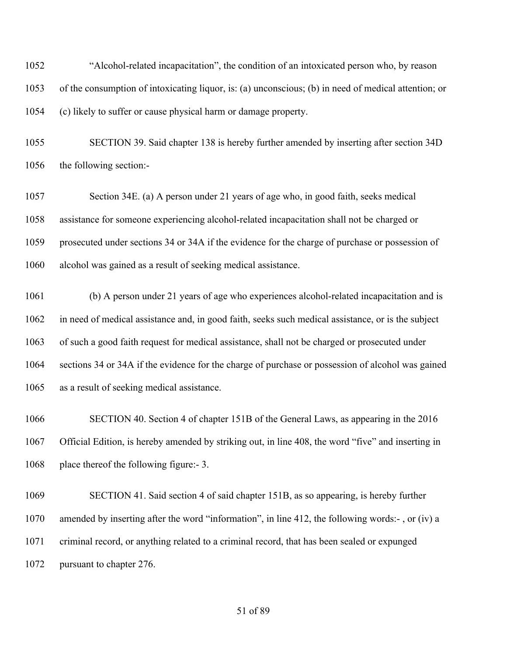"Alcohol-related incapacitation", the condition of an intoxicated person who, by reason of the consumption of intoxicating liquor, is: (a) unconscious; (b) in need of medical attention; or (c) likely to suffer or cause physical harm or damage property.

 SECTION 39. Said chapter 138 is hereby further amended by inserting after section 34D the following section:-

 Section 34E. (a) A person under 21 years of age who, in good faith, seeks medical assistance for someone experiencing alcohol-related incapacitation shall not be charged or prosecuted under sections 34 or 34A if the evidence for the charge of purchase or possession of alcohol was gained as a result of seeking medical assistance.

 (b) A person under 21 years of age who experiences alcohol-related incapacitation and is in need of medical assistance and, in good faith, seeks such medical assistance, or is the subject of such a good faith request for medical assistance, shall not be charged or prosecuted under sections 34 or 34A if the evidence for the charge of purchase or possession of alcohol was gained as a result of seeking medical assistance.

 SECTION 40. Section 4 of chapter 151B of the General Laws, as appearing in the 2016 Official Edition, is hereby amended by striking out, in line 408, the word "five" and inserting in 1068 place thereof the following figure:- 3.

 SECTION 41. Said section 4 of said chapter 151B, as so appearing, is hereby further amended by inserting after the word "information", in line 412, the following words:- , or (iv) a criminal record, or anything related to a criminal record, that has been sealed or expunged pursuant to chapter 276.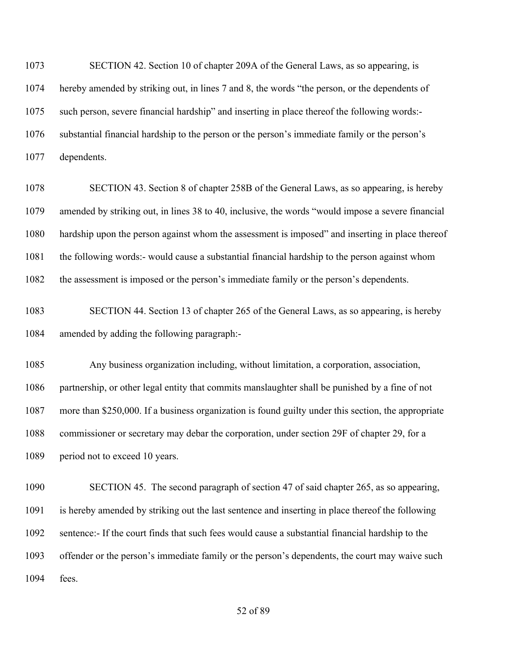SECTION 42. Section 10 of chapter 209A of the General Laws, as so appearing, is hereby amended by striking out, in lines 7 and 8, the words "the person, or the dependents of such person, severe financial hardship" and inserting in place thereof the following words:- substantial financial hardship to the person or the person's immediate family or the person's dependents.

 SECTION 43. Section 8 of chapter 258B of the General Laws, as so appearing, is hereby amended by striking out, in lines 38 to 40, inclusive, the words "would impose a severe financial hardship upon the person against whom the assessment is imposed" and inserting in place thereof the following words:- would cause a substantial financial hardship to the person against whom the assessment is imposed or the person's immediate family or the person's dependents.

 SECTION 44. Section 13 of chapter 265 of the General Laws, as so appearing, is hereby amended by adding the following paragraph:-

 Any business organization including, without limitation, a corporation, association, partnership, or other legal entity that commits manslaughter shall be punished by a fine of not more than \$250,000. If a business organization is found guilty under this section, the appropriate commissioner or secretary may debar the corporation, under section 29F of chapter 29, for a 1089 period not to exceed 10 years.

 SECTION 45. The second paragraph of section 47 of said chapter 265, as so appearing, is hereby amended by striking out the last sentence and inserting in place thereof the following sentence:- If the court finds that such fees would cause a substantial financial hardship to the offender or the person's immediate family or the person's dependents, the court may waive such fees.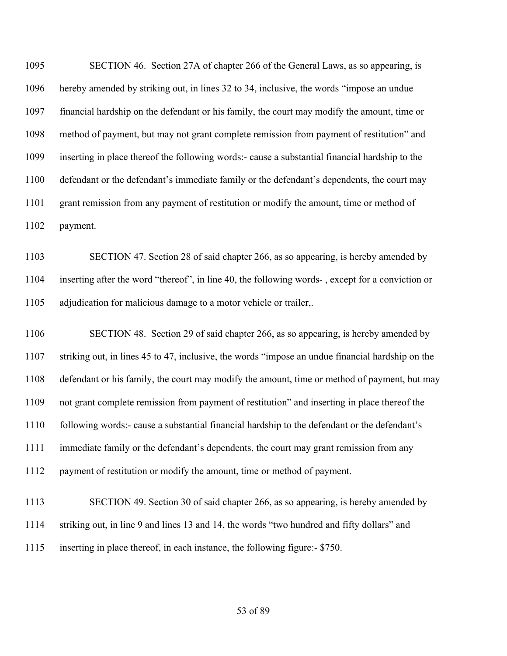SECTION 46. Section 27A of chapter 266 of the General Laws, as so appearing, is hereby amended by striking out, in lines 32 to 34, inclusive, the words "impose an undue financial hardship on the defendant or his family, the court may modify the amount, time or method of payment, but may not grant complete remission from payment of restitution" and inserting in place thereof the following words:- cause a substantial financial hardship to the defendant or the defendant's immediate family or the defendant's dependents, the court may grant remission from any payment of restitution or modify the amount, time or method of payment.

 SECTION 47. Section 28 of said chapter 266, as so appearing, is hereby amended by inserting after the word "thereof", in line 40, the following words- , except for a conviction or adjudication for malicious damage to a motor vehicle or trailer,.

 SECTION 48. Section 29 of said chapter 266, as so appearing, is hereby amended by striking out, in lines 45 to 47, inclusive, the words "impose an undue financial hardship on the defendant or his family, the court may modify the amount, time or method of payment, but may not grant complete remission from payment of restitution" and inserting in place thereof the following words:- cause a substantial financial hardship to the defendant or the defendant's immediate family or the defendant's dependents, the court may grant remission from any payment of restitution or modify the amount, time or method of payment.

 SECTION 49. Section 30 of said chapter 266, as so appearing, is hereby amended by striking out, in line 9 and lines 13 and 14, the words "two hundred and fifty dollars" and inserting in place thereof, in each instance, the following figure:- \$750.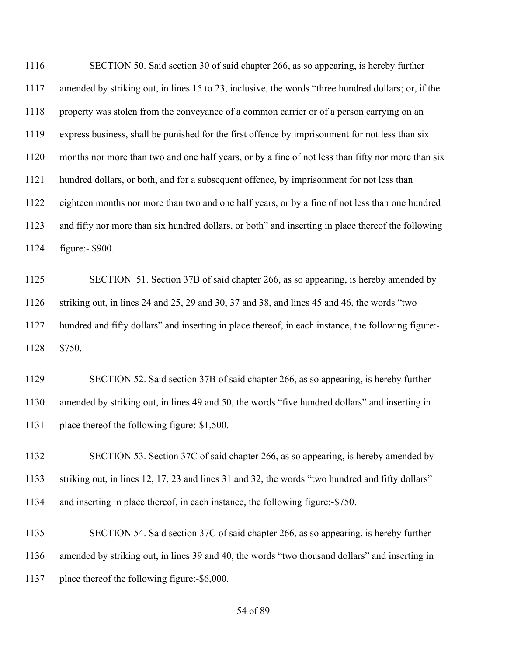SECTION 50. Said section 30 of said chapter 266, as so appearing, is hereby further amended by striking out, in lines 15 to 23, inclusive, the words "three hundred dollars; or, if the property was stolen from the conveyance of a common carrier or of a person carrying on an express business, shall be punished for the first offence by imprisonment for not less than six months nor more than two and one half years, or by a fine of not less than fifty nor more than six hundred dollars, or both, and for a subsequent offence, by imprisonment for not less than eighteen months nor more than two and one half years, or by a fine of not less than one hundred and fifty nor more than six hundred dollars, or both" and inserting in place thereof the following figure:- \$900.

 SECTION 51. Section 37B of said chapter 266, as so appearing, is hereby amended by striking out, in lines 24 and 25, 29 and 30, 37 and 38, and lines 45 and 46, the words "two hundred and fifty dollars" and inserting in place thereof, in each instance, the following figure:- \$750.

 SECTION 52. Said section 37B of said chapter 266, as so appearing, is hereby further amended by striking out, in lines 49 and 50, the words "five hundred dollars" and inserting in place thereof the following figure:-\$1,500.

1132 SECTION 53. Section 37C of said chapter 266, as so appearing, is hereby amended by striking out, in lines 12, 17, 23 and lines 31 and 32, the words "two hundred and fifty dollars" and inserting in place thereof, in each instance, the following figure:-\$750.

 SECTION 54. Said section 37C of said chapter 266, as so appearing, is hereby further amended by striking out, in lines 39 and 40, the words "two thousand dollars" and inserting in place thereof the following figure:-\$6,000.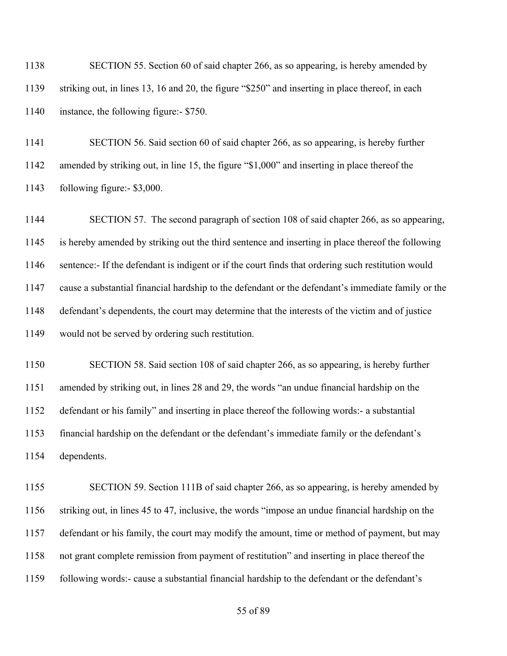| 1138 | SECTION 55. Section 60 of said chapter 266, as so appearing, is hereby amended by                |
|------|--------------------------------------------------------------------------------------------------|
| 1139 | striking out, in lines 13, 16 and 20, the figure "\$250" and inserting in place thereof, in each |
| 1140 | instance, the following figure:- \$750.                                                          |

 SECTION 56. Said section 60 of said chapter 266, as so appearing, is hereby further amended by striking out, in line 15, the figure "\$1,000" and inserting in place thereof the following figure:- \$3,000.

 SECTION 57. The second paragraph of section 108 of said chapter 266, as so appearing, is hereby amended by striking out the third sentence and inserting in place thereof the following sentence:- If the defendant is indigent or if the court finds that ordering such restitution would cause a substantial financial hardship to the defendant or the defendant's immediate family or the defendant's dependents, the court may determine that the interests of the victim and of justice would not be served by ordering such restitution.

 SECTION 58. Said section 108 of said chapter 266, as so appearing, is hereby further amended by striking out, in lines 28 and 29, the words "an undue financial hardship on the defendant or his family" and inserting in place thereof the following words:- a substantial financial hardship on the defendant or the defendant's immediate family or the defendant's dependents.

1155 SECTION 59. Section 111B of said chapter 266, as so appearing, is hereby amended by striking out, in lines 45 to 47, inclusive, the words "impose an undue financial hardship on the defendant or his family, the court may modify the amount, time or method of payment, but may not grant complete remission from payment of restitution" and inserting in place thereof the following words:- cause a substantial financial hardship to the defendant or the defendant's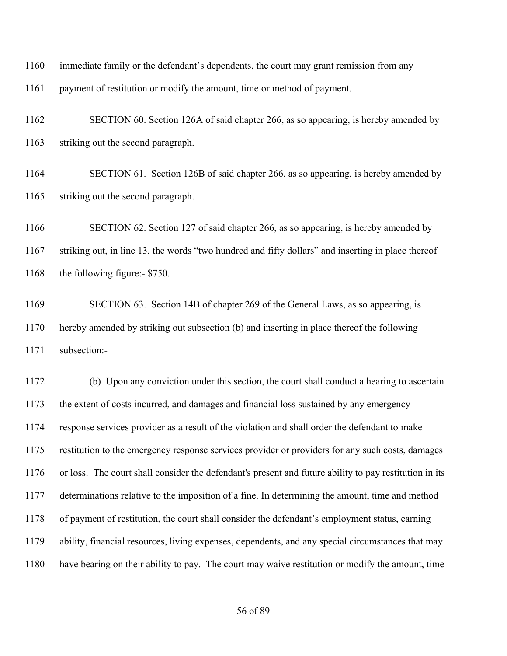immediate family or the defendant's dependents, the court may grant remission from any

payment of restitution or modify the amount, time or method of payment.

 SECTION 60. Section 126A of said chapter 266, as so appearing, is hereby amended by striking out the second paragraph.

 SECTION 61. Section 126B of said chapter 266, as so appearing, is hereby amended by striking out the second paragraph.

 SECTION 62. Section 127 of said chapter 266, as so appearing, is hereby amended by striking out, in line 13, the words "two hundred and fifty dollars" and inserting in place thereof 1168 the following figure:- \$750.

 SECTION 63. Section 14B of chapter 269 of the General Laws, as so appearing, is hereby amended by striking out subsection (b) and inserting in place thereof the following subsection:-

 (b) Upon any conviction under this section, the court shall conduct a hearing to ascertain the extent of costs incurred, and damages and financial loss sustained by any emergency response services provider as a result of the violation and shall order the defendant to make restitution to the emergency response services provider or providers for any such costs, damages or loss. The court shall consider the defendant's present and future ability to pay restitution in its determinations relative to the imposition of a fine. In determining the amount, time and method of payment of restitution, the court shall consider the defendant's employment status, earning ability, financial resources, living expenses, dependents, and any special circumstances that may have bearing on their ability to pay. The court may waive restitution or modify the amount, time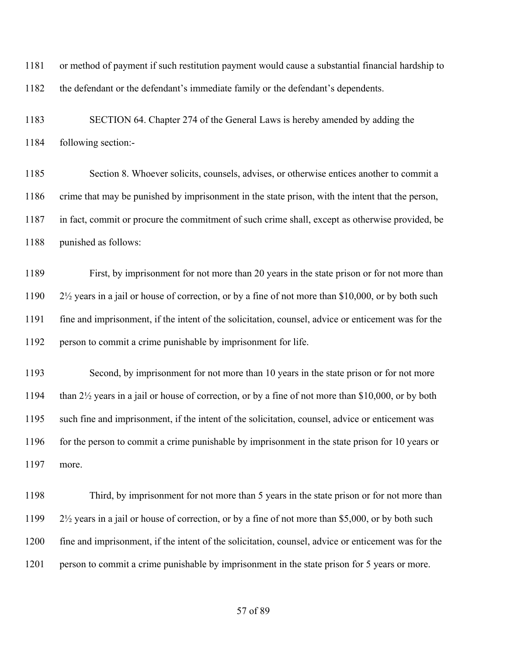or method of payment if such restitution payment would cause a substantial financial hardship to the defendant or the defendant's immediate family or the defendant's dependents.

 SECTION 64. Chapter 274 of the General Laws is hereby amended by adding the following section:-

 Section 8. Whoever solicits, counsels, advises, or otherwise entices another to commit a crime that may be punished by imprisonment in the state prison, with the intent that the person, in fact, commit or procure the commitment of such crime shall, except as otherwise provided, be punished as follows:

 First, by imprisonment for not more than 20 years in the state prison or for not more than 2½ years in a jail or house of correction, or by a fine of not more than \$10,000, or by both such fine and imprisonment, if the intent of the solicitation, counsel, advice or enticement was for the person to commit a crime punishable by imprisonment for life.

1193 Second, by imprisonment for not more than 10 years in the state prison or for not more than 2½ years in a jail or house of correction, or by a fine of not more than \$10,000, or by both such fine and imprisonment, if the intent of the solicitation, counsel, advice or enticement was 1196 for the person to commit a crime punishable by imprisonment in the state prison for 10 years or more.

 Third, by imprisonment for not more than 5 years in the state prison or for not more than 2½ years in a jail or house of correction, or by a fine of not more than \$5,000, or by both such fine and imprisonment, if the intent of the solicitation, counsel, advice or enticement was for the 1201 person to commit a crime punishable by imprisonment in the state prison for 5 years or more.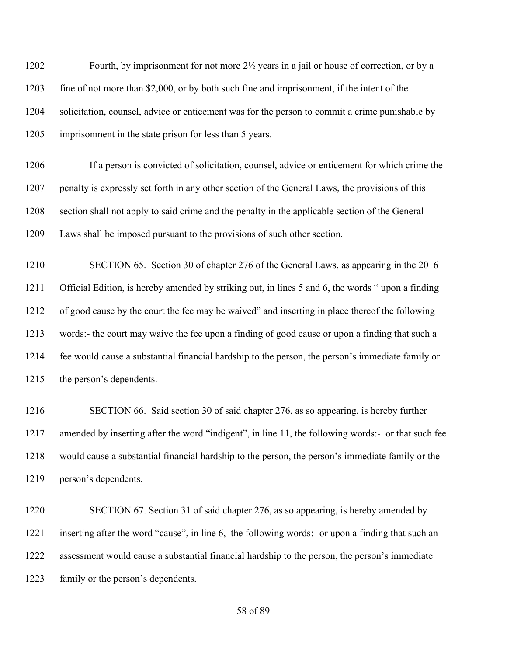Fourth, by imprisonment for not more 2½ years in a jail or house of correction, or by a 1203 fine of not more than \$2,000, or by both such fine and imprisonment, if the intent of the solicitation, counsel, advice or enticement was for the person to commit a crime punishable by imprisonment in the state prison for less than 5 years.

 If a person is convicted of solicitation, counsel, advice or enticement for which crime the penalty is expressly set forth in any other section of the General Laws, the provisions of this section shall not apply to said crime and the penalty in the applicable section of the General Laws shall be imposed pursuant to the provisions of such other section.

 SECTION 65. Section 30 of chapter 276 of the General Laws, as appearing in the 2016 Official Edition, is hereby amended by striking out, in lines 5 and 6, the words " upon a finding of good cause by the court the fee may be waived" and inserting in place thereof the following words:- the court may waive the fee upon a finding of good cause or upon a finding that such a fee would cause a substantial financial hardship to the person, the person's immediate family or the person's dependents.

 SECTION 66. Said section 30 of said chapter 276, as so appearing, is hereby further amended by inserting after the word "indigent", in line 11, the following words:- or that such fee would cause a substantial financial hardship to the person, the person's immediate family or the person's dependents.

1220 SECTION 67. Section 31 of said chapter 276, as so appearing, is hereby amended by inserting after the word "cause", in line 6, the following words:- or upon a finding that such an assessment would cause a substantial financial hardship to the person, the person's immediate family or the person's dependents.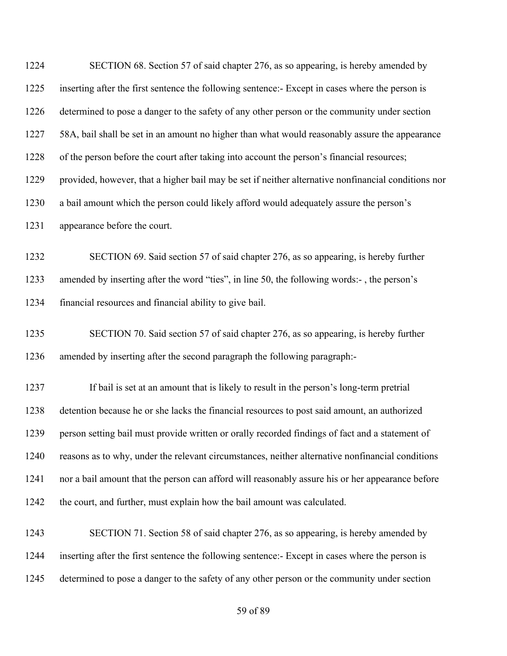| 1224 | SECTION 68. Section 57 of said chapter 276, as so appearing, is hereby amended by                   |
|------|-----------------------------------------------------------------------------------------------------|
| 1225 | inserting after the first sentence the following sentence:- Except in cases where the person is     |
| 1226 | determined to pose a danger to the safety of any other person or the community under section        |
| 1227 | 58A, bail shall be set in an amount no higher than what would reasonably assure the appearance      |
| 1228 | of the person before the court after taking into account the person's financial resources;          |
| 1229 | provided, however, that a higher bail may be set if neither alternative nonfinancial conditions nor |
| 1230 | a bail amount which the person could likely afford would adequately assure the person's             |
| 1231 | appearance before the court.                                                                        |
| 1232 | SECTION 69. Said section 57 of said chapter 276, as so appearing, is hereby further                 |
| 1233 | amended by inserting after the word "ties", in line 50, the following words:-, the person's         |
| 1234 | financial resources and financial ability to give bail.                                             |
| 1235 | SECTION 70. Said section 57 of said chapter 276, as so appearing, is hereby further                 |
| 1236 | amended by inserting after the second paragraph the following paragraph:-                           |
| 1237 | If bail is set at an amount that is likely to result in the person's long-term pretrial             |
| 1238 | detention because he or she lacks the financial resources to post said amount, an authorized        |
| 1239 | person setting bail must provide written or orally recorded findings of fact and a statement of     |
| 1240 | reasons as to why, under the relevant circumstances, neither alternative nonfinancial conditions    |
| 1241 | nor a bail amount that the person can afford will reasonably assure his or her appearance before    |
| 1242 | the court, and further, must explain how the bail amount was calculated.                            |
| 1243 | SECTION 71. Section 58 of said chapter 276, as so appearing, is hereby amended by                   |
| 1244 | inserting after the first sentence the following sentence: Except in cases where the person is      |
| 1245 | determined to pose a danger to the safety of any other person or the community under section        |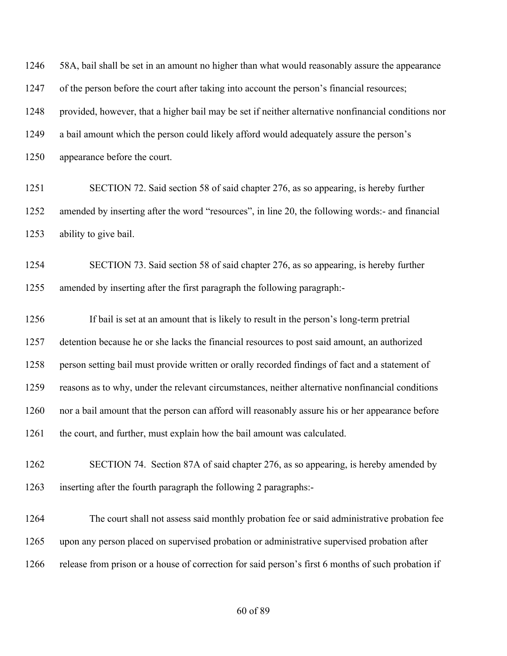58A, bail shall be set in an amount no higher than what would reasonably assure the appearance 1247 of the person before the court after taking into account the person's financial resources; provided, however, that a higher bail may be set if neither alternative nonfinancial conditions nor a bail amount which the person could likely afford would adequately assure the person's appearance before the court.

 SECTION 72. Said section 58 of said chapter 276, as so appearing, is hereby further amended by inserting after the word "resources", in line 20, the following words:- and financial ability to give bail.

 SECTION 73. Said section 58 of said chapter 276, as so appearing, is hereby further amended by inserting after the first paragraph the following paragraph:-

 If bail is set at an amount that is likely to result in the person's long-term pretrial detention because he or she lacks the financial resources to post said amount, an authorized person setting bail must provide written or orally recorded findings of fact and a statement of reasons as to why, under the relevant circumstances, neither alternative nonfinancial conditions nor a bail amount that the person can afford will reasonably assure his or her appearance before the court, and further, must explain how the bail amount was calculated.

 SECTION 74. Section 87A of said chapter 276, as so appearing, is hereby amended by inserting after the fourth paragraph the following 2 paragraphs:-

 The court shall not assess said monthly probation fee or said administrative probation fee upon any person placed on supervised probation or administrative supervised probation after release from prison or a house of correction for said person's first 6 months of such probation if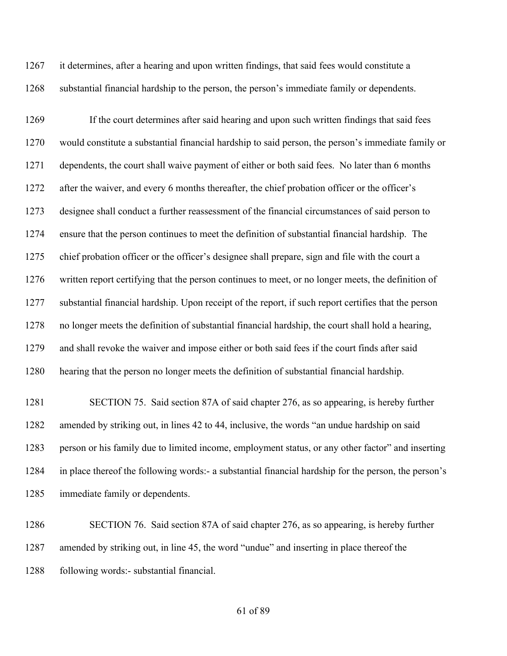it determines, after a hearing and upon written findings, that said fees would constitute a substantial financial hardship to the person, the person's immediate family or dependents.

 If the court determines after said hearing and upon such written findings that said fees would constitute a substantial financial hardship to said person, the person's immediate family or dependents, the court shall waive payment of either or both said fees. No later than 6 months 1272 after the waiver, and every 6 months thereafter, the chief probation officer or the officer's designee shall conduct a further reassessment of the financial circumstances of said person to ensure that the person continues to meet the definition of substantial financial hardship. The chief probation officer or the officer's designee shall prepare, sign and file with the court a written report certifying that the person continues to meet, or no longer meets, the definition of substantial financial hardship. Upon receipt of the report, if such report certifies that the person no longer meets the definition of substantial financial hardship, the court shall hold a hearing, and shall revoke the waiver and impose either or both said fees if the court finds after said hearing that the person no longer meets the definition of substantial financial hardship.

 SECTION 75. Said section 87A of said chapter 276, as so appearing, is hereby further amended by striking out, in lines 42 to 44, inclusive, the words "an undue hardship on said person or his family due to limited income, employment status, or any other factor" and inserting in place thereof the following words:- a substantial financial hardship for the person, the person's immediate family or dependents.

 SECTION 76. Said section 87A of said chapter 276, as so appearing, is hereby further amended by striking out, in line 45, the word "undue" and inserting in place thereof the following words:- substantial financial.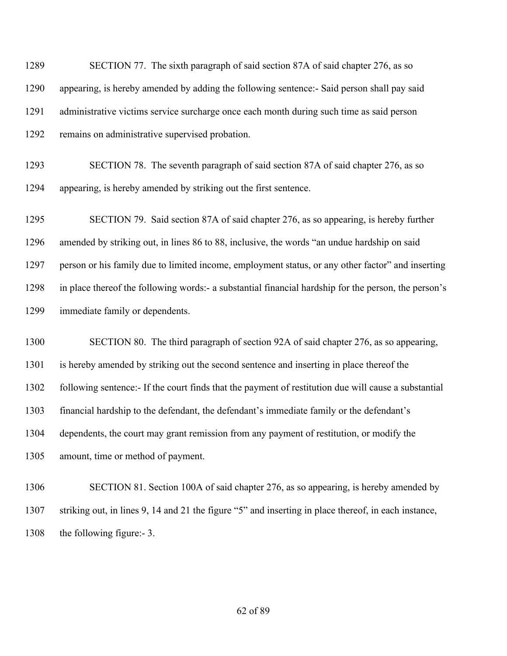SECTION 77. The sixth paragraph of said section 87A of said chapter 276, as so appearing, is hereby amended by adding the following sentence:- Said person shall pay said administrative victims service surcharge once each month during such time as said person remains on administrative supervised probation.

 SECTION 78. The seventh paragraph of said section 87A of said chapter 276, as so appearing, is hereby amended by striking out the first sentence.

 SECTION 79. Said section 87A of said chapter 276, as so appearing, is hereby further amended by striking out, in lines 86 to 88, inclusive, the words "an undue hardship on said person or his family due to limited income, employment status, or any other factor" and inserting in place thereof the following words:- a substantial financial hardship for the person, the person's immediate family or dependents.

 SECTION 80. The third paragraph of section 92A of said chapter 276, as so appearing, is hereby amended by striking out the second sentence and inserting in place thereof the following sentence:- If the court finds that the payment of restitution due will cause a substantial financial hardship to the defendant, the defendant's immediate family or the defendant's dependents, the court may grant remission from any payment of restitution, or modify the amount, time or method of payment.

 SECTION 81. Section 100A of said chapter 276, as so appearing, is hereby amended by striking out, in lines 9, 14 and 21 the figure "5" and inserting in place thereof, in each instance, the following figure:- 3.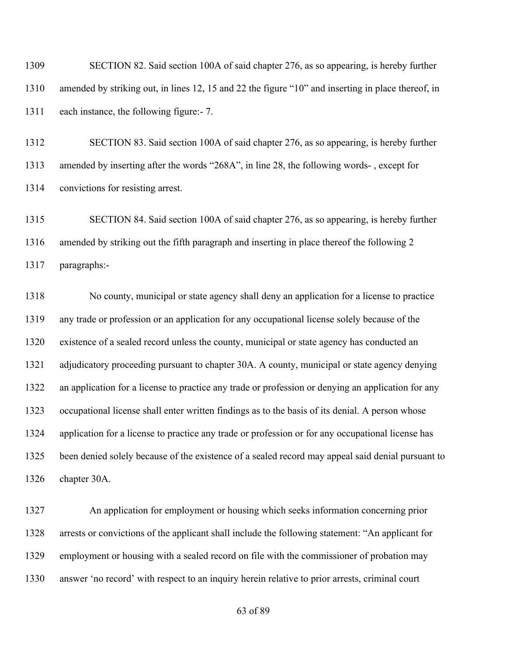SECTION 82. Said section 100A of said chapter 276, as so appearing, is hereby further amended by striking out, in lines 12, 15 and 22 the figure "10" and inserting in place thereof, in each instance, the following figure:- 7.

 SECTION 83. Said section 100A of said chapter 276, as so appearing, is hereby further amended by inserting after the words "268A", in line 28, the following words- , except for convictions for resisting arrest.

 SECTION 84. Said section 100A of said chapter 276, as so appearing, is hereby further amended by striking out the fifth paragraph and inserting in place thereof the following 2 paragraphs:-

 No county, municipal or state agency shall deny an application for a license to practice any trade or profession or an application for any occupational license solely because of the existence of a sealed record unless the county, municipal or state agency has conducted an adjudicatory proceeding pursuant to chapter 30A. A county, municipal or state agency denying an application for a license to practice any trade or profession or denying an application for any occupational license shall enter written findings as to the basis of its denial. A person whose application for a license to practice any trade or profession or for any occupational license has been denied solely because of the existence of a sealed record may appeal said denial pursuant to chapter 30A.

 An application for employment or housing which seeks information concerning prior arrests or convictions of the applicant shall include the following statement: "An applicant for employment or housing with a sealed record on file with the commissioner of probation may answer 'no record' with respect to an inquiry herein relative to prior arrests, criminal court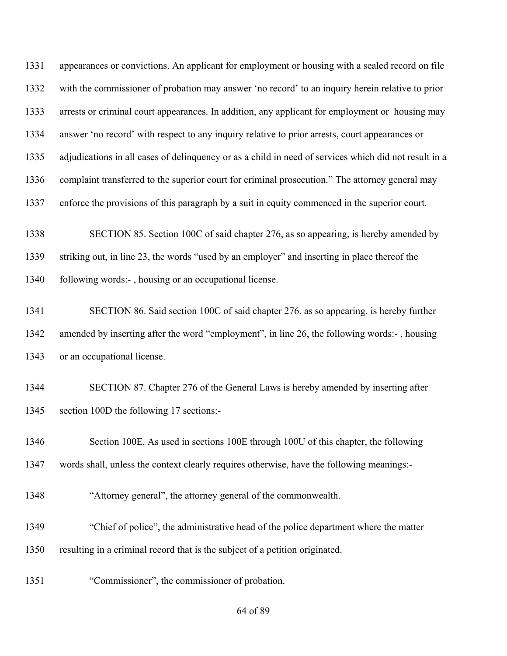appearances or convictions. An applicant for employment or housing with a sealed record on file with the commissioner of probation may answer 'no record' to an inquiry herein relative to prior arrests or criminal court appearances. In addition, any applicant for employment or housing may answer 'no record' with respect to any inquiry relative to prior arrests, court appearances or adjudications in all cases of delinquency or as a child in need of services which did not result in a complaint transferred to the superior court for criminal prosecution." The attorney general may enforce the provisions of this paragraph by a suit in equity commenced in the superior court.

 SECTION 85. Section 100C of said chapter 276, as so appearing, is hereby amended by striking out, in line 23, the words "used by an employer" and inserting in place thereof the 1340 following words:-, housing or an occupational license.

 SECTION 86. Said section 100C of said chapter 276, as so appearing, is hereby further amended by inserting after the word "employment", in line 26, the following words:- , housing or an occupational license.

 SECTION 87. Chapter 276 of the General Laws is hereby amended by inserting after section 100D the following 17 sections:-

1346 Section 100E. As used in sections 100E through 100U of this chapter, the following words shall, unless the context clearly requires otherwise, have the following meanings:-

"Attorney general", the attorney general of the commonwealth.

"Chief of police", the administrative head of the police department where the matter

resulting in a criminal record that is the subject of a petition originated.

"Commissioner", the commissioner of probation.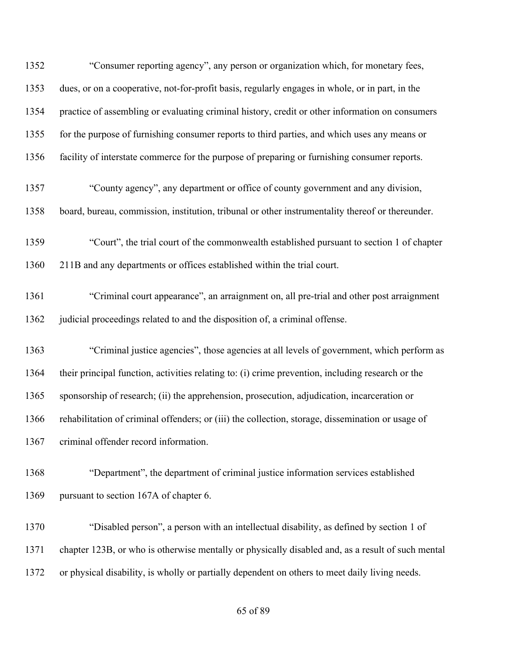| 1352 | "Consumer reporting agency", any person or organization which, for monetary fees,                 |
|------|---------------------------------------------------------------------------------------------------|
| 1353 | dues, or on a cooperative, not-for-profit basis, regularly engages in whole, or in part, in the   |
| 1354 | practice of assembling or evaluating criminal history, credit or other information on consumers   |
| 1355 | for the purpose of furnishing consumer reports to third parties, and which uses any means or      |
| 1356 | facility of interstate commerce for the purpose of preparing or furnishing consumer reports.      |
| 1357 | "County agency", any department or office of county government and any division,                  |
| 1358 | board, bureau, commission, institution, tribunal or other instrumentality thereof or thereunder.  |
| 1359 | "Court", the trial court of the commonwealth established pursuant to section 1 of chapter         |
| 1360 | 211B and any departments or offices established within the trial court.                           |
| 1361 | "Criminal court appearance", an arraignment on, all pre-trial and other post arraignment          |
| 1362 | judicial proceedings related to and the disposition of, a criminal offense.                       |
| 1363 | "Criminal justice agencies", those agencies at all levels of government, which perform as         |
| 1364 | their principal function, activities relating to: (i) crime prevention, including research or the |
| 1365 | sponsorship of research; (ii) the apprehension, prosecution, adjudication, incarceration or       |
| 1366 | rehabilitation of criminal offenders; or (iii) the collection, storage, dissemination or usage of |
| 1367 | criminal offender record information.                                                             |
| 1368 | "Department", the department of criminal justice information services established                 |
| 1369 | pursuant to section 167A of chapter 6.                                                            |
| 1370 | "Disabled person", a person with an intellectual disability, as defined by section 1 of           |
| 1371 | chapter 123B, or who is otherwise mentally or physically disabled and, as a result of such mental |
| 1372 | or physical disability, is wholly or partially dependent on others to meet daily living needs.    |
|      |                                                                                                   |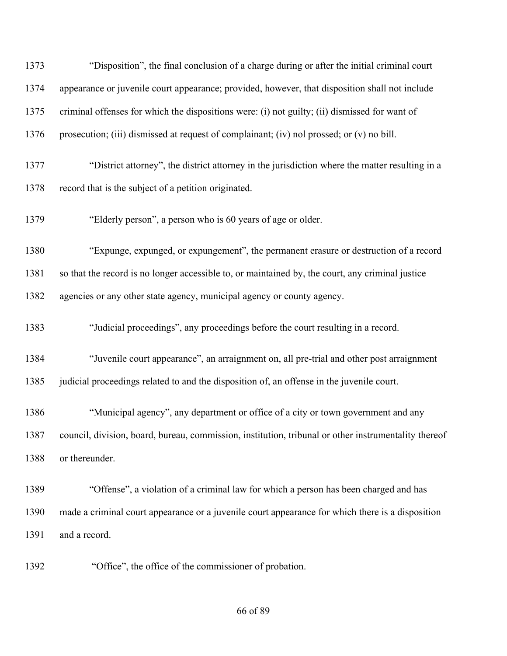| 1373 | "Disposition", the final conclusion of a charge during or after the initial criminal court           |
|------|------------------------------------------------------------------------------------------------------|
| 1374 | appearance or juvenile court appearance; provided, however, that disposition shall not include       |
| 1375 | criminal offenses for which the dispositions were: (i) not guilty; (ii) dismissed for want of        |
| 1376 | prosecution; (iii) dismissed at request of complainant; (iv) nol prossed; or (v) no bill.            |
| 1377 | "District attorney", the district attorney in the jurisdiction where the matter resulting in a       |
| 1378 | record that is the subject of a petition originated.                                                 |
| 1379 | "Elderly person", a person who is 60 years of age or older.                                          |
| 1380 | "Expunge, expunged, or expungement", the permanent erasure or destruction of a record                |
| 1381 | so that the record is no longer accessible to, or maintained by, the court, any criminal justice     |
| 1382 | agencies or any other state agency, municipal agency or county agency.                               |
| 1383 | "Judicial proceedings", any proceedings before the court resulting in a record.                      |
| 1384 | "Juvenile court appearance", an arraignment on, all pre-trial and other post arraignment             |
| 1385 | judicial proceedings related to and the disposition of, an offense in the juvenile court.            |
| 1386 | "Municipal agency", any department or office of a city or town government and any                    |
| 1387 | council, division, board, bureau, commission, institution, tribunal or other instrumentality thereof |
| 1388 | or thereunder.                                                                                       |
| 1389 | "Offense", a violation of a criminal law for which a person has been charged and has                 |
| 1390 | made a criminal court appearance or a juvenile court appearance for which there is a disposition     |
| 1391 | and a record.                                                                                        |
|      |                                                                                                      |

"Office", the office of the commissioner of probation.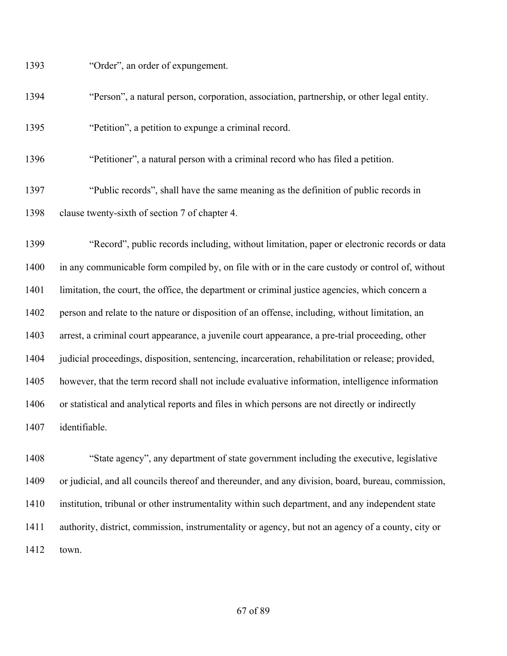"Order", an order of expungement.

"Person", a natural person, corporation, association, partnership, or other legal entity.

"Petition", a petition to expunge a criminal record.

"Petitioner", a natural person with a criminal record who has filed a petition.

 "Public records", shall have the same meaning as the definition of public records in clause twenty-sixth of section 7 of chapter 4.

 "Record", public records including, without limitation, paper or electronic records or data in any communicable form compiled by, on file with or in the care custody or control of, without 1401 limitation, the court, the office, the department or criminal justice agencies, which concern a person and relate to the nature or disposition of an offense, including, without limitation, an arrest, a criminal court appearance, a juvenile court appearance, a pre-trial proceeding, other judicial proceedings, disposition, sentencing, incarceration, rehabilitation or release; provided, however, that the term record shall not include evaluative information, intelligence information or statistical and analytical reports and files in which persons are not directly or indirectly identifiable.

 "State agency", any department of state government including the executive, legislative or judicial, and all councils thereof and thereunder, and any division, board, bureau, commission, institution, tribunal or other instrumentality within such department, and any independent state authority, district, commission, instrumentality or agency, but not an agency of a county, city or town.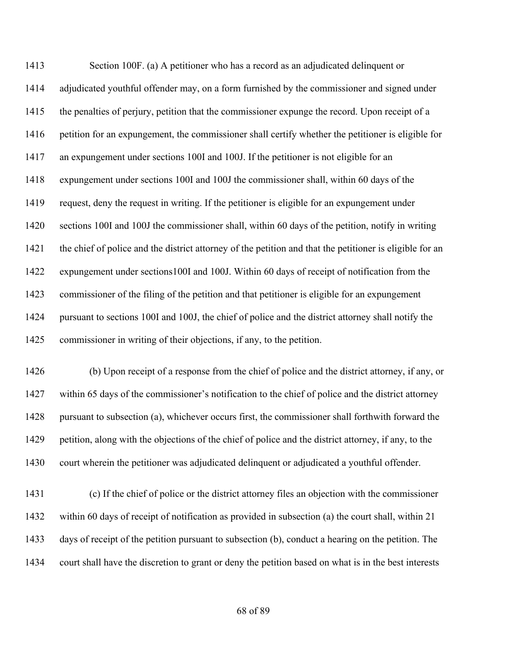Section 100F. (a) A petitioner who has a record as an adjudicated delinquent or adjudicated youthful offender may, on a form furnished by the commissioner and signed under the penalties of perjury, petition that the commissioner expunge the record. Upon receipt of a petition for an expungement, the commissioner shall certify whether the petitioner is eligible for an expungement under sections 100I and 100J. If the petitioner is not eligible for an expungement under sections 100I and 100J the commissioner shall, within 60 days of the request, deny the request in writing. If the petitioner is eligible for an expungement under sections 100I and 100J the commissioner shall, within 60 days of the petition, notify in writing the chief of police and the district attorney of the petition and that the petitioner is eligible for an expungement under sections100I and 100J. Within 60 days of receipt of notification from the commissioner of the filing of the petition and that petitioner is eligible for an expungement pursuant to sections 100I and 100J, the chief of police and the district attorney shall notify the commissioner in writing of their objections, if any, to the petition.

 (b) Upon receipt of a response from the chief of police and the district attorney, if any, or within 65 days of the commissioner's notification to the chief of police and the district attorney pursuant to subsection (a), whichever occurs first, the commissioner shall forthwith forward the petition, along with the objections of the chief of police and the district attorney, if any, to the court wherein the petitioner was adjudicated delinquent or adjudicated a youthful offender.

 (c) If the chief of police or the district attorney files an objection with the commissioner within 60 days of receipt of notification as provided in subsection (a) the court shall, within 21 days of receipt of the petition pursuant to subsection (b), conduct a hearing on the petition. The court shall have the discretion to grant or deny the petition based on what is in the best interests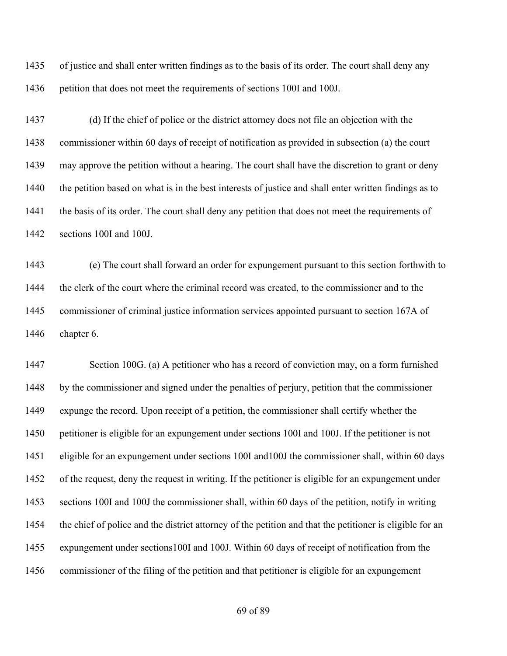of justice and shall enter written findings as to the basis of its order. The court shall deny any petition that does not meet the requirements of sections 100I and 100J.

 (d) If the chief of police or the district attorney does not file an objection with the commissioner within 60 days of receipt of notification as provided in subsection (a) the court may approve the petition without a hearing. The court shall have the discretion to grant or deny 1440 the petition based on what is in the best interests of justice and shall enter written findings as to the basis of its order. The court shall deny any petition that does not meet the requirements of sections 100I and 100J.

 (e) The court shall forward an order for expungement pursuant to this section forthwith to the clerk of the court where the criminal record was created, to the commissioner and to the commissioner of criminal justice information services appointed pursuant to section 167A of chapter 6.

 Section 100G. (a) A petitioner who has a record of conviction may, on a form furnished by the commissioner and signed under the penalties of perjury, petition that the commissioner expunge the record. Upon receipt of a petition, the commissioner shall certify whether the petitioner is eligible for an expungement under sections 100I and 100J. If the petitioner is not eligible for an expungement under sections 100I and100J the commissioner shall, within 60 days of the request, deny the request in writing. If the petitioner is eligible for an expungement under sections 100I and 100J the commissioner shall, within 60 days of the petition, notify in writing the chief of police and the district attorney of the petition and that the petitioner is eligible for an expungement under sections100I and 100J. Within 60 days of receipt of notification from the commissioner of the filing of the petition and that petitioner is eligible for an expungement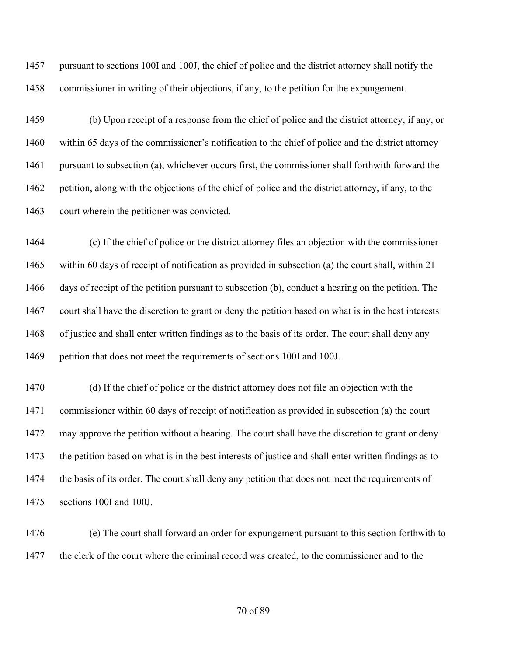pursuant to sections 100I and 100J, the chief of police and the district attorney shall notify the commissioner in writing of their objections, if any, to the petition for the expungement.

 (b) Upon receipt of a response from the chief of police and the district attorney, if any, or within 65 days of the commissioner's notification to the chief of police and the district attorney pursuant to subsection (a), whichever occurs first, the commissioner shall forthwith forward the petition, along with the objections of the chief of police and the district attorney, if any, to the court wherein the petitioner was convicted.

 (c) If the chief of police or the district attorney files an objection with the commissioner within 60 days of receipt of notification as provided in subsection (a) the court shall, within 21 days of receipt of the petition pursuant to subsection (b), conduct a hearing on the petition. The court shall have the discretion to grant or deny the petition based on what is in the best interests of justice and shall enter written findings as to the basis of its order. The court shall deny any petition that does not meet the requirements of sections 100I and 100J.

 (d) If the chief of police or the district attorney does not file an objection with the commissioner within 60 days of receipt of notification as provided in subsection (a) the court may approve the petition without a hearing. The court shall have the discretion to grant or deny the petition based on what is in the best interests of justice and shall enter written findings as to the basis of its order. The court shall deny any petition that does not meet the requirements of sections 100I and 100J.

 (e) The court shall forward an order for expungement pursuant to this section forthwith to 1477 the clerk of the court where the criminal record was created, to the commissioner and to the

## of 89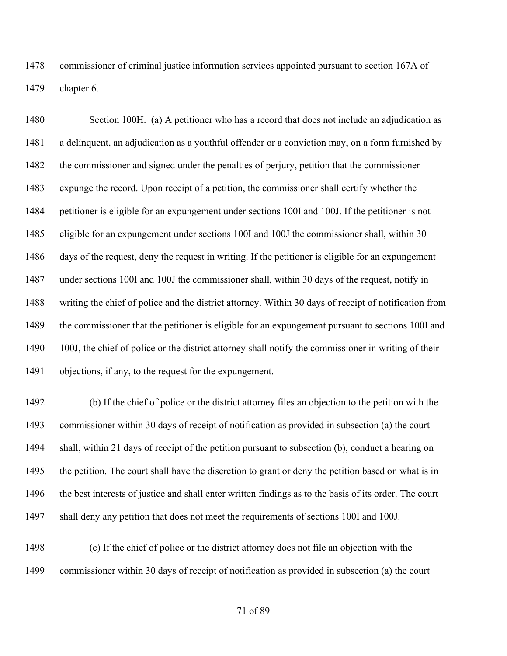commissioner of criminal justice information services appointed pursuant to section 167A of chapter 6.

 Section 100H. (a) A petitioner who has a record that does not include an adjudication as a delinquent, an adjudication as a youthful offender or a conviction may, on a form furnished by the commissioner and signed under the penalties of perjury, petition that the commissioner expunge the record. Upon receipt of a petition, the commissioner shall certify whether the petitioner is eligible for an expungement under sections 100I and 100J. If the petitioner is not eligible for an expungement under sections 100I and 100J the commissioner shall, within 30 days of the request, deny the request in writing. If the petitioner is eligible for an expungement under sections 100I and 100J the commissioner shall, within 30 days of the request, notify in writing the chief of police and the district attorney. Within 30 days of receipt of notification from the commissioner that the petitioner is eligible for an expungement pursuant to sections 100I and 1490 100J, the chief of police or the district attorney shall notify the commissioner in writing of their objections, if any, to the request for the expungement.

 (b) If the chief of police or the district attorney files an objection to the petition with the commissioner within 30 days of receipt of notification as provided in subsection (a) the court shall, within 21 days of receipt of the petition pursuant to subsection (b), conduct a hearing on 1495 the petition. The court shall have the discretion to grant or deny the petition based on what is in 1496 the best interests of justice and shall enter written findings as to the basis of its order. The court shall deny any petition that does not meet the requirements of sections 100I and 100J.

 (c) If the chief of police or the district attorney does not file an objection with the commissioner within 30 days of receipt of notification as provided in subsection (a) the court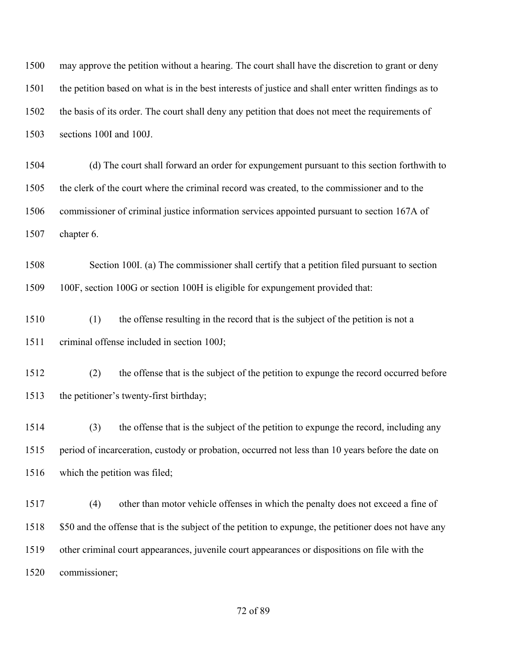may approve the petition without a hearing. The court shall have the discretion to grant or deny the petition based on what is in the best interests of justice and shall enter written findings as to the basis of its order. The court shall deny any petition that does not meet the requirements of sections 100I and 100J.

 (d) The court shall forward an order for expungement pursuant to this section forthwith to the clerk of the court where the criminal record was created, to the commissioner and to the commissioner of criminal justice information services appointed pursuant to section 167A of chapter 6.

 Section 100I. (a) The commissioner shall certify that a petition filed pursuant to section 100F, section 100G or section 100H is eligible for expungement provided that:

 (1) the offense resulting in the record that is the subject of the petition is not a criminal offense included in section 100J;

 (2) the offense that is the subject of the petition to expunge the record occurred before the petitioner's twenty-first birthday;

 (3) the offense that is the subject of the petition to expunge the record, including any period of incarceration, custody or probation, occurred not less than 10 years before the date on which the petition was filed;

 (4) other than motor vehicle offenses in which the penalty does not exceed a fine of \$50 and the offense that is the subject of the petition to expunge, the petitioner does not have any other criminal court appearances, juvenile court appearances or dispositions on file with the commissioner;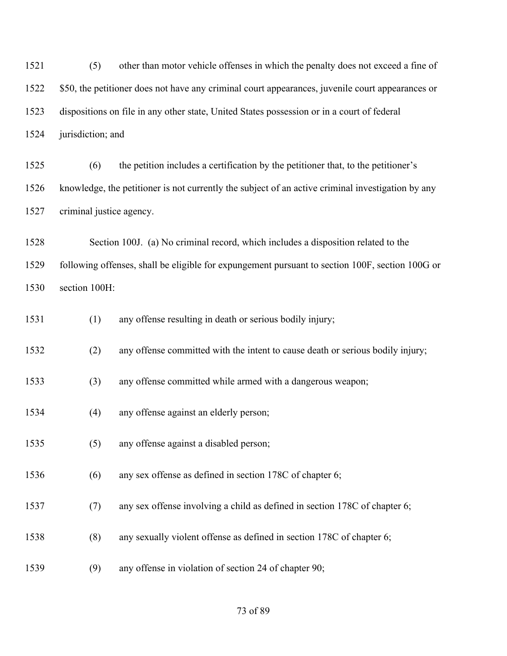(5) other than motor vehicle offenses in which the penalty does not exceed a fine of 1522 \$50, the petitioner does not have any criminal court appearances, juvenile court appearances or dispositions on file in any other state, United States possession or in a court of federal jurisdiction; and

 (6) the petition includes a certification by the petitioner that, to the petitioner's knowledge, the petitioner is not currently the subject of an active criminal investigation by any criminal justice agency.

 Section 100J. (a) No criminal record, which includes a disposition related to the following offenses, shall be eligible for expungement pursuant to section 100F, section 100G or section 100H:

(1) any offense resulting in death or serious bodily injury;

(2) any offense committed with the intent to cause death or serious bodily injury;

(3) any offense committed while armed with a dangerous weapon;

- (4) any offense against an elderly person;
- (5) any offense against a disabled person;
- (6) any sex offense as defined in section 178C of chapter 6;
- (7) any sex offense involving a child as defined in section 178C of chapter 6;
- (8) any sexually violent offense as defined in section 178C of chapter 6;
- (9) any offense in violation of section 24 of chapter 90;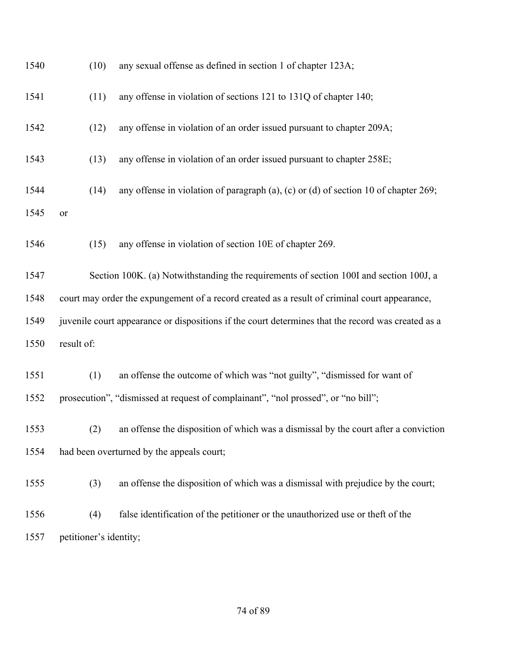| 1540 | (10)                                                                                          | any sexual offense as defined in section 1 of chapter 123A;                                        |
|------|-----------------------------------------------------------------------------------------------|----------------------------------------------------------------------------------------------------|
| 1541 | (11)                                                                                          | any offense in violation of sections 121 to 131Q of chapter 140;                                   |
| 1542 | (12)                                                                                          | any offense in violation of an order issued pursuant to chapter 209A;                              |
| 1543 | (13)                                                                                          | any offense in violation of an order issued pursuant to chapter 258E;                              |
| 1544 | (14)                                                                                          | any offense in violation of paragraph $(a)$ , $(c)$ or $(d)$ of section 10 of chapter 269;         |
| 1545 | or                                                                                            |                                                                                                    |
| 1546 | (15)                                                                                          | any offense in violation of section 10E of chapter 269.                                            |
| 1547 |                                                                                               | Section 100K. (a) Notwithstanding the requirements of section 100I and section 100J, a             |
| 1548 | court may order the expungement of a record created as a result of criminal court appearance, |                                                                                                    |
| 1549 |                                                                                               | juvenile court appearance or dispositions if the court determines that the record was created as a |
| 1550 | result of:                                                                                    |                                                                                                    |
| 1551 | (1)                                                                                           | an offense the outcome of which was "not guilty", "dismissed for want of                           |
| 1552 |                                                                                               | prosecution", "dismissed at request of complainant", "nol prossed", or "no bill";                  |
| 1553 | (2)                                                                                           | an offense the disposition of which was a dismissal by the court after a conviction                |
| 1554 |                                                                                               | had been overturned by the appeals court;                                                          |
| 1555 | (3)                                                                                           | an offense the disposition of which was a dismissal with prejudice by the court;                   |
| 1556 | (4)                                                                                           | false identification of the petitioner or the unauthorized use or theft of the                     |
| 1557 | petitioner's identity;                                                                        |                                                                                                    |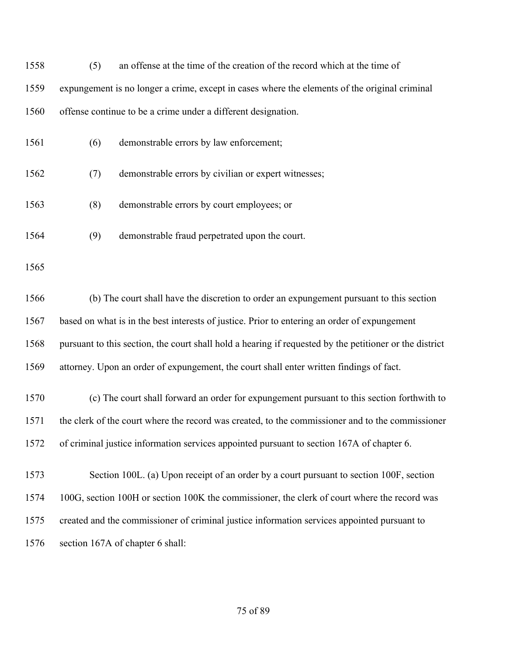| 1558 | (5)                                                                                              | an offense at the time of the creation of the record which at the time of                               |
|------|--------------------------------------------------------------------------------------------------|---------------------------------------------------------------------------------------------------------|
| 1559 |                                                                                                  | expungement is no longer a crime, except in cases where the elements of the original criminal           |
| 1560 |                                                                                                  | offense continue to be a crime under a different designation.                                           |
| 1561 | (6)                                                                                              | demonstrable errors by law enforcement;                                                                 |
| 1562 | (7)                                                                                              | demonstrable errors by civilian or expert witnesses;                                                    |
| 1563 | (8)                                                                                              | demonstrable errors by court employees; or                                                              |
| 1564 | (9)                                                                                              | demonstrable fraud perpetrated upon the court.                                                          |
| 1565 |                                                                                                  |                                                                                                         |
| 1566 |                                                                                                  | (b) The court shall have the discretion to order an expungement pursuant to this section                |
| 1567 | based on what is in the best interests of justice. Prior to entering an order of expungement     |                                                                                                         |
| 1568 |                                                                                                  | pursuant to this section, the court shall hold a hearing if requested by the petitioner or the district |
| 1569 |                                                                                                  | attorney. Upon an order of expungement, the court shall enter written findings of fact.                 |
| 1570 |                                                                                                  | (c) The court shall forward an order for expungement pursuant to this section forthwith to              |
| 1571 | the clerk of the court where the record was created, to the commissioner and to the commissioner |                                                                                                         |
| 1572 |                                                                                                  | of criminal justice information services appointed pursuant to section 167A of chapter 6.               |
| 1573 |                                                                                                  | Section 100L. (a) Upon receipt of an order by a court pursuant to section 100F, section                 |
| 1574 |                                                                                                  | 100G, section 100H or section 100K the commissioner, the clerk of court where the record was            |
| 1575 |                                                                                                  | created and the commissioner of criminal justice information services appointed pursuant to             |
| 1576 |                                                                                                  | section 167A of chapter 6 shall:                                                                        |
|      |                                                                                                  |                                                                                                         |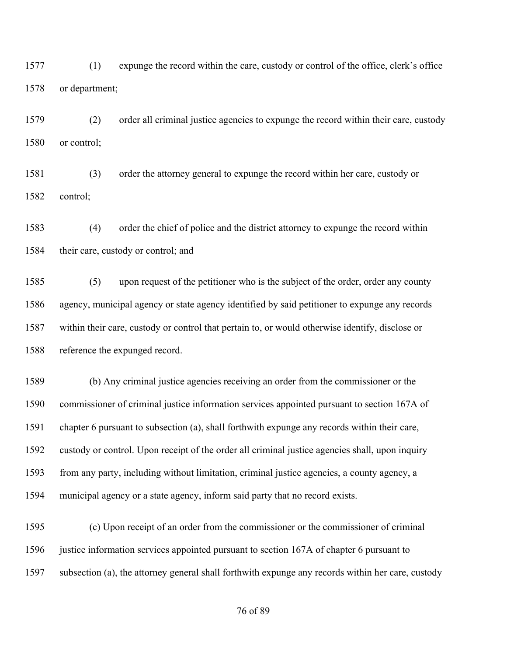(1) expunge the record within the care, custody or control of the office, clerk's office or department;

 (2) order all criminal justice agencies to expunge the record within their care, custody or control;

 (3) order the attorney general to expunge the record within her care, custody or control;

 (4) order the chief of police and the district attorney to expunge the record within their care, custody or control; and

 (5) upon request of the petitioner who is the subject of the order, order any county agency, municipal agency or state agency identified by said petitioner to expunge any records within their care, custody or control that pertain to, or would otherwise identify, disclose or reference the expunged record.

 (b) Any criminal justice agencies receiving an order from the commissioner or the commissioner of criminal justice information services appointed pursuant to section 167A of chapter 6 pursuant to subsection (a), shall forthwith expunge any records within their care, custody or control. Upon receipt of the order all criminal justice agencies shall, upon inquiry from any party, including without limitation, criminal justice agencies, a county agency, a municipal agency or a state agency, inform said party that no record exists.

 (c) Upon receipt of an order from the commissioner or the commissioner of criminal 1596 justice information services appointed pursuant to section 167A of chapter 6 pursuant to subsection (a), the attorney general shall forthwith expunge any records within her care, custody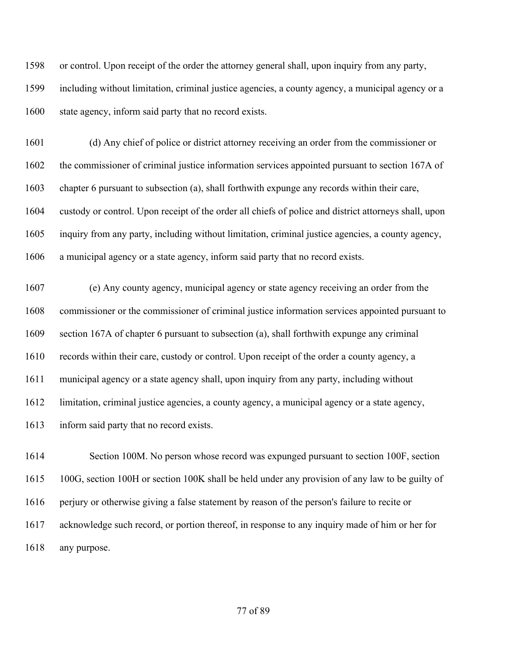or control. Upon receipt of the order the attorney general shall, upon inquiry from any party, including without limitation, criminal justice agencies, a county agency, a municipal agency or a state agency, inform said party that no record exists.

 (d) Any chief of police or district attorney receiving an order from the commissioner or the commissioner of criminal justice information services appointed pursuant to section 167A of chapter 6 pursuant to subsection (a), shall forthwith expunge any records within their care, custody or control. Upon receipt of the order all chiefs of police and district attorneys shall, upon inquiry from any party, including without limitation, criminal justice agencies, a county agency, a municipal agency or a state agency, inform said party that no record exists.

 (e) Any county agency, municipal agency or state agency receiving an order from the commissioner or the commissioner of criminal justice information services appointed pursuant to section 167A of chapter 6 pursuant to subsection (a), shall forthwith expunge any criminal records within their care, custody or control. Upon receipt of the order a county agency, a municipal agency or a state agency shall, upon inquiry from any party, including without limitation, criminal justice agencies, a county agency, a municipal agency or a state agency, inform said party that no record exists.

 Section 100M. No person whose record was expunged pursuant to section 100F, section 100G, section 100H or section 100K shall be held under any provision of any law to be guilty of perjury or otherwise giving a false statement by reason of the person's failure to recite or acknowledge such record, or portion thereof, in response to any inquiry made of him or her for any purpose.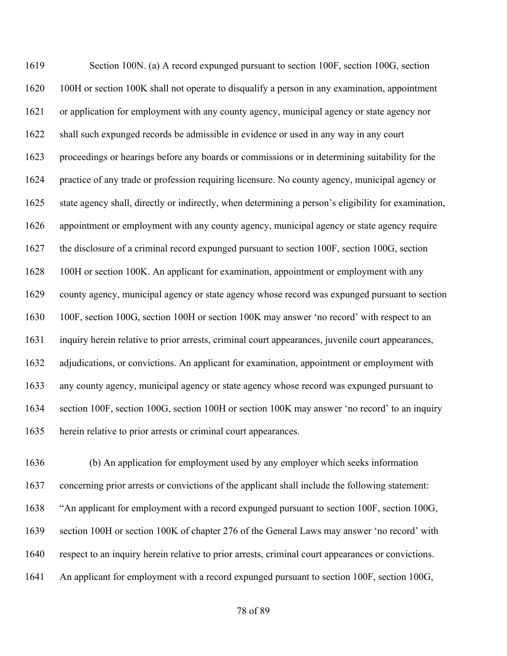Section 100N. (a) A record expunged pursuant to section 100F, section 100G, section 100H or section 100K shall not operate to disqualify a person in any examination, appointment or application for employment with any county agency, municipal agency or state agency nor shall such expunged records be admissible in evidence or used in any way in any court proceedings or hearings before any boards or commissions or in determining suitability for the practice of any trade or profession requiring licensure. No county agency, municipal agency or state agency shall, directly or indirectly, when determining a person's eligibility for examination, appointment or employment with any county agency, municipal agency or state agency require the disclosure of a criminal record expunged pursuant to section 100F, section 100G, section 100H or section 100K. An applicant for examination, appointment or employment with any county agency, municipal agency or state agency whose record was expunged pursuant to section 100F, section 100G, section 100H or section 100K may answer 'no record' with respect to an inquiry herein relative to prior arrests, criminal court appearances, juvenile court appearances, adjudications, or convictions. An applicant for examination, appointment or employment with any county agency, municipal agency or state agency whose record was expunged pursuant to 1634 section 100F, section 100G, section 100H or section 100K may answer 'no record' to an inquiry herein relative to prior arrests or criminal court appearances.

 (b) An application for employment used by any employer which seeks information concerning prior arrests or convictions of the applicant shall include the following statement: "An applicant for employment with a record expunged pursuant to section 100F, section 100G, section 100H or section 100K of chapter 276 of the General Laws may answer 'no record' with respect to an inquiry herein relative to prior arrests, criminal court appearances or convictions. An applicant for employment with a record expunged pursuant to section 100F, section 100G,

of 89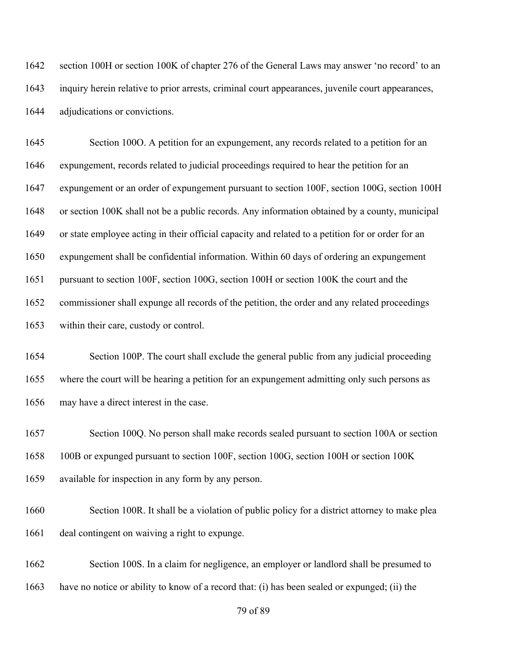section 100H or section 100K of chapter 276 of the General Laws may answer 'no record' to an inquiry herein relative to prior arrests, criminal court appearances, juvenile court appearances, adjudications or convictions.

 Section 100O. A petition for an expungement, any records related to a petition for an expungement, records related to judicial proceedings required to hear the petition for an expungement or an order of expungement pursuant to section 100F, section 100G, section 100H or section 100K shall not be a public records. Any information obtained by a county, municipal or state employee acting in their official capacity and related to a petition for or order for an expungement shall be confidential information. Within 60 days of ordering an expungement pursuant to section 100F, section 100G, section 100H or section 100K the court and the commissioner shall expunge all records of the petition, the order and any related proceedings within their care, custody or control.

 Section 100P. The court shall exclude the general public from any judicial proceeding where the court will be hearing a petition for an expungement admitting only such persons as may have a direct interest in the case.

 Section 100Q. No person shall make records sealed pursuant to section 100A or section 100B or expunged pursuant to section 100F, section 100G, section 100H or section 100K available for inspection in any form by any person.

 Section 100R. It shall be a violation of public policy for a district attorney to make plea deal contingent on waiving a right to expunge.

 Section 100S. In a claim for negligence, an employer or landlord shall be presumed to have no notice or ability to know of a record that: (i) has been sealed or expunged; (ii) the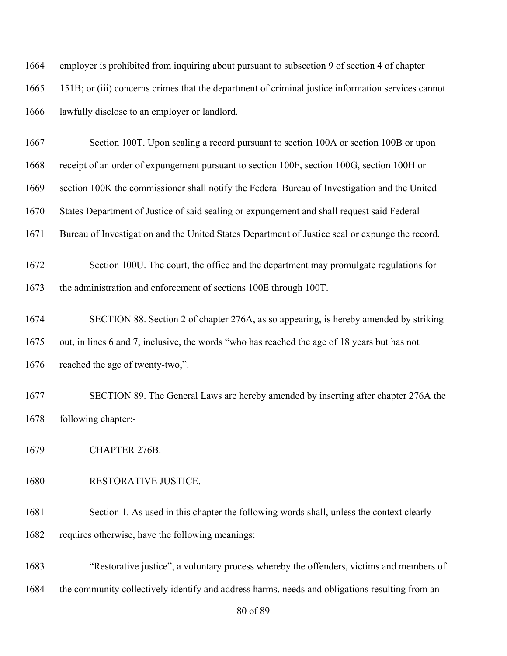employer is prohibited from inquiring about pursuant to subsection 9 of section 4 of chapter 151B; or (iii) concerns crimes that the department of criminal justice information services cannot lawfully disclose to an employer or landlord.

 Section 100T. Upon sealing a record pursuant to section 100A or section 100B or upon receipt of an order of expungement pursuant to section 100F, section 100G, section 100H or section 100K the commissioner shall notify the Federal Bureau of Investigation and the United States Department of Justice of said sealing or expungement and shall request said Federal Bureau of Investigation and the United States Department of Justice seal or expunge the record.

- Section 100U. The court, the office and the department may promulgate regulations for the administration and enforcement of sections 100E through 100T.
- SECTION 88. Section 2 of chapter 276A, as so appearing, is hereby amended by striking out, in lines 6 and 7, inclusive, the words "who has reached the age of 18 years but has not 1676 reached the age of twenty-two,".
- SECTION 89. The General Laws are hereby amended by inserting after chapter 276A the following chapter:-
- CHAPTER 276B.
- RESTORATIVE JUSTICE.
- 1681 Section 1. As used in this chapter the following words shall, unless the context clearly requires otherwise, have the following meanings:

 "Restorative justice", a voluntary process whereby the offenders, victims and members of the community collectively identify and address harms, needs and obligations resulting from an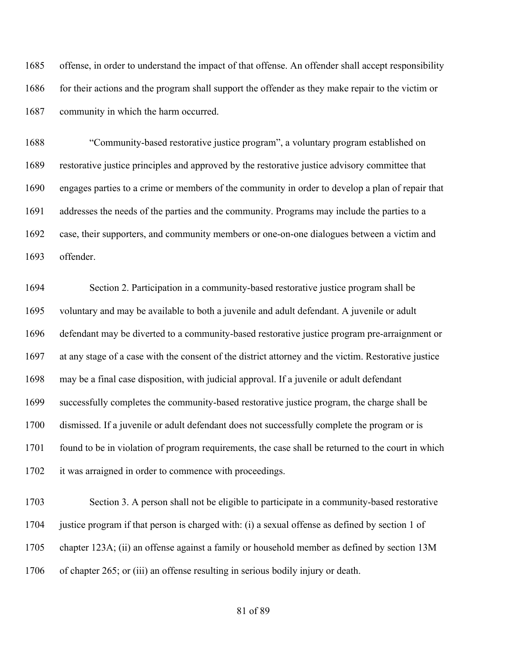offense, in order to understand the impact of that offense. An offender shall accept responsibility 1686 for their actions and the program shall support the offender as they make repair to the victim or community in which the harm occurred.

 "Community-based restorative justice program", a voluntary program established on restorative justice principles and approved by the restorative justice advisory committee that engages parties to a crime or members of the community in order to develop a plan of repair that addresses the needs of the parties and the community. Programs may include the parties to a case, their supporters, and community members or one-on-one dialogues between a victim and offender.

 Section 2. Participation in a community-based restorative justice program shall be voluntary and may be available to both a juvenile and adult defendant. A juvenile or adult defendant may be diverted to a community-based restorative justice program pre-arraignment or at any stage of a case with the consent of the district attorney and the victim. Restorative justice may be a final case disposition, with judicial approval. If a juvenile or adult defendant successfully completes the community-based restorative justice program, the charge shall be dismissed. If a juvenile or adult defendant does not successfully complete the program or is found to be in violation of program requirements, the case shall be returned to the court in which 1702 it was arraigned in order to commence with proceedings.

 Section 3. A person shall not be eligible to participate in a community-based restorative justice program if that person is charged with: (i) a sexual offense as defined by section 1 of chapter 123A; (ii) an offense against a family or household member as defined by section 13M of chapter 265; or (iii) an offense resulting in serious bodily injury or death.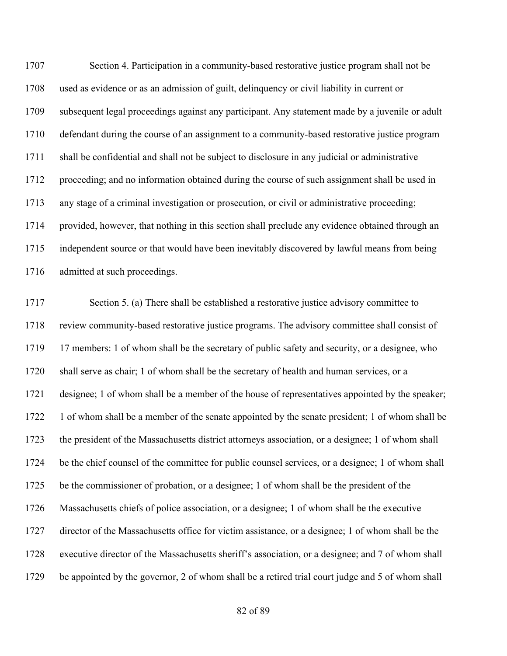Section 4. Participation in a community-based restorative justice program shall not be used as evidence or as an admission of guilt, delinquency or civil liability in current or subsequent legal proceedings against any participant. Any statement made by a juvenile or adult defendant during the course of an assignment to a community-based restorative justice program shall be confidential and shall not be subject to disclosure in any judicial or administrative proceeding; and no information obtained during the course of such assignment shall be used in any stage of a criminal investigation or prosecution, or civil or administrative proceeding; provided, however, that nothing in this section shall preclude any evidence obtained through an independent source or that would have been inevitably discovered by lawful means from being admitted at such proceedings.

 Section 5. (a) There shall be established a restorative justice advisory committee to review community-based restorative justice programs. The advisory committee shall consist of 1719 17 members: 1 of whom shall be the secretary of public safety and security, or a designee, who shall serve as chair; 1 of whom shall be the secretary of health and human services, or a designee; 1 of whom shall be a member of the house of representatives appointed by the speaker; 1722 1 of whom shall be a member of the senate appointed by the senate president; 1 of whom shall be the president of the Massachusetts district attorneys association, or a designee; 1 of whom shall be the chief counsel of the committee for public counsel services, or a designee; 1 of whom shall be the commissioner of probation, or a designee; 1 of whom shall be the president of the Massachusetts chiefs of police association, or a designee; 1 of whom shall be the executive director of the Massachusetts office for victim assistance, or a designee; 1 of whom shall be the executive director of the Massachusetts sheriff's association, or a designee; and 7 of whom shall be appointed by the governor, 2 of whom shall be a retired trial court judge and 5 of whom shall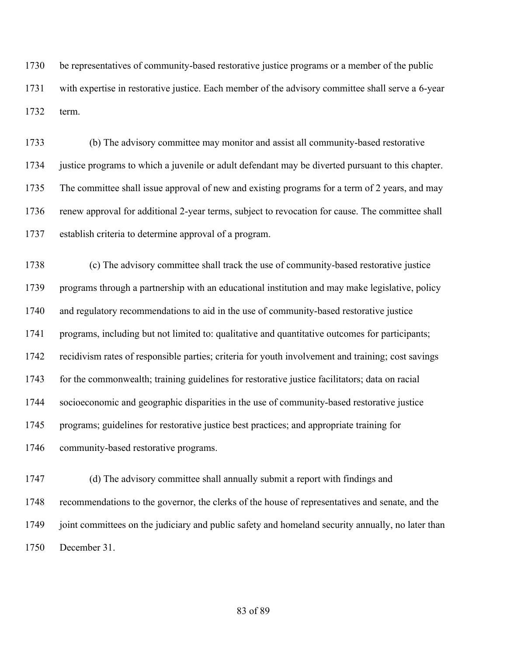be representatives of community-based restorative justice programs or a member of the public with expertise in restorative justice. Each member of the advisory committee shall serve a 6-year term.

 (b) The advisory committee may monitor and assist all community-based restorative justice programs to which a juvenile or adult defendant may be diverted pursuant to this chapter. The committee shall issue approval of new and existing programs for a term of 2 years, and may renew approval for additional 2-year terms, subject to revocation for cause. The committee shall establish criteria to determine approval of a program.

 (c) The advisory committee shall track the use of community-based restorative justice programs through a partnership with an educational institution and may make legislative, policy and regulatory recommendations to aid in the use of community-based restorative justice programs, including but not limited to: qualitative and quantitative outcomes for participants; recidivism rates of responsible parties; criteria for youth involvement and training; cost savings for the commonwealth; training guidelines for restorative justice facilitators; data on racial socioeconomic and geographic disparities in the use of community-based restorative justice programs; guidelines for restorative justice best practices; and appropriate training for community-based restorative programs.

 (d) The advisory committee shall annually submit a report with findings and recommendations to the governor, the clerks of the house of representatives and senate, and the joint committees on the judiciary and public safety and homeland security annually, no later than December 31.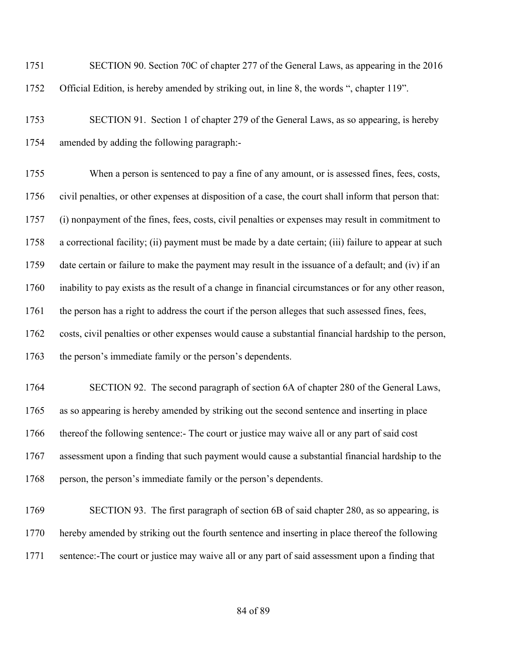SECTION 90. Section 70C of chapter 277 of the General Laws, as appearing in the 2016 Official Edition, is hereby amended by striking out, in line 8, the words ", chapter 119".

 SECTION 91. Section 1 of chapter 279 of the General Laws, as so appearing, is hereby amended by adding the following paragraph:-

 When a person is sentenced to pay a fine of any amount, or is assessed fines, fees, costs, civil penalties, or other expenses at disposition of a case, the court shall inform that person that: (i) nonpayment of the fines, fees, costs, civil penalties or expenses may result in commitment to a correctional facility; (ii) payment must be made by a date certain; (iii) failure to appear at such date certain or failure to make the payment may result in the issuance of a default; and (iv) if an inability to pay exists as the result of a change in financial circumstances or for any other reason, the person has a right to address the court if the person alleges that such assessed fines, fees, costs, civil penalties or other expenses would cause a substantial financial hardship to the person, 1763 the person's immediate family or the person's dependents.

 SECTION 92. The second paragraph of section 6A of chapter 280 of the General Laws, as so appearing is hereby amended by striking out the second sentence and inserting in place thereof the following sentence:- The court or justice may waive all or any part of said cost assessment upon a finding that such payment would cause a substantial financial hardship to the 1768 person, the person's immediate family or the person's dependents.

 SECTION 93. The first paragraph of section 6B of said chapter 280, as so appearing, is hereby amended by striking out the fourth sentence and inserting in place thereof the following sentence:-The court or justice may waive all or any part of said assessment upon a finding that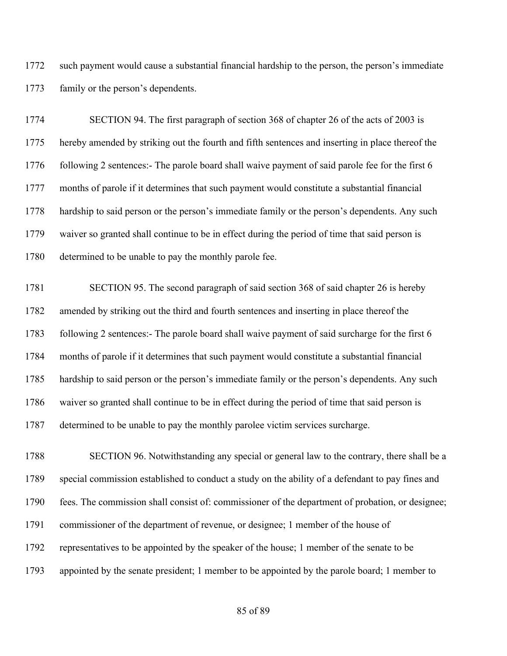such payment would cause a substantial financial hardship to the person, the person's immediate family or the person's dependents.

 SECTION 94. The first paragraph of section 368 of chapter 26 of the acts of 2003 is hereby amended by striking out the fourth and fifth sentences and inserting in place thereof the 1776 following 2 sentences:- The parole board shall waive payment of said parole fee for the first 6 months of parole if it determines that such payment would constitute a substantial financial hardship to said person or the person's immediate family or the person's dependents. Any such waiver so granted shall continue to be in effect during the period of time that said person is 1780 determined to be unable to pay the monthly parole fee.

 SECTION 95. The second paragraph of said section 368 of said chapter 26 is hereby amended by striking out the third and fourth sentences and inserting in place thereof the following 2 sentences:- The parole board shall waive payment of said surcharge for the first 6 months of parole if it determines that such payment would constitute a substantial financial hardship to said person or the person's immediate family or the person's dependents. Any such waiver so granted shall continue to be in effect during the period of time that said person is determined to be unable to pay the monthly parolee victim services surcharge.

 SECTION 96. Notwithstanding any special or general law to the contrary, there shall be a special commission established to conduct a study on the ability of a defendant to pay fines and fees. The commission shall consist of: commissioner of the department of probation, or designee; commissioner of the department of revenue, or designee; 1 member of the house of representatives to be appointed by the speaker of the house; 1 member of the senate to be appointed by the senate president; 1 member to be appointed by the parole board; 1 member to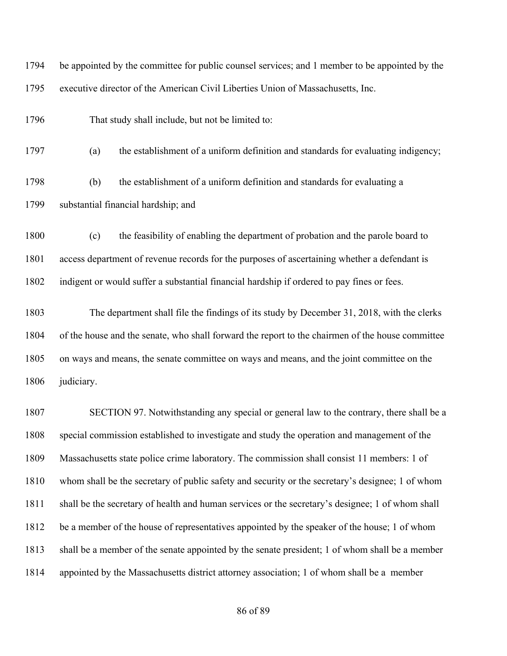| 1794 | be appointed by the committee for public counsel services; and 1 member to be appointed by the   |  |  |
|------|--------------------------------------------------------------------------------------------------|--|--|
| 1795 | executive director of the American Civil Liberties Union of Massachusetts, Inc.                  |  |  |
| 1796 | That study shall include, but not be limited to:                                                 |  |  |
| 1797 | the establishment of a uniform definition and standards for evaluating indigency;<br>(a)         |  |  |
| 1798 | the establishment of a uniform definition and standards for evaluating a<br>(b)                  |  |  |
| 1799 | substantial financial hardship; and                                                              |  |  |
| 1800 | the feasibility of enabling the department of probation and the parole board to<br>(c)           |  |  |
| 1801 | access department of revenue records for the purposes of ascertaining whether a defendant is     |  |  |
| 1802 | indigent or would suffer a substantial financial hardship if ordered to pay fines or fees.       |  |  |
| 1803 | The department shall file the findings of its study by December 31, 2018, with the clerks        |  |  |
| 1804 | of the house and the senate, who shall forward the report to the chairmen of the house committee |  |  |
| 1805 | on ways and means, the senate committee on ways and means, and the joint committee on the        |  |  |
| 1806 | judiciary.                                                                                       |  |  |
| 1807 | SECTION 97. Notwithstanding any special or general law to the contrary, there shall be a         |  |  |
| 1808 | special commission established to investigate and study the operation and management of the      |  |  |
| 1809 | Massachusetts state police crime laboratory. The commission shall consist 11 members: 1 of       |  |  |
| 1810 | whom shall be the secretary of public safety and security or the secretary's designee; 1 of whom |  |  |
| 1811 | shall be the secretary of health and human services or the secretary's designee; 1 of whom shall |  |  |
| 1812 | be a member of the house of representatives appointed by the speaker of the house; 1 of whom     |  |  |
| 1813 | shall be a member of the senate appointed by the senate president; 1 of whom shall be a member   |  |  |
| 1814 | appointed by the Massachusetts district attorney association; 1 of whom shall be a member        |  |  |
|      |                                                                                                  |  |  |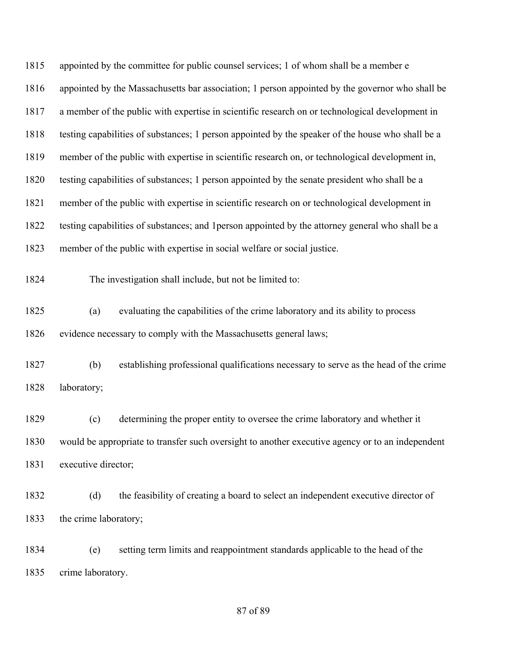| 1815 | appointed by the committee for public counsel services; 1 of whom shall be a member e             |  |  |
|------|---------------------------------------------------------------------------------------------------|--|--|
| 1816 | appointed by the Massachusetts bar association; 1 person appointed by the governor who shall be   |  |  |
| 1817 | a member of the public with expertise in scientific research on or technological development in   |  |  |
| 1818 | testing capabilities of substances; 1 person appointed by the speaker of the house who shall be a |  |  |
| 1819 | member of the public with expertise in scientific research on, or technological development in,   |  |  |
| 1820 | testing capabilities of substances; 1 person appointed by the senate president who shall be a     |  |  |
| 1821 | member of the public with expertise in scientific research on or technological development in     |  |  |
| 1822 | testing capabilities of substances; and 1 person appointed by the attorney general who shall be a |  |  |
| 1823 | member of the public with expertise in social welfare or social justice.                          |  |  |
| 1824 | The investigation shall include, but not be limited to:                                           |  |  |
| 1825 | evaluating the capabilities of the crime laboratory and its ability to process<br>(a)             |  |  |
| 1826 | evidence necessary to comply with the Massachusetts general laws;                                 |  |  |
| 1827 | establishing professional qualifications necessary to serve as the head of the crime<br>(b)       |  |  |
| 1828 | laboratory;                                                                                       |  |  |
| 1829 | determining the proper entity to oversee the crime laboratory and whether it<br>(c)               |  |  |
| 1830 | would be appropriate to transfer such oversight to another executive agency or to an independent  |  |  |
| 1831 | executive director;                                                                               |  |  |
| 1832 | (d)<br>the feasibility of creating a board to select an independent executive director of         |  |  |
| 1833 | the crime laboratory;                                                                             |  |  |
| 1834 | setting term limits and reappointment standards applicable to the head of the<br>(e)              |  |  |
| 1835 | crime laboratory.                                                                                 |  |  |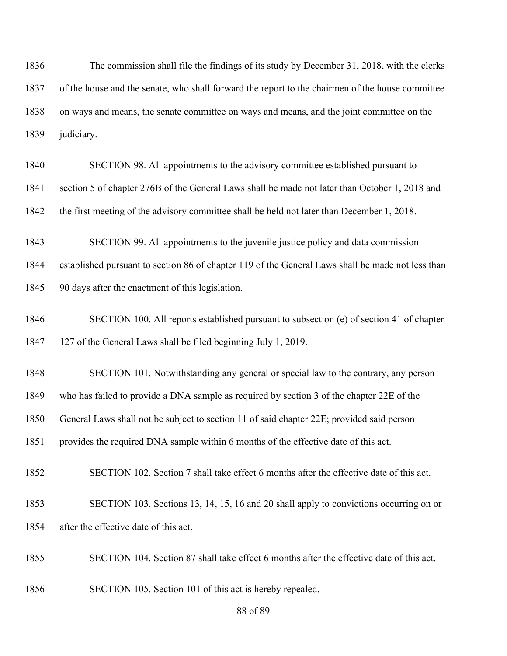The commission shall file the findings of its study by December 31, 2018, with the clerks of the house and the senate, who shall forward the report to the chairmen of the house committee on ways and means, the senate committee on ways and means, and the joint committee on the 1839 judiciary.

 SECTION 98. All appointments to the advisory committee established pursuant to section 5 of chapter 276B of the General Laws shall be made not later than October 1, 2018 and

the first meeting of the advisory committee shall be held not later than December 1, 2018.

SECTION 99. All appointments to the juvenile justice policy and data commission

established pursuant to section 86 of chapter 119 of the General Laws shall be made not less than

90 days after the enactment of this legislation.

 SECTION 100. All reports established pursuant to subsection (e) of section 41 of chapter 127 of the General Laws shall be filed beginning July 1, 2019.

SECTION 101. Notwithstanding any general or special law to the contrary, any person

who has failed to provide a DNA sample as required by section 3 of the chapter 22E of the

General Laws shall not be subject to section 11 of said chapter 22E; provided said person

1851 provides the required DNA sample within 6 months of the effective date of this act.

SECTION 102. Section 7 shall take effect 6 months after the effective date of this act.

 SECTION 103. Sections 13, 14, 15, 16 and 20 shall apply to convictions occurring on or after the effective date of this act.

SECTION 104. Section 87 shall take effect 6 months after the effective date of this act.

SECTION 105. Section 101 of this act is hereby repealed.

of 89